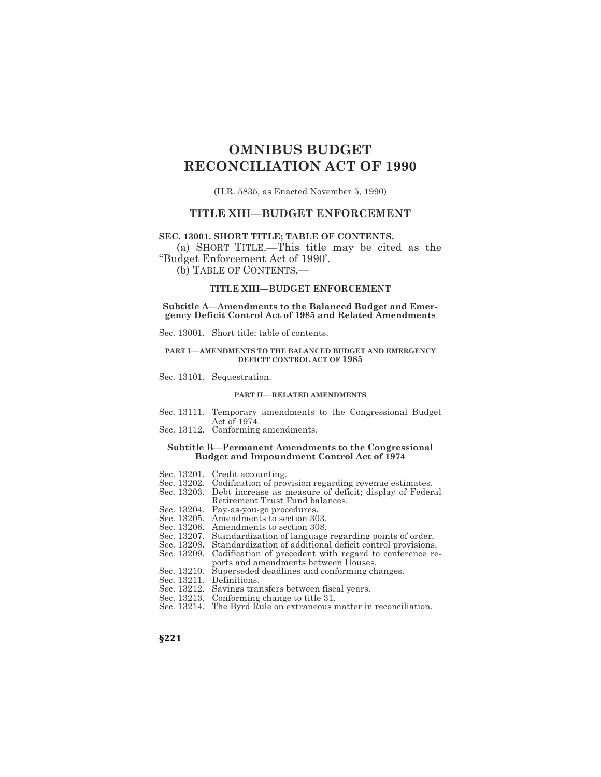# **OMNIBUS BUDGET RECONCILIATION ACT OF 1990**

(H.R. 5835, as Enacted November 5, 1990)

# **TITLE XIII—BUDGET ENFORCEMENT**

# **SEC. 13001. SHORT TITLE; TABLE OF CONTENTS.**

(a) SHORT TITLE.—This title may be cited as the "Budget Enforcement Act of 1990'.

(b) TABLE OF CONTENTS.—

### **TITLE XIII—BUDGET ENFORCEMENT**

**Subtitle A—Amendments to the Balanced Budget and Emergency Deficit Control Act of 1985 and Related Amendments**

Sec. 13001. Short title; table of contents.

#### **PART I—AMENDMENTS TO THE BALANCED BUDGET AND EMERGENCY DEFICIT CONTROL ACT OF 1985**

Sec. 13101. Sequestration.

#### **PART II—RELATED AMENDMENTS**

- Sec. 13111. Temporary amendments to the Congressional Budget Act of 1974.
- Sec. 13112. Conforming amendments.

#### **Subtitle B—Permanent Amendments to the Congressional Budget and Impoundment Control Act of 1974**

- Sec. 13201. Credit accounting.
- Sec. 13202. Codification of provision regarding revenue estimates.<br>Sec. 13203. Debt increase as measure of deficit; display of Feder
- Debt increase as measure of deficit; display of Federal Retirement Trust Fund balances.
- Sec. 13204. Pay-as-you-go procedures.
- Sec. 13205. Amendments to section 303.
- Sec. 13206. Amendments to section 308.
- Sec. 13207. Standardization of language regarding points of order.
- Sec. 13208. Standardization of additional deficit control provisions.
- Sec. 13209. Codification of precedent with regard to conference reports and amendments between Houses.
- Sec. 13210. Superseded deadlines and conforming changes.
- Sec. 13211. Definitions.
- Sec. 13212. Savings transfers between fiscal years.
- Sec. 13213. Conforming change to title 31.
- Sec. 13214. The Byrd Rule on extraneous matter in reconciliation.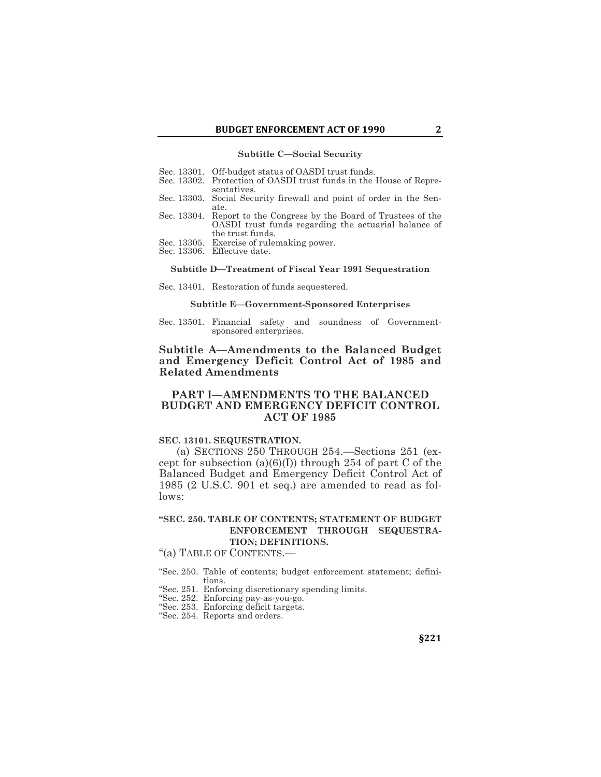#### **Subtitle C—Social Security**

- Sec. 13301. Off-budget status of OASDI trust funds.
- Sec. 13302. Protection of OASDI trust funds in the House of Representatives.
- Sec. 13303. Social Security firewall and point of order in the Senate.
- Sec. 13304. Report to the Congress by the Board of Trustees of the OASDI trust funds regarding the actuarial balance of the trust funds.
- Sec. 13305. Exercise of rulemaking power.
- Sec. 13306. Effective date.

### **Subtitle D—Treatment of Fiscal Year 1991 Sequestration**

Sec. 13401. Restoration of funds sequestered.

#### **Subtitle E—Government-Sponsored Enterprises**

Sec. 13501. Financial safety and soundness of Governmentsponsored enterprises.

**Subtitle A—Amendments to the Balanced Budget and Emergency Deficit Control Act of 1985 and Related Amendments**

# **PART I—AMENDMENTS TO THE BALANCED BUDGET AND EMERGENCY DEFICIT CONTROL ACT OF 1985**

#### **SEC. 13101. SEQUESTRATION.**

(a) SECTIONS 250 THROUGH 254.—Sections 251 (except for subsection  $(a)(6)(I)$  through 254 of part C of the Balanced Budget and Emergency Deficit Control Act of 1985 (2 U.S.C. 901 et seq.) are amended to read as follows:

# **"SEC. 250. TABLE OF CONTENTS; STATEMENT OF BUDGET ENFORCEMENT THROUGH SEQUESTRA-TION; DEFINITIONS.**

"(a) TABLE OF CONTENTS.—

"Sec. 250. Table of contents; budget enforcement statement; definitions.

- "Sec. 251. Enforcing discretionary spending limits.
- "Sec. 252. Enforcing pay-as-you-go.
- "Sec. 253. Enforcing deficit targets.
- "Sec. 254. Reports and orders.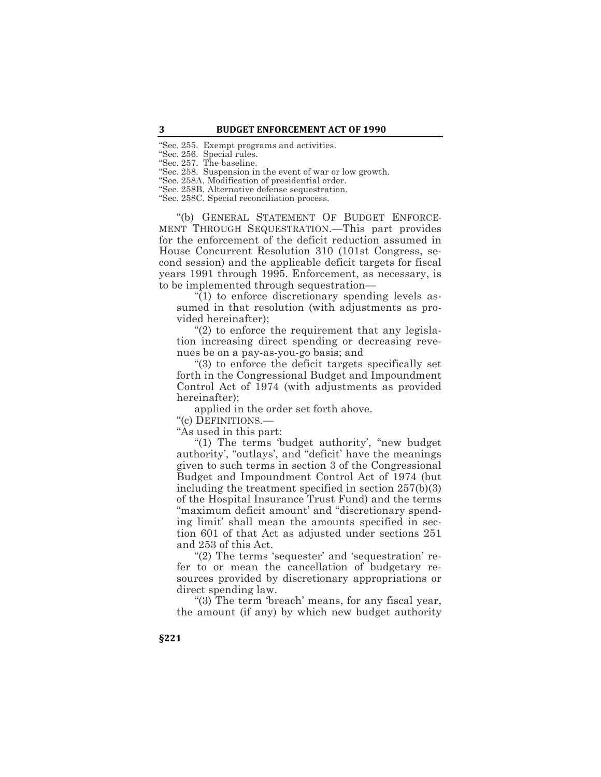"Sec. 255. Exempt programs and activities.

"Sec. 256. Special rules.

"Sec. 257. The baseline.

"Sec. 258. Suspension in the event of war or low growth.

"Sec. 258A. Modification of presidential order.

"Sec. 258B. Alternative defense sequestration.

"Sec. 258C. Special reconciliation process.

"(b) GENERAL STATEMENT OF BUDGET ENFORCE-MENT THROUGH SEQUESTRATION.—This part provides for the enforcement of the deficit reduction assumed in House Concurrent Resolution 310 (101st Congress, second session) and the applicable deficit targets for fiscal years 1991 through 1995. Enforcement, as necessary, is to be implemented through sequestration—

 $\sqrt[n]{(1)}$  to enforce discretionary spending levels assumed in that resolution (with adjustments as provided hereinafter);

"(2) to enforce the requirement that any legislation increasing direct spending or decreasing revenues be on a pay-as-you-go basis; and

"(3) to enforce the deficit targets specifically set forth in the Congressional Budget and Impoundment Control Act of 1974 (with adjustments as provided hereinafter);

applied in the order set forth above.

"(c) DEFINITIONS.—

"As used in this part:

"(1) The terms 'budget authority', "new budget authority', "outlays', and "deficit' have the meanings given to such terms in section 3 of the Congressional Budget and Impoundment Control Act of 1974 (but including the treatment specified in section 257(b)(3) of the Hospital Insurance Trust Fund) and the terms "maximum deficit amount' and "discretionary spending limit' shall mean the amounts specified in section 601 of that Act as adjusted under sections 251 and 253 of this Act.

"(2) The terms 'sequester' and 'sequestration' refer to or mean the cancellation of budgetary resources provided by discretionary appropriations or direct spending law.

"(3) The term 'breach' means, for any fiscal year, the amount (if any) by which new budget authority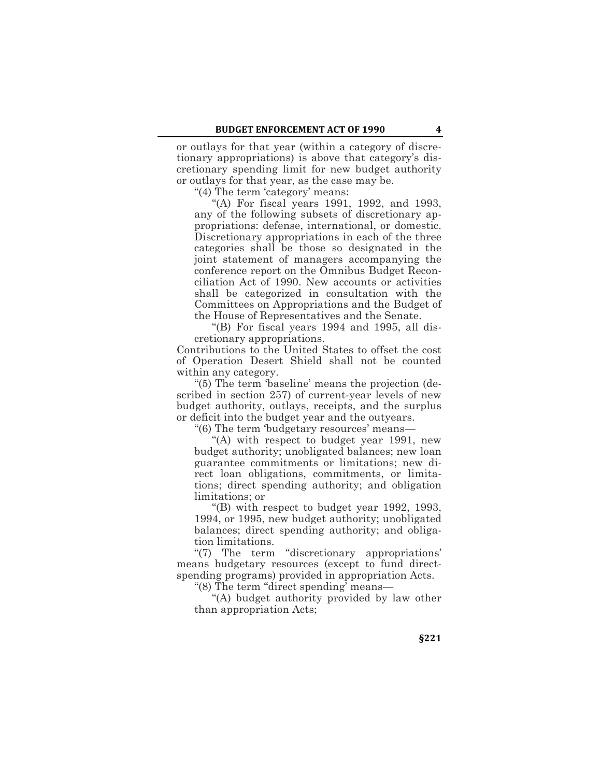or outlays for that year (within a category of discretionary appropriations) is above that category's discretionary spending limit for new budget authority or outlays for that year, as the case may be.

"(4) The term 'category' means:

"(A) For fiscal years 1991, 1992, and 1993, any of the following subsets of discretionary appropriations: defense, international, or domestic. Discretionary appropriations in each of the three categories shall be those so designated in the joint statement of managers accompanying the conference report on the Omnibus Budget Reconciliation Act of 1990. New accounts or activities shall be categorized in consultation with the Committees on Appropriations and the Budget of the House of Representatives and the Senate.

"(B) For fiscal years 1994 and 1995, all discretionary appropriations.

Contributions to the United States to offset the cost of Operation Desert Shield shall not be counted within any category.

"(5) The term 'baseline' means the projection (described in section 257) of current-year levels of new budget authority, outlays, receipts, and the surplus or deficit into the budget year and the outyears.

"(6) The term 'budgetary resources' means—

"(A) with respect to budget year 1991, new budget authority; unobligated balances; new loan guarantee commitments or limitations; new direct loan obligations, commitments, or limitations; direct spending authority; and obligation limitations; or

"(B) with respect to budget year 1992, 1993, 1994, or 1995, new budget authority; unobligated balances; direct spending authority; and obligation limitations.

"(7) The term "discretionary appropriations' means budgetary resources (except to fund directspending programs) provided in appropriation Acts.

"(8) The term "direct spending' means—

"(A) budget authority provided by law other than appropriation Acts;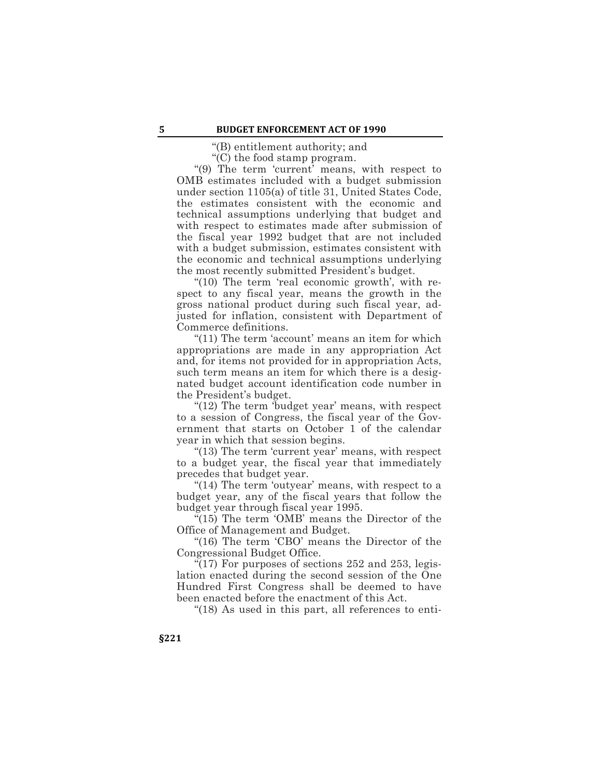"(B) entitlement authority; and

"(C) the food stamp program.

"(9) The term 'current' means, with respect to OMB estimates included with a budget submission under section 1105(a) of title 31, United States Code, the estimates consistent with the economic and technical assumptions underlying that budget and with respect to estimates made after submission of the fiscal year 1992 budget that are not included with a budget submission, estimates consistent with the economic and technical assumptions underlying the most recently submitted President's budget.

"(10) The term 'real economic growth', with respect to any fiscal year, means the growth in the gross national product during such fiscal year, adjusted for inflation, consistent with Department of Commerce definitions.

"(11) The term 'account' means an item for which appropriations are made in any appropriation Act and, for items not provided for in appropriation Acts, such term means an item for which there is a designated budget account identification code number in the President's budget.

"(12) The term 'budget year' means, with respect to a session of Congress, the fiscal year of the Government that starts on October 1 of the calendar year in which that session begins.

"(13) The term 'current year' means, with respect to a budget year, the fiscal year that immediately precedes that budget year.

"(14) The term 'outyear' means, with respect to a budget year, any of the fiscal years that follow the budget year through fiscal year 1995.

"(15) The term 'OMB' means the Director of the Office of Management and Budget.

"(16) The term 'CBO' means the Director of the Congressional Budget Office.

"(17) For purposes of sections  $252$  and  $253$ , legislation enacted during the second session of the One Hundred First Congress shall be deemed to have been enacted before the enactment of this Act.

"(18) As used in this part, all references to enti-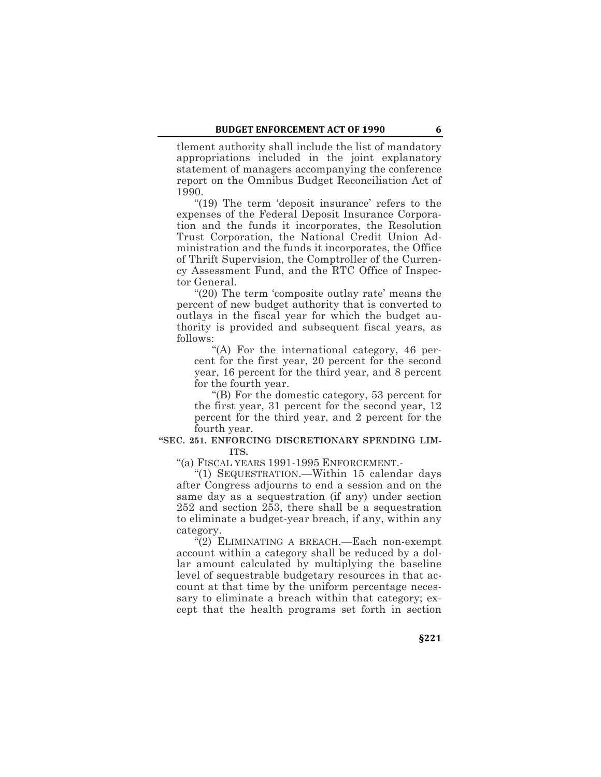tlement authority shall include the list of mandatory appropriations included in the joint explanatory statement of managers accompanying the conference report on the Omnibus Budget Reconciliation Act of 1990.

"(19) The term 'deposit insurance' refers to the expenses of the Federal Deposit Insurance Corporation and the funds it incorporates, the Resolution Trust Corporation, the National Credit Union Administration and the funds it incorporates, the Office of Thrift Supervision, the Comptroller of the Currency Assessment Fund, and the RTC Office of Inspector General.

"(20) The term 'composite outlay rate' means the percent of new budget authority that is converted to outlays in the fiscal year for which the budget authority is provided and subsequent fiscal years, as follows:

"(A) For the international category, 46 percent for the first year, 20 percent for the second year, 16 percent for the third year, and 8 percent for the fourth year.

"(B) For the domestic category, 53 percent for the first year, 31 percent for the second year, 12 percent for the third year, and 2 percent for the fourth year.

### **"SEC. 251. ENFORCING DISCRETIONARY SPENDING LIM-ITS.**

"(a) FISCAL YEARS 1991-1995 ENFORCEMENT.-

"(1) SEQUESTRATION.—Within 15 calendar days after Congress adjourns to end a session and on the same day as a sequestration (if any) under section 252 and section 253, there shall be a sequestration to eliminate a budget-year breach, if any, within any category.

"(2) ELIMINATING A BREACH.—Each non-exempt account within a category shall be reduced by a dollar amount calculated by multiplying the baseline level of sequestrable budgetary resources in that account at that time by the uniform percentage necessary to eliminate a breach within that category; except that the health programs set forth in section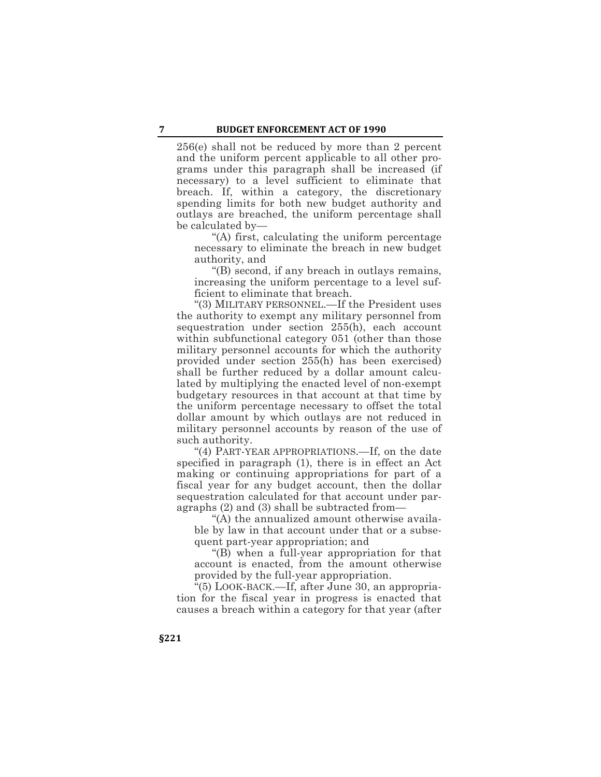256(e) shall not be reduced by more than 2 percent and the uniform percent applicable to all other programs under this paragraph shall be increased (if necessary) to a level sufficient to eliminate that breach. If, within a category, the discretionary spending limits for both new budget authority and outlays are breached, the uniform percentage shall be calculated by—

"(A) first, calculating the uniform percentage necessary to eliminate the breach in new budget authority, and

"(B) second, if any breach in outlays remains, increasing the uniform percentage to a level sufficient to eliminate that breach.

"(3) MILITARY PERSONNEL.—If the President uses the authority to exempt any military personnel from sequestration under section 255(h), each account within subfunctional category 051 (other than those military personnel accounts for which the authority provided under section 255(h) has been exercised) shall be further reduced by a dollar amount calculated by multiplying the enacted level of non-exempt budgetary resources in that account at that time by the uniform percentage necessary to offset the total dollar amount by which outlays are not reduced in military personnel accounts by reason of the use of such authority.

"(4) PART-YEAR APPROPRIATIONS.—If, on the date specified in paragraph (1), there is in effect an Act making or continuing appropriations for part of a fiscal year for any budget account, then the dollar sequestration calculated for that account under paragraphs (2) and (3) shall be subtracted from—

"(A) the annualized amount otherwise available by law in that account under that or a subsequent part-year appropriation; and

"(B) when a full-year appropriation for that account is enacted, from the amount otherwise provided by the full-year appropriation.

"(5) LOOK-BACK.—If, after June 30, an appropriation for the fiscal year in progress is enacted that causes a breach within a category for that year (after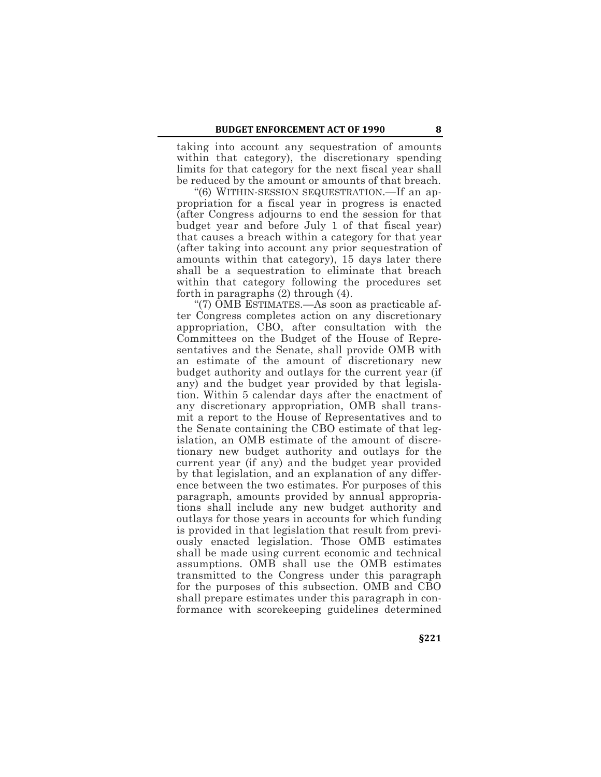taking into account any sequestration of amounts within that category), the discretionary spending limits for that category for the next fiscal year shall be reduced by the amount or amounts of that breach.

"(6) WITHIN-SESSION SEQUESTRATION.—If an appropriation for a fiscal year in progress is enacted (after Congress adjourns to end the session for that budget year and before July 1 of that fiscal year) that causes a breach within a category for that year (after taking into account any prior sequestration of amounts within that category), 15 days later there shall be a sequestration to eliminate that breach within that category following the procedures set forth in paragraphs (2) through (4).

"(7) OMB ESTIMATES.—As soon as practicable after Congress completes action on any discretionary appropriation, CBO, after consultation with the Committees on the Budget of the House of Representatives and the Senate, shall provide OMB with an estimate of the amount of discretionary new budget authority and outlays for the current year (if any) and the budget year provided by that legislation. Within 5 calendar days after the enactment of any discretionary appropriation, OMB shall transmit a report to the House of Representatives and to the Senate containing the CBO estimate of that legislation, an OMB estimate of the amount of discretionary new budget authority and outlays for the current year (if any) and the budget year provided by that legislation, and an explanation of any difference between the two estimates. For purposes of this paragraph, amounts provided by annual appropriations shall include any new budget authority and outlays for those years in accounts for which funding is provided in that legislation that result from previously enacted legislation. Those OMB estimates shall be made using current economic and technical assumptions. OMB shall use the OMB estimates transmitted to the Congress under this paragraph for the purposes of this subsection. OMB and CBO shall prepare estimates under this paragraph in conformance with scorekeeping guidelines determined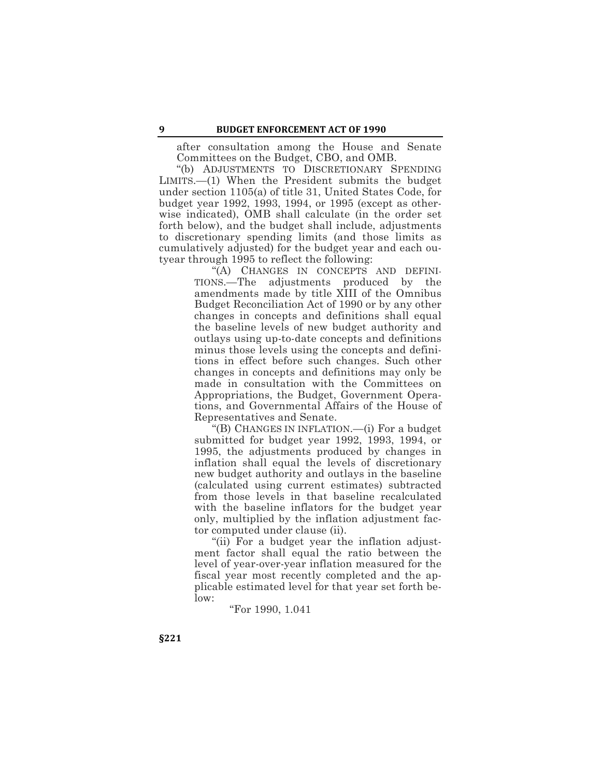after consultation among the House and Senate Committees on the Budget, CBO, and OMB.

"(b) ADJUSTMENTS TO DISCRETIONARY SPENDING LIMITS.—(1) When the President submits the budget under section 1105(a) of title 31, United States Code, for budget year 1992, 1993, 1994, or 1995 (except as otherwise indicated), OMB shall calculate (in the order set forth below), and the budget shall include, adjustments to discretionary spending limits (and those limits as cumulatively adjusted) for the budget year and each outyear through 1995 to reflect the following:

> "(A) CHANGES IN CONCEPTS AND DEFINI-TIONS.—The adjustments produced by the amendments made by title XIII of the Omnibus Budget Reconciliation Act of 1990 or by any other changes in concepts and definitions shall equal the baseline levels of new budget authority and outlays using up-to-date concepts and definitions minus those levels using the concepts and definitions in effect before such changes. Such other changes in concepts and definitions may only be made in consultation with the Committees on Appropriations, the Budget, Government Operations, and Governmental Affairs of the House of Representatives and Senate.

> "(B) CHANGES IN INFLATION.—(i) For a budget submitted for budget year 1992, 1993, 1994, or 1995, the adjustments produced by changes in inflation shall equal the levels of discretionary new budget authority and outlays in the baseline (calculated using current estimates) subtracted from those levels in that baseline recalculated with the baseline inflators for the budget year only, multiplied by the inflation adjustment factor computed under clause (ii).

> "(ii) For a budget year the inflation adjustment factor shall equal the ratio between the level of year-over-year inflation measured for the fiscal year most recently completed and the applicable estimated level for that year set forth below:

> > "For 1990, 1.041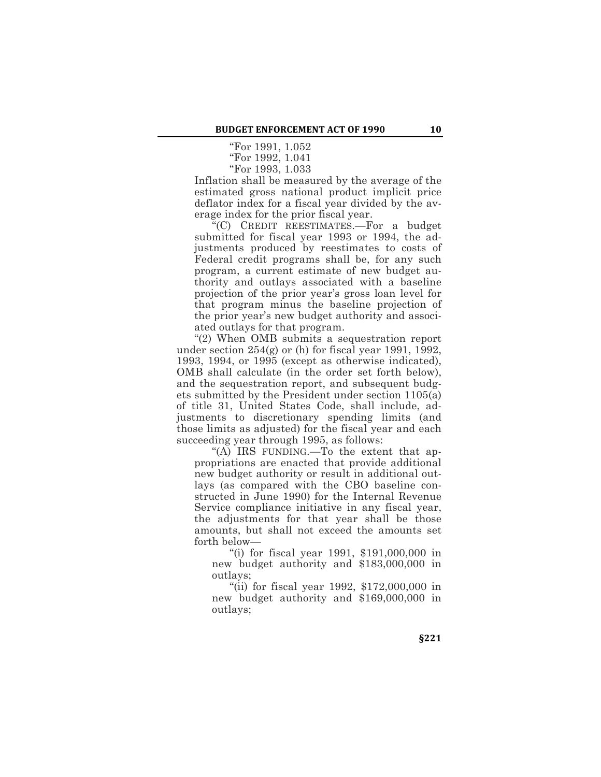"For 1991, 1.052

"For 1992, 1.041

"For 1993, 1.033 Inflation shall be measured by the average of the estimated gross national product implicit price deflator index for a fiscal year divided by the av-

erage index for the prior fiscal year. "(C) CREDIT REESTIMATES.—For a budget submitted for fiscal year 1993 or 1994, the adjustments produced by reestimates to costs of Federal credit programs shall be, for any such program, a current estimate of new budget authority and outlays associated with a baseline projection of the prior year's gross loan level for that program minus the baseline projection of the prior year's new budget authority and associated outlays for that program.

"(2) When OMB submits a sequestration report under section 254(g) or (h) for fiscal year 1991, 1992, 1993, 1994, or 1995 (except as otherwise indicated), OMB shall calculate (in the order set forth below), and the sequestration report, and subsequent budgets submitted by the President under section 1105(a) of title 31, United States Code, shall include, adjustments to discretionary spending limits (and those limits as adjusted) for the fiscal year and each succeeding year through 1995, as follows:

"(A) IRS FUNDING.—To the extent that appropriations are enacted that provide additional new budget authority or result in additional outlays (as compared with the CBO baseline constructed in June 1990) for the Internal Revenue Service compliance initiative in any fiscal year, the adjustments for that year shall be those amounts, but shall not exceed the amounts set forth below—

"(i) for fiscal year 1991, \$191,000,000 in new budget authority and \$183,000,000 in outlays;

"(ii) for fiscal year 1992, \$172,000,000 in new budget authority and \$169,000,000 in outlays;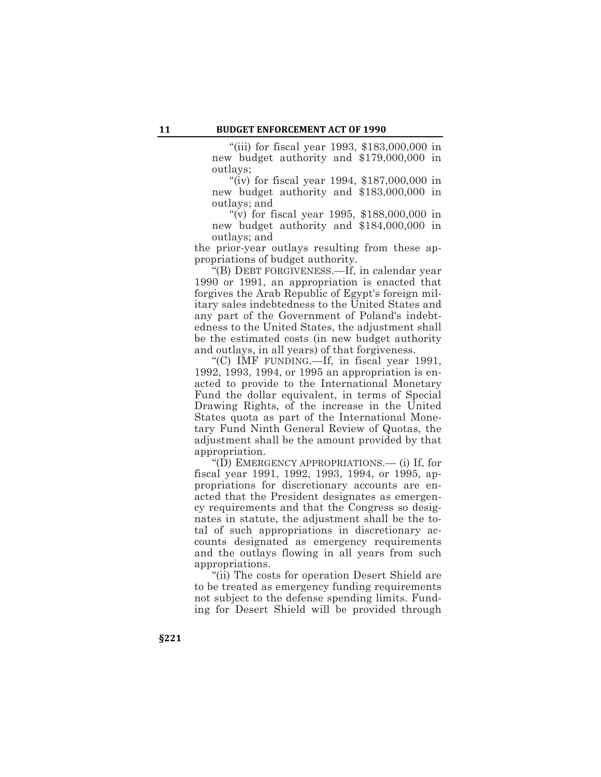"(iii) for fiscal year 1993, \$183,000,000 in new budget authority and \$179,000,000 in outlays;

"(iv) for fiscal year 1994, \$187,000,000 in new budget authority and \$183,000,000 in outlays; and

"(v) for fiscal year 1995, \$188,000,000 in new budget authority and \$184,000,000 in outlays; and

the prior-year outlays resulting from these appropriations of budget authority.

"(B) DEBT FORGIVENESS.—If, in calendar year 1990 or 1991, an appropriation is enacted that forgives the Arab Republic of Egypt's foreign military sales indebtedness to the United States and any part of the Government of Poland's indebtedness to the United States, the adjustment shall be the estimated costs (in new budget authority and outlays, in all years) of that forgiveness.

"(C) IMF FUNDING.—If, in fiscal year 1991, 1992, 1993, 1994, or 1995 an appropriation is enacted to provide to the International Monetary Fund the dollar equivalent, in terms of Special Drawing Rights, of the increase in the United States quota as part of the International Monetary Fund Ninth General Review of Quotas, the adjustment shall be the amount provided by that appropriation.

"(D) EMERGENCY APPROPRIATIONS.— (i) If, for fiscal year 1991, 1992, 1993, 1994, or 1995, appropriations for discretionary accounts are enacted that the President designates as emergency requirements and that the Congress so designates in statute, the adjustment shall be the total of such appropriations in discretionary accounts designated as emergency requirements and the outlays flowing in all years from such appropriations.

"(ii) The costs for operation Desert Shield are to be treated as emergency funding requirements not subject to the defense spending limits. Funding for Desert Shield will be provided through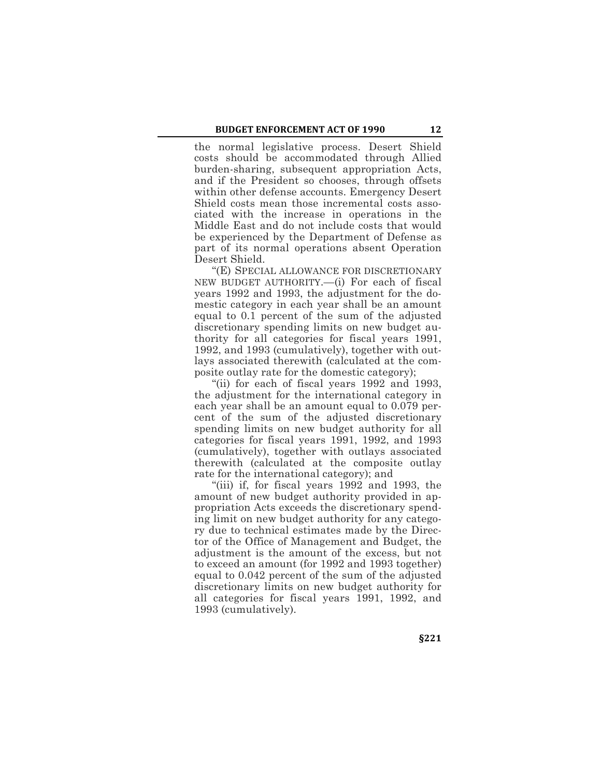the normal legislative process. Desert Shield costs should be accommodated through Allied burden-sharing, subsequent appropriation Acts, and if the President so chooses, through offsets within other defense accounts. Emergency Desert Shield costs mean those incremental costs associated with the increase in operations in the Middle East and do not include costs that would be experienced by the Department of Defense as part of its normal operations absent Operation Desert Shield.

"(E) SPECIAL ALLOWANCE FOR DISCRETIONARY NEW BUDGET AUTHORITY.—(i) For each of fiscal years 1992 and 1993, the adjustment for the domestic category in each year shall be an amount equal to 0.1 percent of the sum of the adjusted discretionary spending limits on new budget authority for all categories for fiscal years 1991, 1992, and 1993 (cumulatively), together with outlays associated therewith (calculated at the composite outlay rate for the domestic category);

"(ii) for each of fiscal years 1992 and 1993, the adjustment for the international category in each year shall be an amount equal to 0.079 percent of the sum of the adjusted discretionary spending limits on new budget authority for all categories for fiscal years 1991, 1992, and 1993 (cumulatively), together with outlays associated therewith (calculated at the composite outlay rate for the international category); and

"(iii) if, for fiscal years 1992 and 1993, the amount of new budget authority provided in appropriation Acts exceeds the discretionary spending limit on new budget authority for any category due to technical estimates made by the Director of the Office of Management and Budget, the adjustment is the amount of the excess, but not to exceed an amount (for 1992 and 1993 together) equal to 0.042 percent of the sum of the adjusted discretionary limits on new budget authority for all categories for fiscal years 1991, 1992, and 1993 (cumulatively).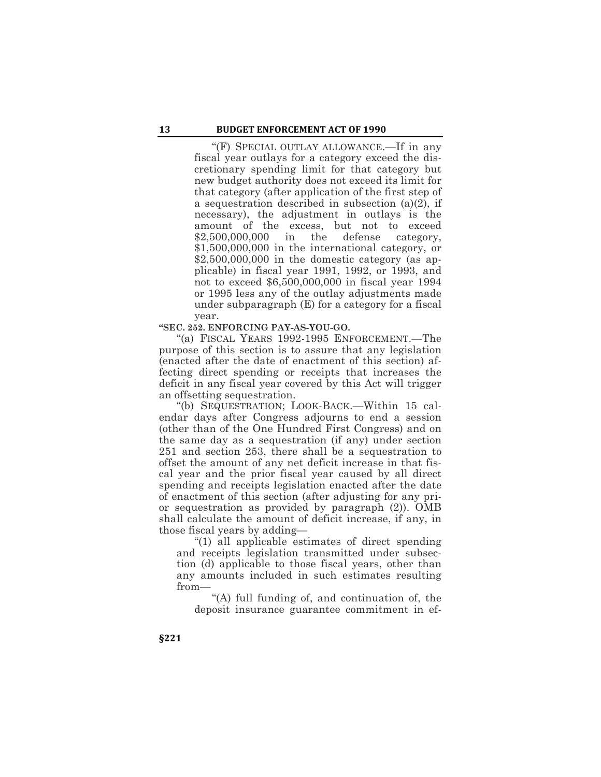"(F) SPECIAL OUTLAY ALLOWANCE.—If in any fiscal year outlays for a category exceed the discretionary spending limit for that category but new budget authority does not exceed its limit for that category (after application of the first step of a sequestration described in subsection (a)(2), if necessary), the adjustment in outlays is the amount of the excess, but not to exceed \$2,500,000,000 in the defense category, \$1,500,000,000 in the international category, or \$2,500,000,000 in the domestic category (as applicable) in fiscal year 1991, 1992, or 1993, and not to exceed \$6,500,000,000 in fiscal year 1994 or 1995 less any of the outlay adjustments made under subparagraph (E) for a category for a fiscal year.

**"SEC. 252. ENFORCING PAY-AS-YOU-GO.**

"(a) FISCAL YEARS 1992-1995 ENFORCEMENT.—The purpose of this section is to assure that any legislation (enacted after the date of enactment of this section) affecting direct spending or receipts that increases the deficit in any fiscal year covered by this Act will trigger an offsetting sequestration.

"(b) SEQUESTRATION; LOOK-BACK.—Within 15 calendar days after Congress adjourns to end a session (other than of the One Hundred First Congress) and on the same day as a sequestration (if any) under section 251 and section 253, there shall be a sequestration to offset the amount of any net deficit increase in that fiscal year and the prior fiscal year caused by all direct spending and receipts legislation enacted after the date of enactment of this section (after adjusting for any prior sequestration as provided by paragraph (2)). OMB shall calculate the amount of deficit increase, if any, in those fiscal years by adding—

"(1) all applicable estimates of direct spending and receipts legislation transmitted under subsection (d) applicable to those fiscal years, other than any amounts included in such estimates resulting from—

"(A) full funding of, and continuation of, the deposit insurance guarantee commitment in ef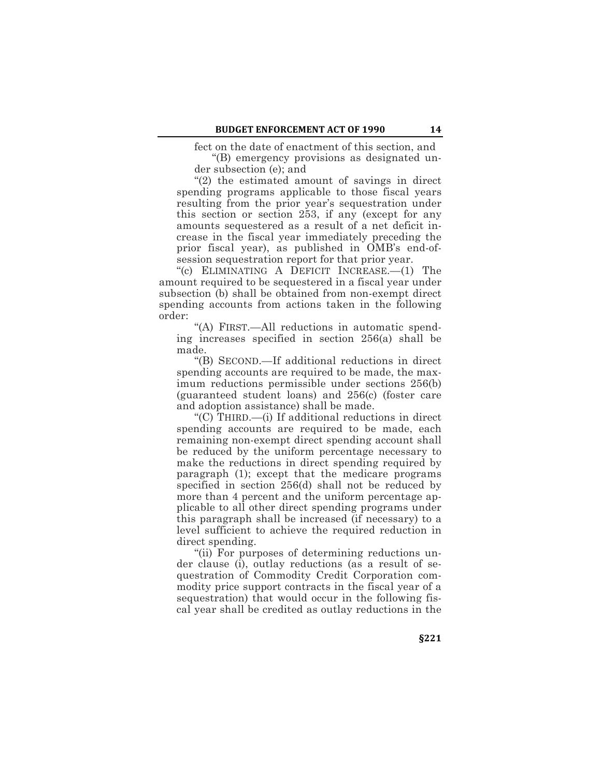fect on the date of enactment of this section, and

"(B) emergency provisions as designated under subsection (e); and

"(2) the estimated amount of savings in direct spending programs applicable to those fiscal years resulting from the prior year's sequestration under this section or section 253, if any (except for any amounts sequestered as a result of a net deficit increase in the fiscal year immediately preceding the prior fiscal year), as published in OMB's end-ofsession sequestration report for that prior year.

"(c) ELIMINATING A DEFICIT INCREASE.—(1) The amount required to be sequestered in a fiscal year under subsection (b) shall be obtained from non-exempt direct spending accounts from actions taken in the following order:

"(A) FIRST.—All reductions in automatic spending increases specified in section 256(a) shall be made.

"(B) SECOND.—If additional reductions in direct spending accounts are required to be made, the maximum reductions permissible under sections 256(b) (guaranteed student loans) and 256(c) (foster care and adoption assistance) shall be made.

"(C) THIRD.—(i) If additional reductions in direct spending accounts are required to be made, each remaining non-exempt direct spending account shall be reduced by the uniform percentage necessary to make the reductions in direct spending required by paragraph (1); except that the medicare programs specified in section 256(d) shall not be reduced by more than 4 percent and the uniform percentage applicable to all other direct spending programs under this paragraph shall be increased (if necessary) to a level sufficient to achieve the required reduction in direct spending.

"(ii) For purposes of determining reductions under clause (i), outlay reductions (as a result of sequestration of Commodity Credit Corporation commodity price support contracts in the fiscal year of a sequestration) that would occur in the following fiscal year shall be credited as outlay reductions in the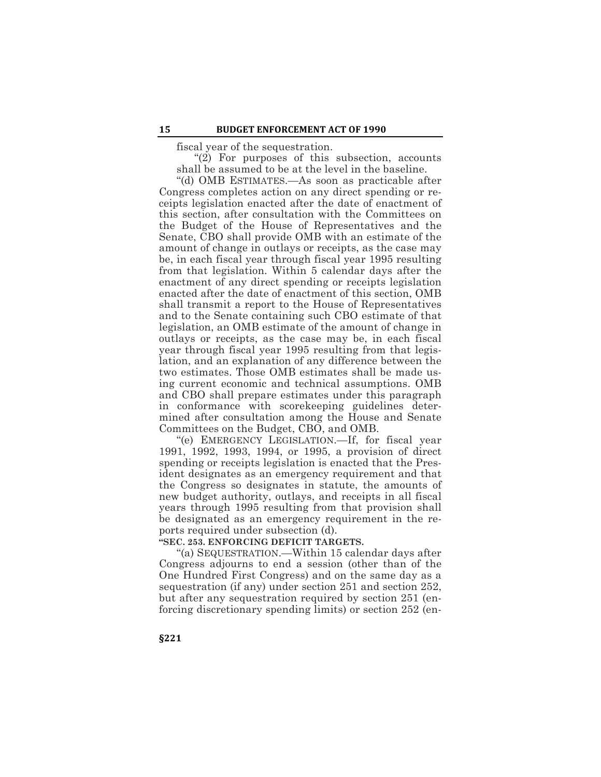fiscal year of the sequestration.

"(2) For purposes of this subsection, accounts shall be assumed to be at the level in the baseline.

"(d) OMB ESTIMATES.—As soon as practicable after Congress completes action on any direct spending or receipts legislation enacted after the date of enactment of this section, after consultation with the Committees on the Budget of the House of Representatives and the Senate, CBO shall provide OMB with an estimate of the amount of change in outlays or receipts, as the case may be, in each fiscal year through fiscal year 1995 resulting from that legislation. Within 5 calendar days after the enactment of any direct spending or receipts legislation enacted after the date of enactment of this section, OMB shall transmit a report to the House of Representatives and to the Senate containing such CBO estimate of that legislation, an OMB estimate of the amount of change in outlays or receipts, as the case may be, in each fiscal year through fiscal year 1995 resulting from that legislation, and an explanation of any difference between the two estimates. Those OMB estimates shall be made using current economic and technical assumptions. OMB and CBO shall prepare estimates under this paragraph in conformance with scorekeeping guidelines determined after consultation among the House and Senate Committees on the Budget, CBO, and OMB.

"(e) EMERGENCY LEGISLATION.—If, for fiscal year 1991, 1992, 1993, 1994, or 1995, a provision of direct spending or receipts legislation is enacted that the President designates as an emergency requirement and that the Congress so designates in statute, the amounts of new budget authority, outlays, and receipts in all fiscal years through 1995 resulting from that provision shall be designated as an emergency requirement in the reports required under subsection (d).

## **"SEC. 253. ENFORCING DEFICIT TARGETS.**

"(a) SEQUESTRATION.—Within 15 calendar days after Congress adjourns to end a session (other than of the One Hundred First Congress) and on the same day as a sequestration (if any) under section 251 and section 252, but after any sequestration required by section 251 (enforcing discretionary spending limits) or section 252 (en-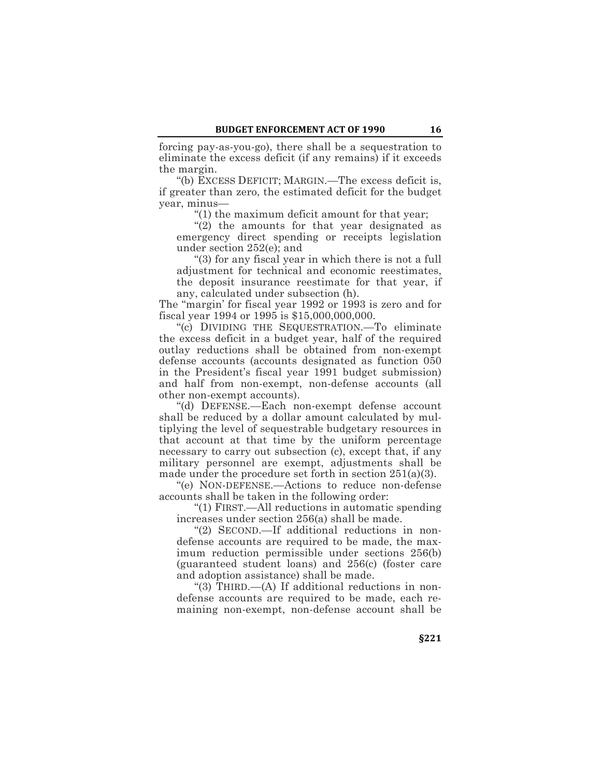forcing pay-as-you-go), there shall be a sequestration to eliminate the excess deficit (if any remains) if it exceeds the margin.

"(b) EXCESS DEFICIT; MARGIN.—The excess deficit is, if greater than zero, the estimated deficit for the budget year, minus—

"(1) the maximum deficit amount for that year;

"(2) the amounts for that year designated as emergency direct spending or receipts legislation under section 252(e); and

"(3) for any fiscal year in which there is not a full adjustment for technical and economic reestimates, the deposit insurance reestimate for that year, if any, calculated under subsection (h).

The "margin' for fiscal year 1992 or 1993 is zero and for fiscal year 1994 or 1995 is \$15,000,000,000.

"(c) DIVIDING THE SEQUESTRATION.—To eliminate the excess deficit in a budget year, half of the required outlay reductions shall be obtained from non-exempt defense accounts (accounts designated as function 050 in the President's fiscal year 1991 budget submission) and half from non-exempt, non-defense accounts (all other non-exempt accounts).

"(d) DEFENSE.—Each non-exempt defense account shall be reduced by a dollar amount calculated by multiplying the level of sequestrable budgetary resources in that account at that time by the uniform percentage necessary to carry out subsection (c), except that, if any military personnel are exempt, adjustments shall be made under the procedure set forth in section  $251(a)(3)$ .

"(e) NON-DEFENSE.—Actions to reduce non-defense accounts shall be taken in the following order:

"(1) FIRST.—All reductions in automatic spending increases under section 256(a) shall be made.

"(2) SECOND.—If additional reductions in nondefense accounts are required to be made, the maximum reduction permissible under sections 256(b) (guaranteed student loans) and 256(c) (foster care and adoption assistance) shall be made.

"(3) THIRD.—(A) If additional reductions in nondefense accounts are required to be made, each remaining non-exempt, non-defense account shall be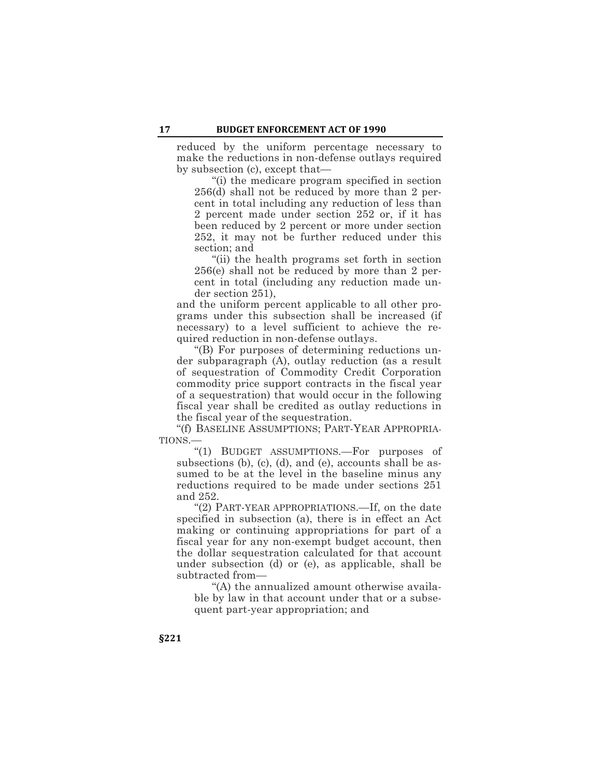reduced by the uniform percentage necessary to make the reductions in non-defense outlays required by subsection (c), except that—

"(i) the medicare program specified in section 256(d) shall not be reduced by more than 2 percent in total including any reduction of less than 2 percent made under section 252 or, if it has been reduced by 2 percent or more under section 252, it may not be further reduced under this section; and

"(ii) the health programs set forth in section 256(e) shall not be reduced by more than 2 percent in total (including any reduction made under section 251),

and the uniform percent applicable to all other programs under this subsection shall be increased (if necessary) to a level sufficient to achieve the required reduction in non-defense outlays.

"(B) For purposes of determining reductions under subparagraph (A), outlay reduction (as a result of sequestration of Commodity Credit Corporation commodity price support contracts in the fiscal year of a sequestration) that would occur in the following fiscal year shall be credited as outlay reductions in the fiscal year of the sequestration.

"(f) BASELINE ASSUMPTIONS; PART-YEAR APPROPRIA-TIONS.—

"(1) BUDGET ASSUMPTIONS.—For purposes of subsections (b), (c), (d), and (e), accounts shall be assumed to be at the level in the baseline minus any reductions required to be made under sections 251 and 252.

"(2) PART-YEAR APPROPRIATIONS.—If, on the date specified in subsection (a), there is in effect an Act making or continuing appropriations for part of a fiscal year for any non-exempt budget account, then the dollar sequestration calculated for that account under subsection (d) or (e), as applicable, shall be subtracted from—

"(A) the annualized amount otherwise available by law in that account under that or a subsequent part-year appropriation; and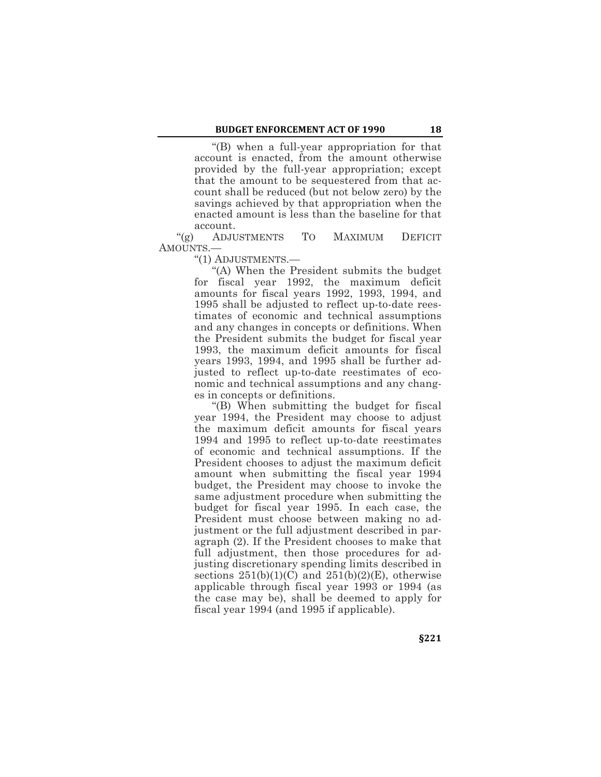"(B) when a full-year appropriation for that account is enacted, from the amount otherwise provided by the full-year appropriation; except that the amount to be sequestered from that account shall be reduced (but not below zero) by the savings achieved by that appropriation when the enacted amount is less than the baseline for that account.

"(g) ADJUSTMENTS TO MAXIMUM DEFICIT AMOUNTS.—

"(1) ADJUSTMENTS.—

"(A) When the President submits the budget for fiscal year 1992, the maximum deficit amounts for fiscal years 1992, 1993, 1994, and 1995 shall be adjusted to reflect up-to-date reestimates of economic and technical assumptions and any changes in concepts or definitions. When the President submits the budget for fiscal year 1993, the maximum deficit amounts for fiscal years 1993, 1994, and 1995 shall be further adjusted to reflect up-to-date reestimates of economic and technical assumptions and any changes in concepts or definitions.

"(B) When submitting the budget for fiscal year 1994, the President may choose to adjust the maximum deficit amounts for fiscal years 1994 and 1995 to reflect up-to-date reestimates of economic and technical assumptions. If the President chooses to adjust the maximum deficit amount when submitting the fiscal year 1994 budget, the President may choose to invoke the same adjustment procedure when submitting the budget for fiscal year 1995. In each case, the President must choose between making no adjustment or the full adjustment described in paragraph (2). If the President chooses to make that full adjustment, then those procedures for adjusting discretionary spending limits described in sections  $251(b)(1)(C)$  and  $251(b)(2)(E)$ , otherwise applicable through fiscal year 1993 or 1994 (as the case may be), shall be deemed to apply for fiscal year 1994 (and 1995 if applicable).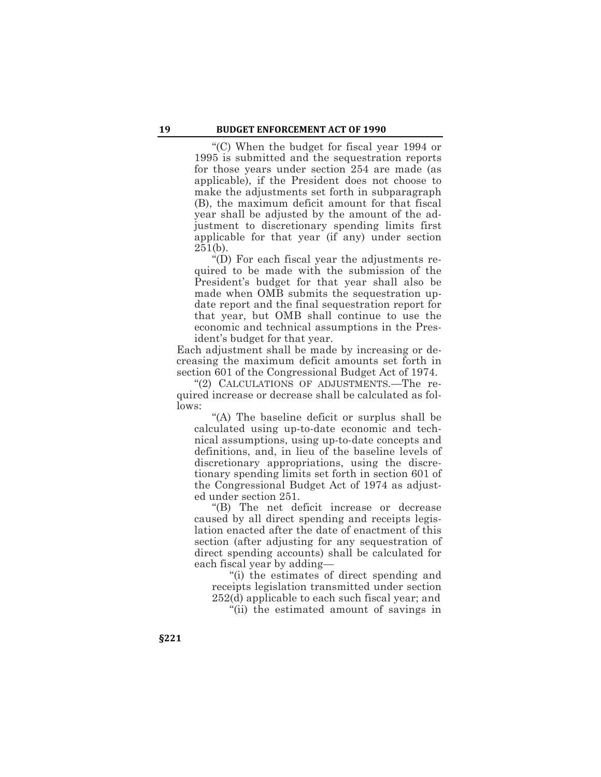"(C) When the budget for fiscal year 1994 or 1995 is submitted and the sequestration reports for those years under section 254 are made (as applicable), if the President does not choose to make the adjustments set forth in subparagraph (B), the maximum deficit amount for that fiscal year shall be adjusted by the amount of the adjustment to discretionary spending limits first applicable for that year (if any) under section  $251(b)$ .

"(D) For each fiscal year the adjustments required to be made with the submission of the President's budget for that year shall also be made when OMB submits the sequestration update report and the final sequestration report for that year, but OMB shall continue to use the economic and technical assumptions in the President's budget for that year.

Each adjustment shall be made by increasing or decreasing the maximum deficit amounts set forth in section 601 of the Congressional Budget Act of 1974.

"(2) CALCULATIONS OF ADJUSTMENTS.—The required increase or decrease shall be calculated as follows:

"(A) The baseline deficit or surplus shall be calculated using up-to-date economic and technical assumptions, using up-to-date concepts and definitions, and, in lieu of the baseline levels of discretionary appropriations, using the discretionary spending limits set forth in section 601 of the Congressional Budget Act of 1974 as adjusted under section 251.

"(B) The net deficit increase or decrease caused by all direct spending and receipts legislation enacted after the date of enactment of this section (after adjusting for any sequestration of direct spending accounts) shall be calculated for each fiscal year by adding—

"(i) the estimates of direct spending and receipts legislation transmitted under section 252(d) applicable to each such fiscal year; and

"(ii) the estimated amount of savings in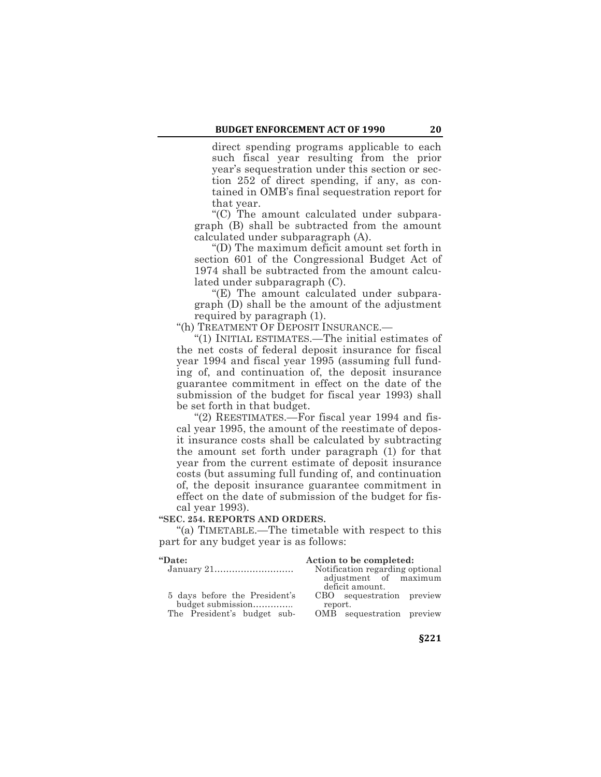direct spending programs applicable to each such fiscal year resulting from the prior year's sequestration under this section or section 252 of direct spending, if any, as contained in OMB's final sequestration report for that year.

"(C) The amount calculated under subparagraph (B) shall be subtracted from the amount calculated under subparagraph (A).

"(D) The maximum deficit amount set forth in section 601 of the Congressional Budget Act of 1974 shall be subtracted from the amount calculated under subparagraph (C).

"(E) The amount calculated under subparagraph (D) shall be the amount of the adjustment required by paragraph (1).

"(h) TREATMENT OF DEPOSIT INSURANCE.—

"(1) INITIAL ESTIMATES.—The initial estimates of the net costs of federal deposit insurance for fiscal year 1994 and fiscal year 1995 (assuming full funding of, and continuation of, the deposit insurance guarantee commitment in effect on the date of the submission of the budget for fiscal year 1993) shall be set forth in that budget.

"(2) REESTIMATES.—For fiscal year 1994 and fiscal year 1995, the amount of the reestimate of deposit insurance costs shall be calculated by subtracting the amount set forth under paragraph (1) for that year from the current estimate of deposit insurance costs (but assuming full funding of, and continuation of, the deposit insurance guarantee commitment in effect on the date of submission of the budget for fiscal year 1993).

**"SEC. 254. REPORTS AND ORDERS.**

"(a) TIMETABLE.—The timetable with respect to this part for any budget year is as follows:

| "Date:                        | Action to be completed:                  |
|-------------------------------|------------------------------------------|
|                               | Notification regarding optional          |
|                               | adjustment of maximum<br>deficit amount. |
| 5 days before the President's | CBO sequestration preview                |
| budget submission             | report.                                  |
| The President's budget sub-   | OMB sequestration preview                |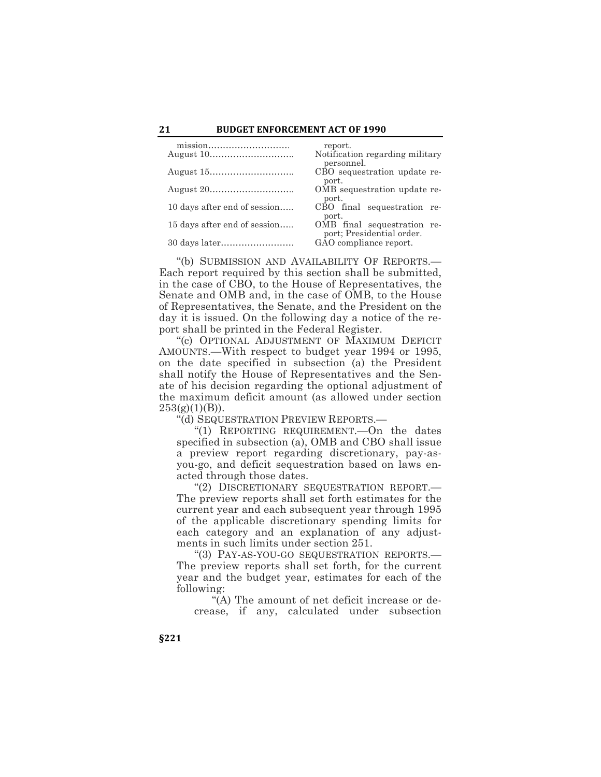# **21 BUDGET ENFORCEMENT ACT OF 1990**

|                              | report.                                                  |
|------------------------------|----------------------------------------------------------|
|                              | Notification regarding military<br>personnel.            |
|                              | CBO sequestration update re-<br>port.                    |
|                              | OMB sequestration update re-<br>port.                    |
| 10 days after end of session | CBO final sequestration re-<br>port.                     |
| 15 days after end of session | OMB final sequestration re-<br>port; Presidential order. |
|                              | GAO compliance report.                                   |

"(b) SUBMISSION AND AVAILABILITY OF REPORTS.— Each report required by this section shall be submitted, in the case of CBO, to the House of Representatives, the Senate and OMB and, in the case of OMB, to the House of Representatives, the Senate, and the President on the day it is issued. On the following day a notice of the report shall be printed in the Federal Register.

"(c) OPTIONAL ADJUSTMENT OF MAXIMUM DEFICIT AMOUNTS.—With respect to budget year 1994 or 1995, on the date specified in subsection (a) the President shall notify the House of Representatives and the Senate of his decision regarding the optional adjustment of the maximum deficit amount (as allowed under section  $253(g)(1)(B)$ ).

"(d) SEQUESTRATION PREVIEW REPORTS.—

"(1) REPORTING REQUIREMENT.—On the dates specified in subsection (a), OMB and CBO shall issue a preview report regarding discretionary, pay-asyou-go, and deficit sequestration based on laws enacted through those dates.

"(2) DISCRETIONARY SEQUESTRATION REPORT.— The preview reports shall set forth estimates for the current year and each subsequent year through 1995 of the applicable discretionary spending limits for each category and an explanation of any adjustments in such limits under section 251.

"(3) PAY-AS-YOU-GO SEQUESTRATION REPORTS.— The preview reports shall set forth, for the current year and the budget year, estimates for each of the following:

"(A) The amount of net deficit increase or decrease, if any, calculated under subsection

**§221**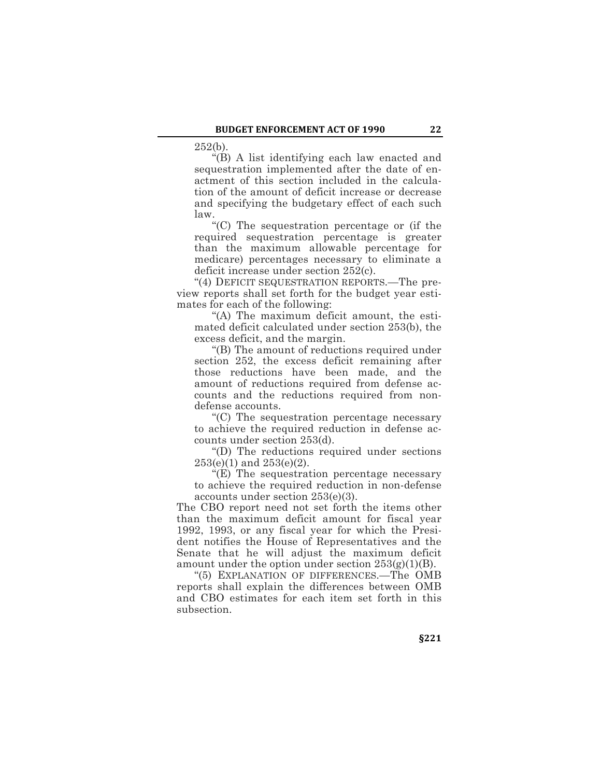252(b).

"(B) A list identifying each law enacted and sequestration implemented after the date of enactment of this section included in the calculation of the amount of deficit increase or decrease and specifying the budgetary effect of each such law.

"(C) The sequestration percentage or (if the required sequestration percentage is greater than the maximum allowable percentage for medicare) percentages necessary to eliminate a deficit increase under section 252(c).

"(4) DEFICIT SEQUESTRATION REPORTS.—The preview reports shall set forth for the budget year estimates for each of the following:

"(A) The maximum deficit amount, the estimated deficit calculated under section 253(b), the excess deficit, and the margin.

"(B) The amount of reductions required under section 252, the excess deficit remaining after those reductions have been made, and the amount of reductions required from defense accounts and the reductions required from nondefense accounts.

"(C) The sequestration percentage necessary to achieve the required reduction in defense accounts under section 253(d).

"(D) The reductions required under sections  $253(e)(1)$  and  $253(e)(2)$ .

"(E) The sequestration percentage necessary to achieve the required reduction in non-defense accounts under section 253(e)(3).

The CBO report need not set forth the items other than the maximum deficit amount for fiscal year 1992, 1993, or any fiscal year for which the President notifies the House of Representatives and the Senate that he will adjust the maximum deficit amount under the option under section  $253(g)(1)(B)$ .

"(5) EXPLANATION OF DIFFERENCES.—The OMB reports shall explain the differences between OMB and CBO estimates for each item set forth in this subsection.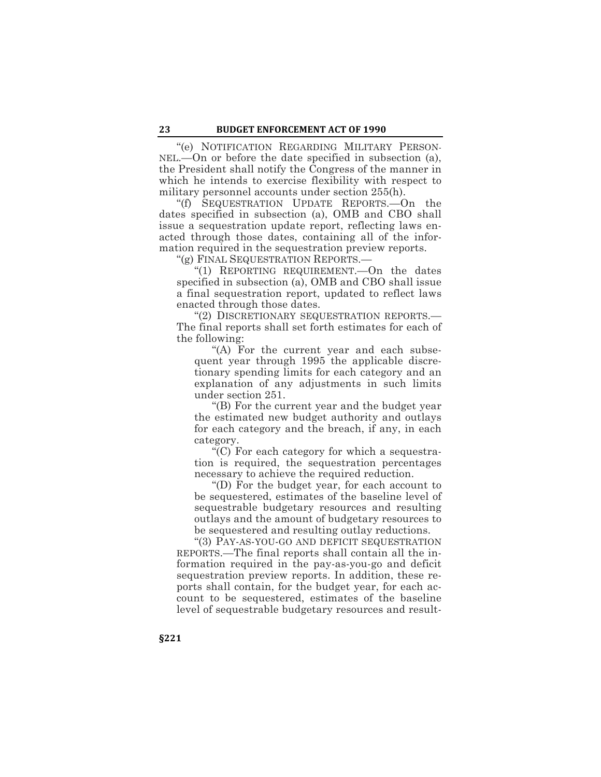"(e) NOTIFICATION REGARDING MILITARY PERSON-NEL.—On or before the date specified in subsection (a), the President shall notify the Congress of the manner in which he intends to exercise flexibility with respect to military personnel accounts under section 255(h).

"(f) SEQUESTRATION UPDATE REPORTS.—On the dates specified in subsection (a), OMB and CBO shall issue a sequestration update report, reflecting laws enacted through those dates, containing all of the information required in the sequestration preview reports.

"(g) FINAL SEQUESTRATION REPORTS.—

"(1) REPORTING REQUIREMENT.—On the dates specified in subsection (a), OMB and CBO shall issue a final sequestration report, updated to reflect laws enacted through those dates.

"(2) DISCRETIONARY SEQUESTRATION REPORTS.— The final reports shall set forth estimates for each of the following:

"(A) For the current year and each subsequent year through 1995 the applicable discretionary spending limits for each category and an explanation of any adjustments in such limits under section 251.

"(B) For the current year and the budget year the estimated new budget authority and outlays for each category and the breach, if any, in each category.

"(C) For each category for which a sequestration is required, the sequestration percentages necessary to achieve the required reduction.

"(D) For the budget year, for each account to be sequestered, estimates of the baseline level of sequestrable budgetary resources and resulting outlays and the amount of budgetary resources to be sequestered and resulting outlay reductions.

"(3) PAY-AS-YOU-GO AND DEFICIT SEQUESTRATION REPORTS.—The final reports shall contain all the information required in the pay-as-you-go and deficit sequestration preview reports. In addition, these reports shall contain, for the budget year, for each account to be sequestered, estimates of the baseline level of sequestrable budgetary resources and result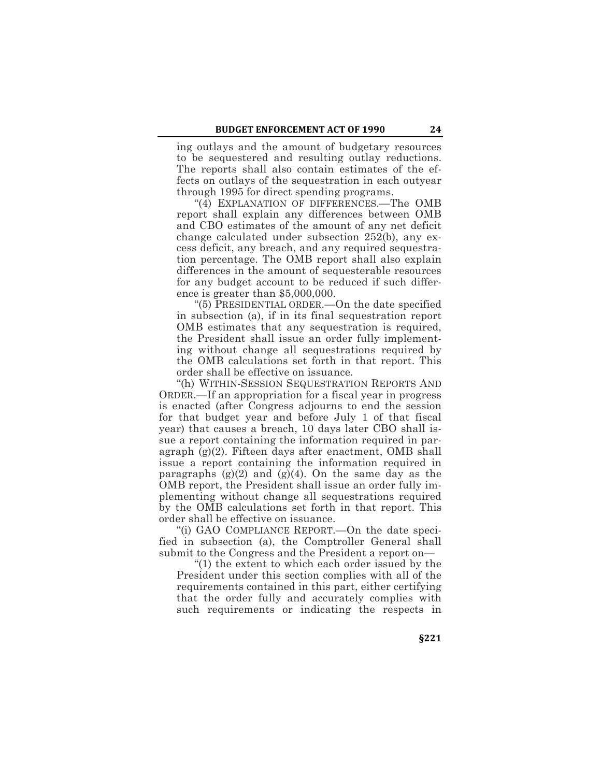ing outlays and the amount of budgetary resources to be sequestered and resulting outlay reductions. The reports shall also contain estimates of the effects on outlays of the sequestration in each outyear through 1995 for direct spending programs.

"(4) EXPLANATION OF DIFFERENCES.—The OMB report shall explain any differences between OMB and CBO estimates of the amount of any net deficit change calculated under subsection 252(b), any excess deficit, any breach, and any required sequestration percentage. The OMB report shall also explain differences in the amount of sequesterable resources for any budget account to be reduced if such difference is greater than \$5,000,000.

"(5) PRESIDENTIAL ORDER.—On the date specified in subsection (a), if in its final sequestration report OMB estimates that any sequestration is required, the President shall issue an order fully implementing without change all sequestrations required by the OMB calculations set forth in that report. This order shall be effective on issuance.

"(h) WITHIN-SESSION SEQUESTRATION REPORTS AND ORDER.—If an appropriation for a fiscal year in progress is enacted (after Congress adjourns to end the session for that budget year and before July 1 of that fiscal year) that causes a breach, 10 days later CBO shall issue a report containing the information required in paragraph (g)(2). Fifteen days after enactment, OMB shall issue a report containing the information required in paragraphs  $(g)(2)$  and  $(g)(4)$ . On the same day as the OMB report, the President shall issue an order fully implementing without change all sequestrations required by the OMB calculations set forth in that report. This order shall be effective on issuance.

"(i) GAO COMPLIANCE REPORT.—On the date specified in subsection (a), the Comptroller General shall submit to the Congress and the President a report on—

"(1) the extent to which each order issued by the President under this section complies with all of the requirements contained in this part, either certifying that the order fully and accurately complies with such requirements or indicating the respects in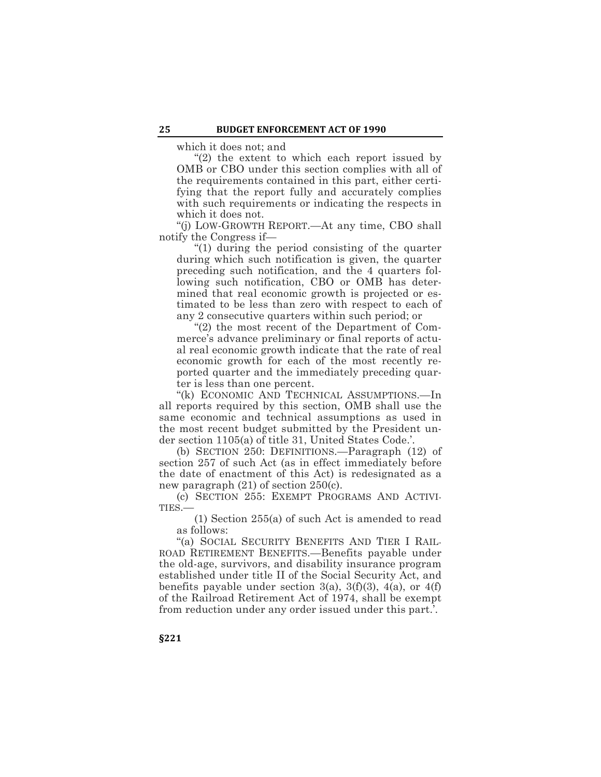which it does not; and

"(2) the extent to which each report issued by OMB or CBO under this section complies with all of the requirements contained in this part, either certifying that the report fully and accurately complies with such requirements or indicating the respects in which it does not.

"(j) LOW-GROWTH REPORT.—At any time, CBO shall notify the Congress if—

"(1) during the period consisting of the quarter during which such notification is given, the quarter preceding such notification, and the 4 quarters following such notification, CBO or OMB has determined that real economic growth is projected or estimated to be less than zero with respect to each of any 2 consecutive quarters within such period; or

"(2) the most recent of the Department of Commerce's advance preliminary or final reports of actual real economic growth indicate that the rate of real economic growth for each of the most recently reported quarter and the immediately preceding quarter is less than one percent.

"(k) ECONOMIC AND TECHNICAL ASSUMPTIONS.—In all reports required by this section, OMB shall use the same economic and technical assumptions as used in the most recent budget submitted by the President under section 1105(a) of title 31, United States Code.'.

(b) SECTION 250: DEFINITIONS.—Paragraph (12) of section 257 of such Act (as in effect immediately before the date of enactment of this Act) is redesignated as a new paragraph (21) of section 250(c).

(c) SECTION 255: EXEMPT PROGRAMS AND ACTIVI-TIES.—

(1) Section 255(a) of such Act is amended to read as follows:

"(a) SOCIAL SECURITY BENEFITS AND TIER I RAIL-ROAD RETIREMENT BENEFITS.—Benefits payable under the old-age, survivors, and disability insurance program established under title II of the Social Security Act, and benefits payable under section 3(a), 3(f)(3), 4(a), or 4(f) of the Railroad Retirement Act of 1974, shall be exempt from reduction under any order issued under this part.'.

**§221**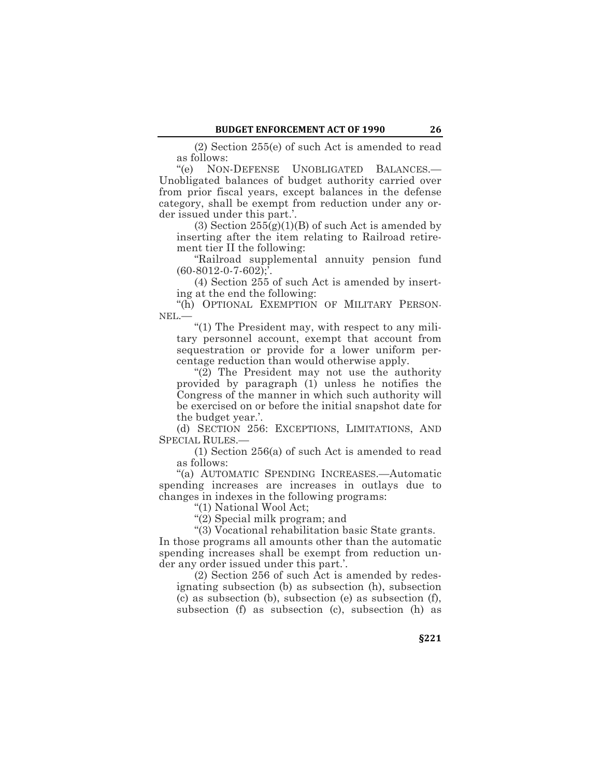(2) Section 255(e) of such Act is amended to read as follows:

"(e) NON-DEFENSE UNOBLIGATED BALANCES.— Unobligated balances of budget authority carried over from prior fiscal years, except balances in the defense category, shall be exempt from reduction under any order issued under this part.'.

(3) Section  $25\overline{5(g)}(1)(B)$  of such Act is amended by inserting after the item relating to Railroad retirement tier II the following:

"Railroad supplemental annuity pension fund  $(60-8012-0-7-602)$ ;

(4) Section 255 of such Act is amended by inserting at the end the following:

"(h) OPTIONAL EXEMPTION OF MILITARY PERSON-NEL.—

"(1) The President may, with respect to any military personnel account, exempt that account from sequestration or provide for a lower uniform percentage reduction than would otherwise apply.

"(2) The President may not use the authority provided by paragraph (1) unless he notifies the Congress of the manner in which such authority will be exercised on or before the initial snapshot date for the budget year.'.

(d) SECTION 256: EXCEPTIONS, LIMITATIONS, AND SPECIAL RULES.—

(1) Section 256(a) of such Act is amended to read as follows:

"(a) AUTOMATIC SPENDING INCREASES.—Automatic spending increases are increases in outlays due to changes in indexes in the following programs:

"(1) National Wool Act;

"(2) Special milk program; and

"(3) Vocational rehabilitation basic State grants.

In those programs all amounts other than the automatic spending increases shall be exempt from reduction under any order issued under this part.'.

(2) Section 256 of such Act is amended by redesignating subsection (b) as subsection (h), subsection (c) as subsection (b), subsection (e) as subsection (f), subsection (f) as subsection (c), subsection (h) as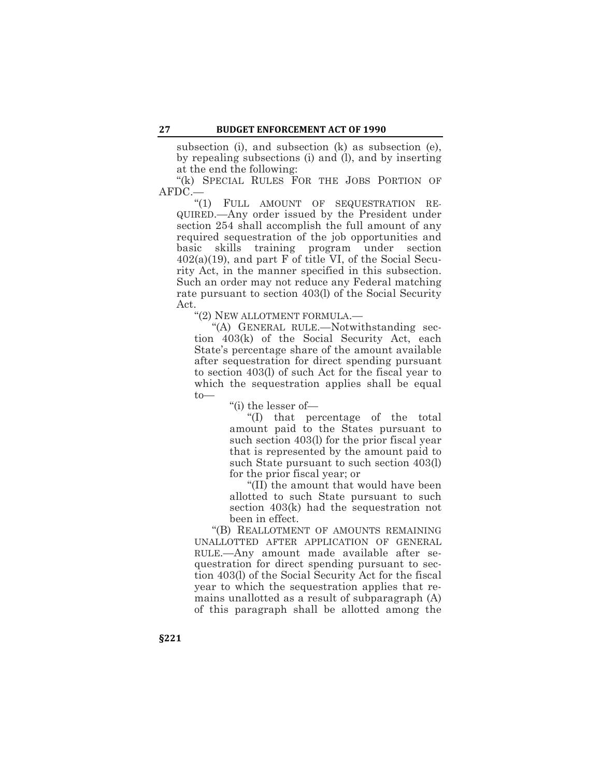subsection (i), and subsection (k) as subsection (e), by repealing subsections (i) and (l), and by inserting at the end the following:

"(k) SPECIAL RULES FOR THE JOBS PORTION OF AFDC.—

"(1) FULL AMOUNT OF SEQUESTRATION RE-QUIRED.—Any order issued by the President under section 254 shall accomplish the full amount of any required sequestration of the job opportunities and basic skills training program under section  $402(a)(19)$ , and part F of title VI, of the Social Security Act, in the manner specified in this subsection. Such an order may not reduce any Federal matching rate pursuant to section 403(l) of the Social Security Act.

"(2) NEW ALLOTMENT FORMULA.—

"(A) GENERAL RULE.—Notwithstanding section 403(k) of the Social Security Act, each State's percentage share of the amount available after sequestration for direct spending pursuant to section 403(l) of such Act for the fiscal year to which the sequestration applies shall be equal to—

"(i) the lesser of—

"(I) that percentage of the total amount paid to the States pursuant to such section 403(l) for the prior fiscal year that is represented by the amount paid to such State pursuant to such section 403(l) for the prior fiscal year; or

"(II) the amount that would have been allotted to such State pursuant to such section 403(k) had the sequestration not been in effect.

"(B) REALLOTMENT OF AMOUNTS REMAINING UNALLOTTED AFTER APPLICATION OF GENERAL RULE.—Any amount made available after sequestration for direct spending pursuant to section 403(l) of the Social Security Act for the fiscal year to which the sequestration applies that remains unallotted as a result of subparagraph (A) of this paragraph shall be allotted among the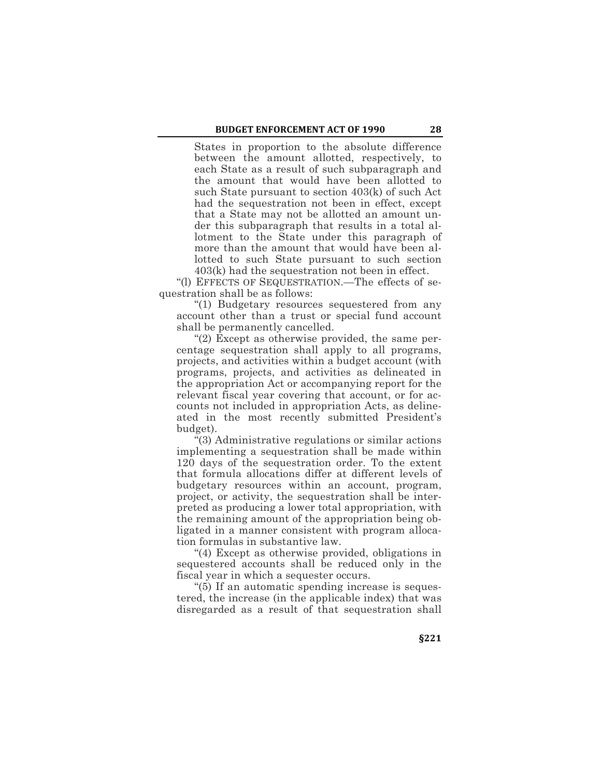States in proportion to the absolute difference between the amount allotted, respectively, to each State as a result of such subparagraph and the amount that would have been allotted to such State pursuant to section 403(k) of such Act had the sequestration not been in effect, except that a State may not be allotted an amount under this subparagraph that results in a total allotment to the State under this paragraph of more than the amount that would have been allotted to such State pursuant to such section 403(k) had the sequestration not been in effect.

"(l) EFFECTS OF SEQUESTRATION.—The effects of sequestration shall be as follows:

"(1) Budgetary resources sequestered from any account other than a trust or special fund account shall be permanently cancelled.

"(2) Except as otherwise provided, the same percentage sequestration shall apply to all programs, projects, and activities within a budget account (with programs, projects, and activities as delineated in the appropriation Act or accompanying report for the relevant fiscal year covering that account, or for accounts not included in appropriation Acts, as delineated in the most recently submitted President's budget).

"(3) Administrative regulations or similar actions implementing a sequestration shall be made within 120 days of the sequestration order. To the extent that formula allocations differ at different levels of budgetary resources within an account, program, project, or activity, the sequestration shall be interpreted as producing a lower total appropriation, with the remaining amount of the appropriation being obligated in a manner consistent with program allocation formulas in substantive law.

"(4) Except as otherwise provided, obligations in sequestered accounts shall be reduced only in the fiscal year in which a sequester occurs.

"(5) If an automatic spending increase is sequestered, the increase (in the applicable index) that was disregarded as a result of that sequestration shall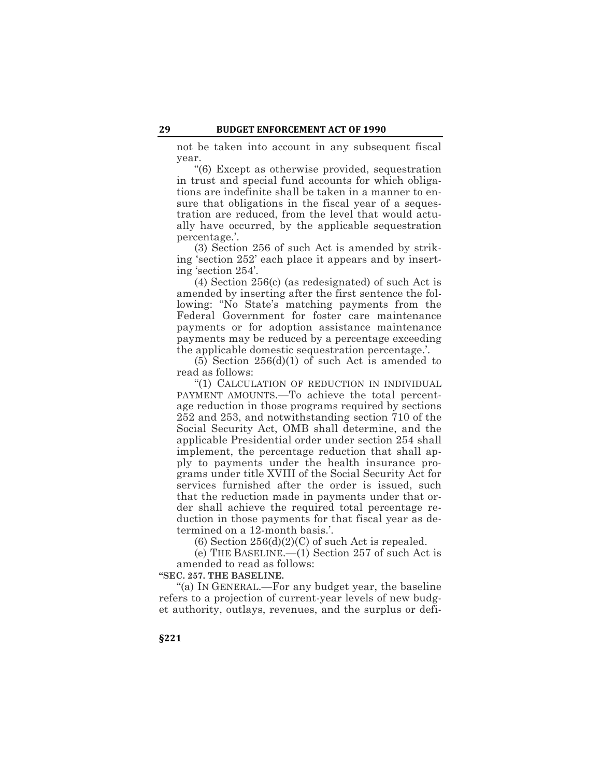not be taken into account in any subsequent fiscal year.

"(6) Except as otherwise provided, sequestration in trust and special fund accounts for which obligations are indefinite shall be taken in a manner to ensure that obligations in the fiscal year of a sequestration are reduced, from the level that would actually have occurred, by the applicable sequestration percentage.'.

(3) Section 256 of such Act is amended by striking 'section 252' each place it appears and by inserting 'section 254'.

(4) Section 256(c) (as redesignated) of such Act is amended by inserting after the first sentence the following: "No State's matching payments from the Federal Government for foster care maintenance payments or for adoption assistance maintenance payments may be reduced by a percentage exceeding the applicable domestic sequestration percentage.'.

 $(5)$  Section 256 $(d)(1)$  of such Act is amended to read as follows:

"(1) CALCULATION OF REDUCTION IN INDIVIDUAL PAYMENT AMOUNTS.—To achieve the total percentage reduction in those programs required by sections 252 and 253, and notwithstanding section 710 of the Social Security Act, OMB shall determine, and the applicable Presidential order under section 254 shall implement, the percentage reduction that shall apply to payments under the health insurance programs under title XVIII of the Social Security Act for services furnished after the order is issued, such that the reduction made in payments under that order shall achieve the required total percentage reduction in those payments for that fiscal year as determined on a 12-month basis.'.

(6) Section  $256(d)(2)(C)$  of such Act is repealed.

(e) THE BASELINE.—(1) Section 257 of such Act is amended to read as follows:

**"SEC. 257. THE BASELINE.**

"(a) IN GENERAL.—For any budget year, the baseline refers to a projection of current-year levels of new budget authority, outlays, revenues, and the surplus or defi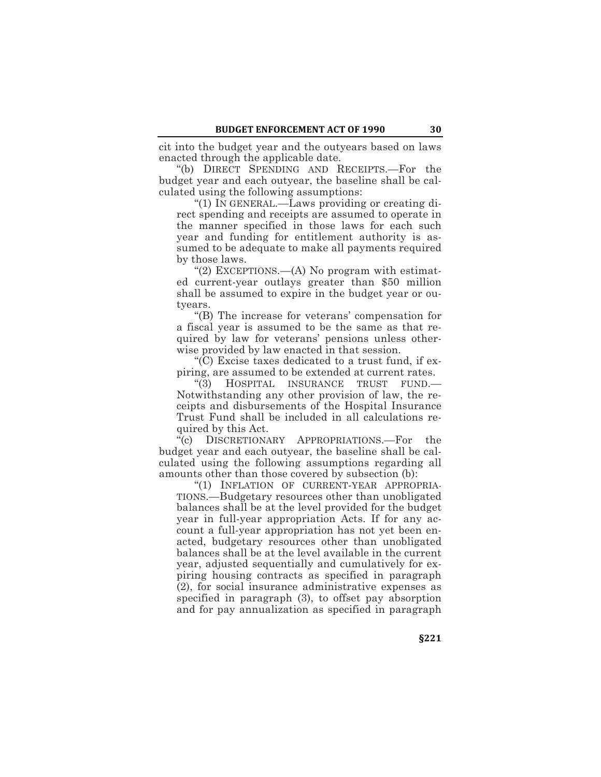cit into the budget year and the outyears based on laws enacted through the applicable date.

"(b) DIRECT SPENDING AND RECEIPTS.—For the budget year and each outyear, the baseline shall be calculated using the following assumptions:

"(1) IN GENERAL.—Laws providing or creating direct spending and receipts are assumed to operate in the manner specified in those laws for each such year and funding for entitlement authority is assumed to be adequate to make all payments required by those laws.

"(2) EXCEPTIONS.—(A) No program with estimated current-year outlays greater than \$50 million shall be assumed to expire in the budget year or outyears.

"(B) The increase for veterans' compensation for a fiscal year is assumed to be the same as that required by law for veterans' pensions unless otherwise provided by law enacted in that session.

"(C) Excise taxes dedicated to a trust fund, if expiring, are assumed to be extended at current rates.

"(3) HOSPITAL INSURANCE TRUST FUND.— Notwithstanding any other provision of law, the receipts and disbursements of the Hospital Insurance Trust Fund shall be included in all calculations required by this Act.

"(c) DISCRETIONARY APPROPRIATIONS.—For the budget year and each outyear, the baseline shall be calculated using the following assumptions regarding all amounts other than those covered by subsection (b):

"(1) INFLATION OF CURRENT-YEAR APPROPRIA-TIONS.—Budgetary resources other than unobligated balances shall be at the level provided for the budget year in full-year appropriation Acts. If for any account a full-year appropriation has not yet been enacted, budgetary resources other than unobligated balances shall be at the level available in the current year, adjusted sequentially and cumulatively for expiring housing contracts as specified in paragraph (2), for social insurance administrative expenses as specified in paragraph (3), to offset pay absorption and for pay annualization as specified in paragraph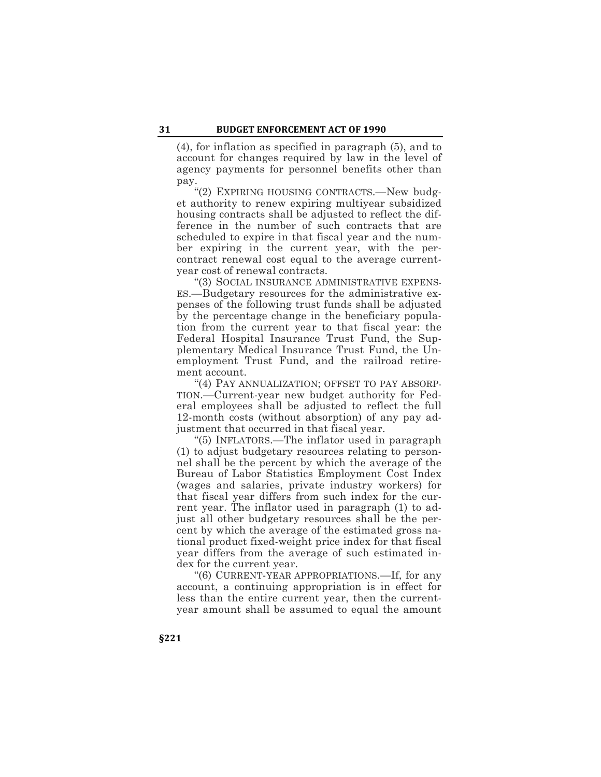(4), for inflation as specified in paragraph (5), and to account for changes required by law in the level of agency payments for personnel benefits other than pay.

"(2) EXPIRING HOUSING CONTRACTS.—New budget authority to renew expiring multiyear subsidized housing contracts shall be adjusted to reflect the difference in the number of such contracts that are scheduled to expire in that fiscal year and the number expiring in the current year, with the percontract renewal cost equal to the average currentyear cost of renewal contracts.

"(3) SOCIAL INSURANCE ADMINISTRATIVE EXPENS-ES.—Budgetary resources for the administrative expenses of the following trust funds shall be adjusted by the percentage change in the beneficiary population from the current year to that fiscal year: the Federal Hospital Insurance Trust Fund, the Supplementary Medical Insurance Trust Fund, the Unemployment Trust Fund, and the railroad retirement account.

"(4) PAY ANNUALIZATION; OFFSET TO PAY ABSORP-TION.—Current-year new budget authority for Federal employees shall be adjusted to reflect the full 12-month costs (without absorption) of any pay adjustment that occurred in that fiscal year.

"(5) INFLATORS.—The inflator used in paragraph (1) to adjust budgetary resources relating to personnel shall be the percent by which the average of the Bureau of Labor Statistics Employment Cost Index (wages and salaries, private industry workers) for that fiscal year differs from such index for the current year. The inflator used in paragraph (1) to adjust all other budgetary resources shall be the percent by which the average of the estimated gross national product fixed-weight price index for that fiscal year differs from the average of such estimated index for the current year.

"(6) CURRENT-YEAR APPROPRIATIONS.—If, for any account, a continuing appropriation is in effect for less than the entire current year, then the currentyear amount shall be assumed to equal the amount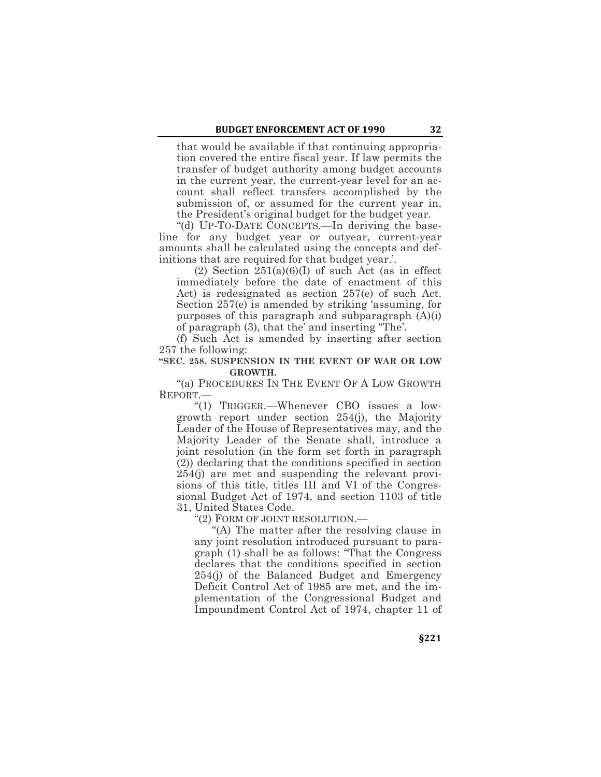that would be available if that continuing appropriation covered the entire fiscal year. If law permits the transfer of budget authority among budget accounts in the current year, the current-year level for an account shall reflect transfers accomplished by the submission of, or assumed for the current year in, the President's original budget for the budget year.

"(d) UP-TO-DATE CONCEPTS.—In deriving the baseline for any budget year or outyear, current-year amounts shall be calculated using the concepts and definitions that are required for that budget year.'.

 $(2)$  Section  $251(a)(6)(I)$  of such Act (as in effect immediately before the date of enactment of this Act) is redesignated as section 257(e) of such Act. Section 257(e) is amended by striking 'assuming, for purposes of this paragraph and subparagraph (A)(i) of paragraph (3), that the' and inserting "The'.

(f) Such Act is amended by inserting after section 257 the following:

# **"SEC. 258. SUSPENSION IN THE EVENT OF WAR OR LOW GROWTH.**

"(a) PROCEDURES IN THE EVENT OF A LOW GROWTH REPORT.—

"(1) TRIGGER.—Whenever CBO issues a lowgrowth report under section 254(j), the Majority Leader of the House of Representatives may, and the Majority Leader of the Senate shall, introduce a joint resolution (in the form set forth in paragraph (2)) declaring that the conditions specified in section 254(j) are met and suspending the relevant provisions of this title, titles III and VI of the Congressional Budget Act of 1974, and section 1103 of title 31, United States Code.

"(2) FORM OF JOINT RESOLUTION.—

"(A) The matter after the resolving clause in any joint resolution introduced pursuant to paragraph (1) shall be as follows: "That the Congress declares that the conditions specified in section 254(j) of the Balanced Budget and Emergency Deficit Control Act of 1985 are met, and the implementation of the Congressional Budget and Impoundment Control Act of 1974, chapter 11 of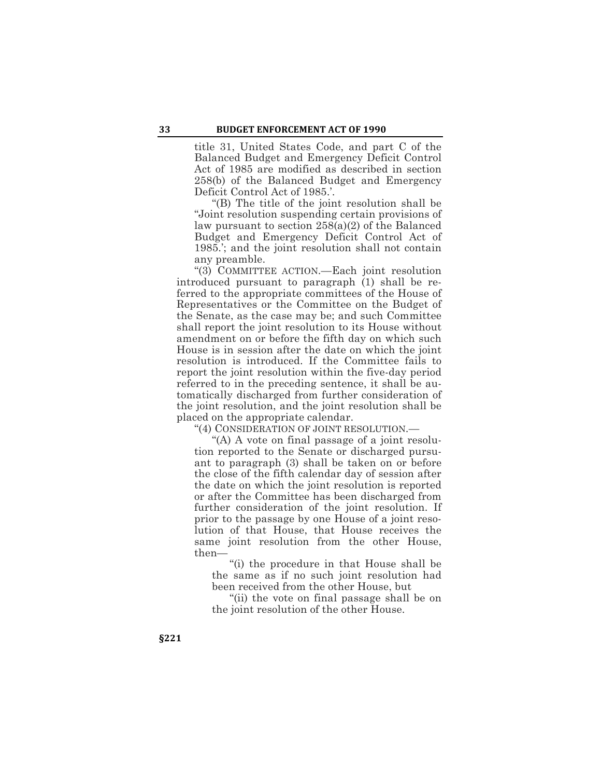title 31, United States Code, and part C of the Balanced Budget and Emergency Deficit Control Act of 1985 are modified as described in section 258(b) of the Balanced Budget and Emergency Deficit Control Act of 1985.'.

"(B) The title of the joint resolution shall be "Joint resolution suspending certain provisions of law pursuant to section 258(a)(2) of the Balanced Budget and Emergency Deficit Control Act of 1985.'; and the joint resolution shall not contain any preamble.

"(3) COMMITTEE ACTION.—Each joint resolution introduced pursuant to paragraph (1) shall be referred to the appropriate committees of the House of Representatives or the Committee on the Budget of the Senate, as the case may be; and such Committee shall report the joint resolution to its House without amendment on or before the fifth day on which such House is in session after the date on which the joint resolution is introduced. If the Committee fails to report the joint resolution within the five-day period referred to in the preceding sentence, it shall be automatically discharged from further consideration of the joint resolution, and the joint resolution shall be placed on the appropriate calendar.

"(4) CONSIDERATION OF JOINT RESOLUTION.—

"(A) A vote on final passage of a joint resolution reported to the Senate or discharged pursuant to paragraph (3) shall be taken on or before the close of the fifth calendar day of session after the date on which the joint resolution is reported or after the Committee has been discharged from further consideration of the joint resolution. If prior to the passage by one House of a joint resolution of that House, that House receives the same joint resolution from the other House, then—

"(i) the procedure in that House shall be the same as if no such joint resolution had been received from the other House, but

"(ii) the vote on final passage shall be on the joint resolution of the other House.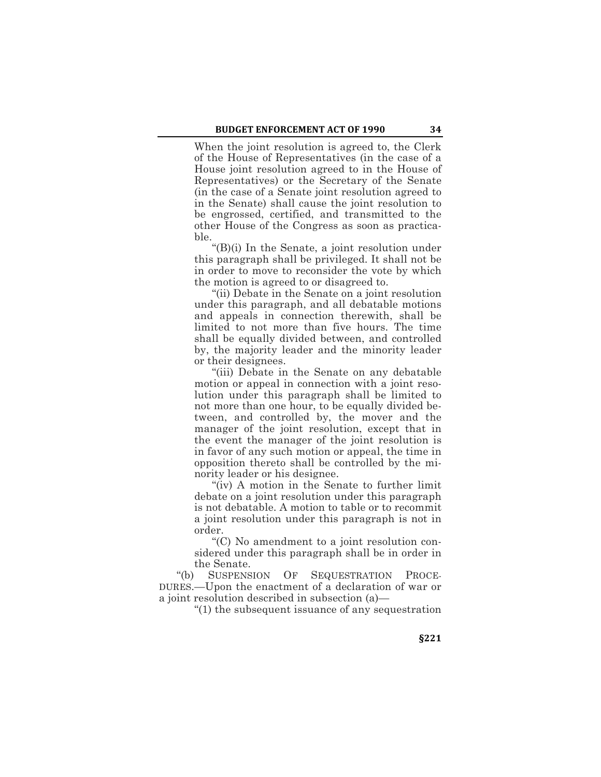When the joint resolution is agreed to, the Clerk of the House of Representatives (in the case of a House joint resolution agreed to in the House of Representatives) or the Secretary of the Senate (in the case of a Senate joint resolution agreed to in the Senate) shall cause the joint resolution to be engrossed, certified, and transmitted to the other House of the Congress as soon as practicable.

"(B)(i) In the Senate, a joint resolution under this paragraph shall be privileged. It shall not be in order to move to reconsider the vote by which the motion is agreed to or disagreed to.

"(ii) Debate in the Senate on a joint resolution under this paragraph, and all debatable motions and appeals in connection therewith, shall be limited to not more than five hours. The time shall be equally divided between, and controlled by, the majority leader and the minority leader or their designees.

"(iii) Debate in the Senate on any debatable motion or appeal in connection with a joint resolution under this paragraph shall be limited to not more than one hour, to be equally divided between, and controlled by, the mover and the manager of the joint resolution, except that in the event the manager of the joint resolution is in favor of any such motion or appeal, the time in opposition thereto shall be controlled by the minority leader or his designee.

"(iv) A motion in the Senate to further limit debate on a joint resolution under this paragraph is not debatable. A motion to table or to recommit a joint resolution under this paragraph is not in order.

"(C) No amendment to a joint resolution considered under this paragraph shall be in order in the Senate.

"(b) SUSPENSION OF SEQUESTRATION PROCE-DURES.—Upon the enactment of a declaration of war or a joint resolution described in subsection (a)—

"(1) the subsequent issuance of any sequestration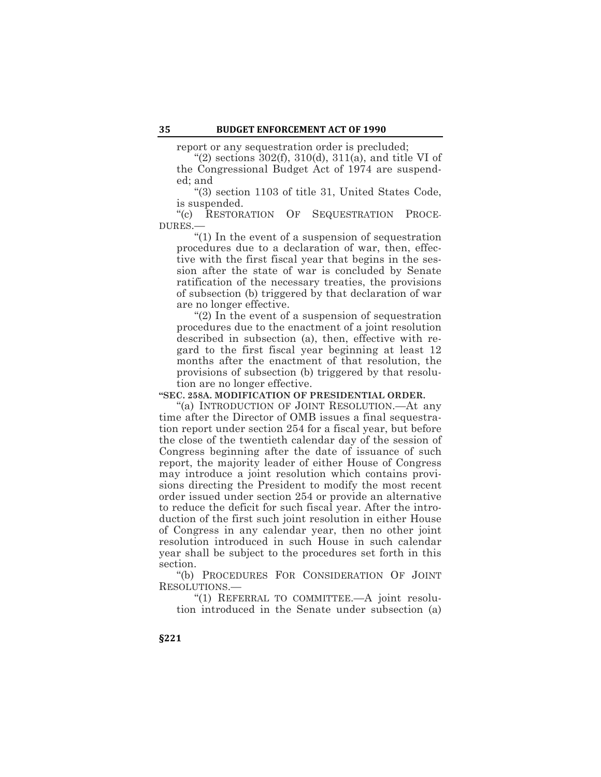report or any sequestration order is precluded;

"(2) sections 302(f), 310(d), 311(a), and title VI of the Congressional Budget Act of 1974 are suspended; and

"(3) section 1103 of title 31, United States Code, is suspended.

"(c) RESTORATION OF SEQUESTRATION PROCE-DURES.—

"(1) In the event of a suspension of sequestration procedures due to a declaration of war, then, effective with the first fiscal year that begins in the session after the state of war is concluded by Senate ratification of the necessary treaties, the provisions of subsection (b) triggered by that declaration of war are no longer effective.

"(2) In the event of a suspension of sequestration procedures due to the enactment of a joint resolution described in subsection (a), then, effective with regard to the first fiscal year beginning at least 12 months after the enactment of that resolution, the provisions of subsection (b) triggered by that resolution are no longer effective.

**"SEC. 258A. MODIFICATION OF PRESIDENTIAL ORDER.**

"(a) INTRODUCTION OF JOINT RESOLUTION.—At any time after the Director of OMB issues a final sequestration report under section 254 for a fiscal year, but before the close of the twentieth calendar day of the session of Congress beginning after the date of issuance of such report, the majority leader of either House of Congress may introduce a joint resolution which contains provisions directing the President to modify the most recent order issued under section 254 or provide an alternative to reduce the deficit for such fiscal year. After the introduction of the first such joint resolution in either House of Congress in any calendar year, then no other joint resolution introduced in such House in such calendar year shall be subject to the procedures set forth in this section.

"(b) PROCEDURES FOR CONSIDERATION OF JOINT RESOLUTIONS.—

"(1) REFERRAL TO COMMITTEE.—A joint resolution introduced in the Senate under subsection (a)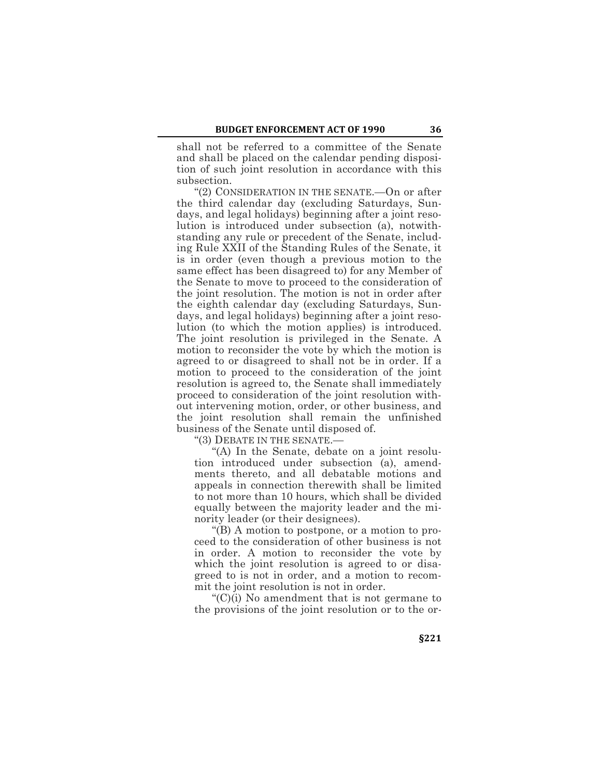shall not be referred to a committee of the Senate and shall be placed on the calendar pending disposition of such joint resolution in accordance with this subsection.

"(2) CONSIDERATION IN THE SENATE.—On or after the third calendar day (excluding Saturdays, Sundays, and legal holidays) beginning after a joint resolution is introduced under subsection (a), notwithstanding any rule or precedent of the Senate, including Rule XXII of the Standing Rules of the Senate, it is in order (even though a previous motion to the same effect has been disagreed to) for any Member of the Senate to move to proceed to the consideration of the joint resolution. The motion is not in order after the eighth calendar day (excluding Saturdays, Sundays, and legal holidays) beginning after a joint resolution (to which the motion applies) is introduced. The joint resolution is privileged in the Senate. A motion to reconsider the vote by which the motion is agreed to or disagreed to shall not be in order. If a motion to proceed to the consideration of the joint resolution is agreed to, the Senate shall immediately proceed to consideration of the joint resolution without intervening motion, order, or other business, and the joint resolution shall remain the unfinished business of the Senate until disposed of.

"(3) DEBATE IN THE SENATE.—

"(A) In the Senate, debate on a joint resolution introduced under subsection (a), amendments thereto, and all debatable motions and appeals in connection therewith shall be limited to not more than 10 hours, which shall be divided equally between the majority leader and the minority leader (or their designees).

"(B) A motion to postpone, or a motion to proceed to the consideration of other business is not in order. A motion to reconsider the vote by which the joint resolution is agreed to or disagreed to is not in order, and a motion to recommit the joint resolution is not in order.

"(C)(i) No amendment that is not germane to the provisions of the joint resolution or to the or-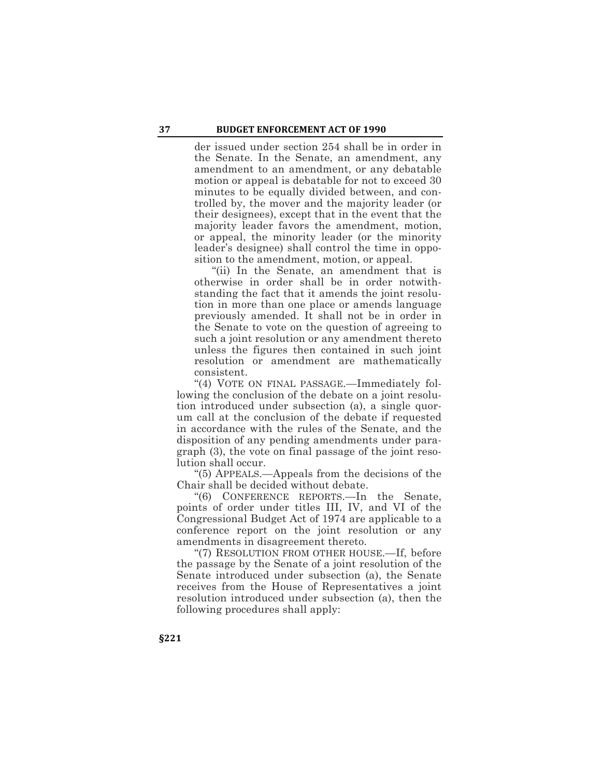der issued under section 254 shall be in order in the Senate. In the Senate, an amendment, any amendment to an amendment, or any debatable motion or appeal is debatable for not to exceed 30 minutes to be equally divided between, and controlled by, the mover and the majority leader (or their designees), except that in the event that the majority leader favors the amendment, motion, or appeal, the minority leader (or the minority leader's designee) shall control the time in opposition to the amendment, motion, or appeal.

"(ii) In the Senate, an amendment that is otherwise in order shall be in order notwithstanding the fact that it amends the joint resolution in more than one place or amends language previously amended. It shall not be in order in the Senate to vote on the question of agreeing to such a joint resolution or any amendment thereto unless the figures then contained in such joint resolution or amendment are mathematically consistent.

"(4) VOTE ON FINAL PASSAGE.—Immediately following the conclusion of the debate on a joint resolution introduced under subsection (a), a single quorum call at the conclusion of the debate if requested in accordance with the rules of the Senate, and the disposition of any pending amendments under paragraph (3), the vote on final passage of the joint resolution shall occur.

"(5) APPEALS.—Appeals from the decisions of the Chair shall be decided without debate.

"(6) CONFERENCE REPORTS.—In the Senate, points of order under titles III, IV, and VI of the Congressional Budget Act of 1974 are applicable to a conference report on the joint resolution or any amendments in disagreement thereto.

"(7) RESOLUTION FROM OTHER HOUSE.—If, before the passage by the Senate of a joint resolution of the Senate introduced under subsection (a), the Senate receives from the House of Representatives a joint resolution introduced under subsection (a), then the following procedures shall apply: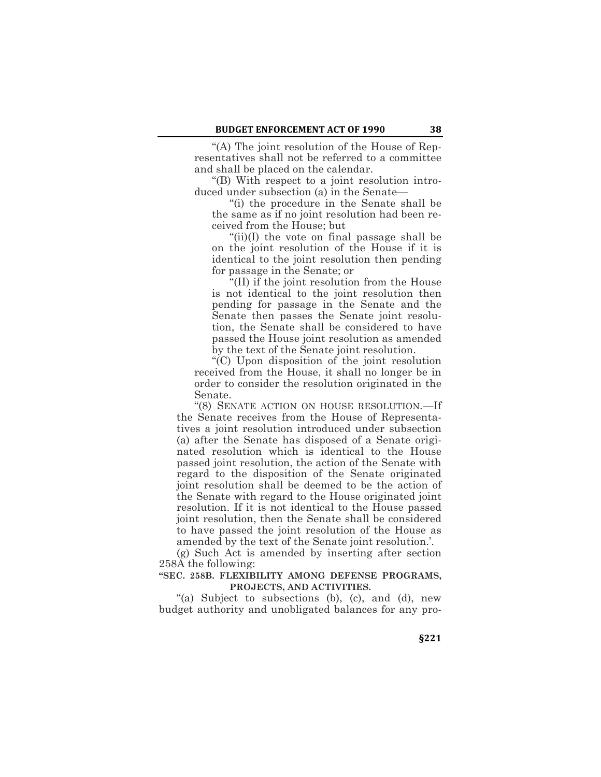"(A) The joint resolution of the House of Representatives shall not be referred to a committee and shall be placed on the calendar.

"(B) With respect to a joint resolution introduced under subsection (a) in the Senate—

"(i) the procedure in the Senate shall be the same as if no joint resolution had been received from the House; but

"(ii)(I) the vote on final passage shall be on the joint resolution of the House if it is identical to the joint resolution then pending for passage in the Senate; or

"(II) if the joint resolution from the House is not identical to the joint resolution then pending for passage in the Senate and the Senate then passes the Senate joint resolution, the Senate shall be considered to have passed the House joint resolution as amended by the text of the Senate joint resolution.

"(C) Upon disposition of the joint resolution received from the House, it shall no longer be in order to consider the resolution originated in the Senate.

"(8) SENATE ACTION ON HOUSE RESOLUTION.—If the Senate receives from the House of Representatives a joint resolution introduced under subsection (a) after the Senate has disposed of a Senate originated resolution which is identical to the House passed joint resolution, the action of the Senate with regard to the disposition of the Senate originated joint resolution shall be deemed to be the action of the Senate with regard to the House originated joint resolution. If it is not identical to the House passed joint resolution, then the Senate shall be considered to have passed the joint resolution of the House as amended by the text of the Senate joint resolution.'.

(g) Such Act is amended by inserting after section 258A the following:

#### **"SEC. 258B. FLEXIBILITY AMONG DEFENSE PROGRAMS, PROJECTS, AND ACTIVITIES.**

"(a) Subject to subsections (b), (c), and (d), new budget authority and unobligated balances for any pro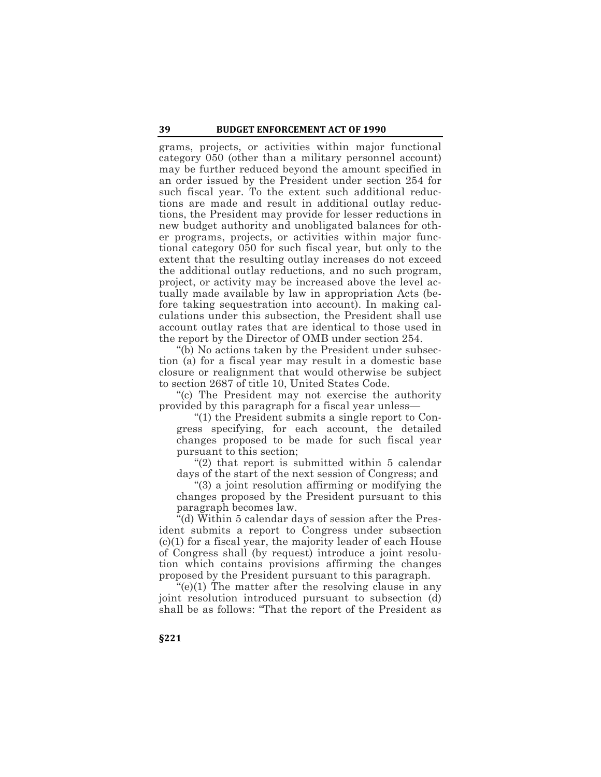grams, projects, or activities within major functional category 050 (other than a military personnel account) may be further reduced beyond the amount specified in an order issued by the President under section 254 for such fiscal year. To the extent such additional reductions are made and result in additional outlay reductions, the President may provide for lesser reductions in new budget authority and unobligated balances for other programs, projects, or activities within major functional category 050 for such fiscal year, but only to the extent that the resulting outlay increases do not exceed the additional outlay reductions, and no such program, project, or activity may be increased above the level actually made available by law in appropriation Acts (before taking sequestration into account). In making calculations under this subsection, the President shall use account outlay rates that are identical to those used in the report by the Director of OMB under section 254.

"(b) No actions taken by the President under subsection (a) for a fiscal year may result in a domestic base closure or realignment that would otherwise be subject to section 2687 of title 10, United States Code.

"(c) The President may not exercise the authority provided by this paragraph for a fiscal year unless—

"(1) the President submits a single report to Congress specifying, for each account, the detailed changes proposed to be made for such fiscal year pursuant to this section;

"(2) that report is submitted within 5 calendar days of the start of the next session of Congress; and

"(3) a joint resolution affirming or modifying the changes proposed by the President pursuant to this paragraph becomes law.

"(d) Within 5 calendar days of session after the President submits a report to Congress under subsection (c)(1) for a fiscal year, the majority leader of each House of Congress shall (by request) introduce a joint resolution which contains provisions affirming the changes proposed by the President pursuant to this paragraph.

"(e)(1) The matter after the resolving clause in any joint resolution introduced pursuant to subsection (d) shall be as follows: "That the report of the President as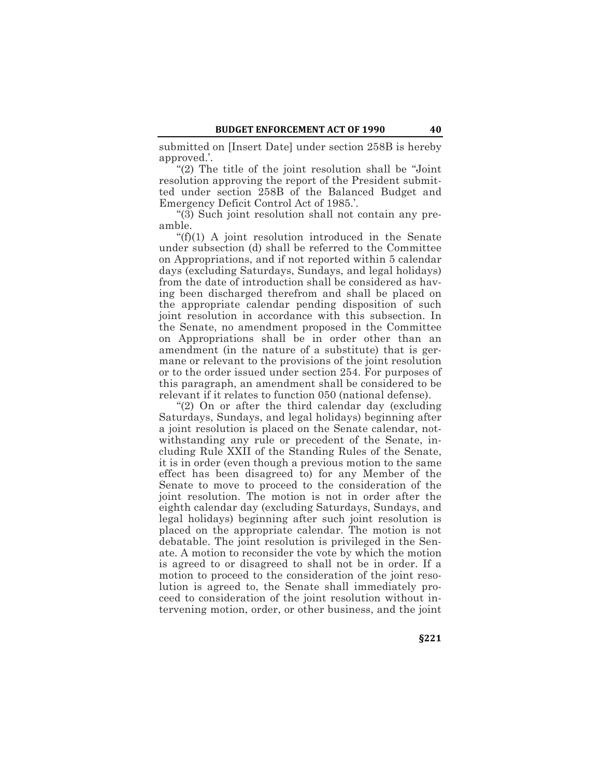submitted on [Insert Date] under section 258B is hereby approved.'.

"(2) The title of the joint resolution shall be "Joint resolution approving the report of the President submitted under section 258B of the Balanced Budget and Emergency Deficit Control Act of 1985.'.

"(3) Such joint resolution shall not contain any preamble.

"(f)(1) A joint resolution introduced in the Senate under subsection (d) shall be referred to the Committee on Appropriations, and if not reported within 5 calendar days (excluding Saturdays, Sundays, and legal holidays) from the date of introduction shall be considered as having been discharged therefrom and shall be placed on the appropriate calendar pending disposition of such joint resolution in accordance with this subsection. In the Senate, no amendment proposed in the Committee on Appropriations shall be in order other than an amendment (in the nature of a substitute) that is germane or relevant to the provisions of the joint resolution or to the order issued under section 254. For purposes of this paragraph, an amendment shall be considered to be relevant if it relates to function 050 (national defense).

"(2) On or after the third calendar day (excluding Saturdays, Sundays, and legal holidays) beginning after a joint resolution is placed on the Senate calendar, notwithstanding any rule or precedent of the Senate, including Rule XXII of the Standing Rules of the Senate, it is in order (even though a previous motion to the same effect has been disagreed to) for any Member of the Senate to move to proceed to the consideration of the joint resolution. The motion is not in order after the eighth calendar day (excluding Saturdays, Sundays, and legal holidays) beginning after such joint resolution is placed on the appropriate calendar. The motion is not debatable. The joint resolution is privileged in the Senate. A motion to reconsider the vote by which the motion is agreed to or disagreed to shall not be in order. If a motion to proceed to the consideration of the joint resolution is agreed to, the Senate shall immediately proceed to consideration of the joint resolution without intervening motion, order, or other business, and the joint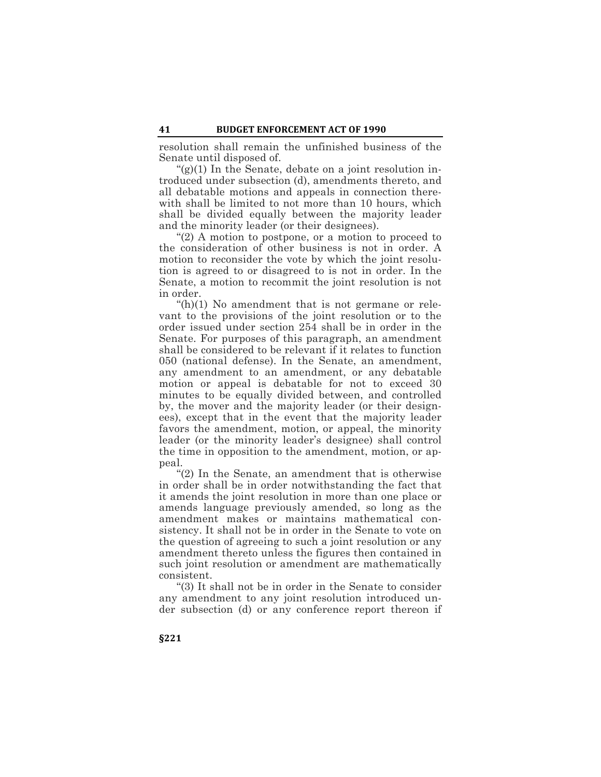resolution shall remain the unfinished business of the Senate until disposed of.

 $\mathfrak{g}(2)(1)$  In the Senate, debate on a joint resolution introduced under subsection (d), amendments thereto, and all debatable motions and appeals in connection therewith shall be limited to not more than 10 hours, which shall be divided equally between the majority leader and the minority leader (or their designees).

"(2) A motion to postpone, or a motion to proceed to the consideration of other business is not in order. A motion to reconsider the vote by which the joint resolution is agreed to or disagreed to is not in order. In the Senate, a motion to recommit the joint resolution is not in order.

 $(h)(1)$  No amendment that is not germane or relevant to the provisions of the joint resolution or to the order issued under section 254 shall be in order in the Senate. For purposes of this paragraph, an amendment shall be considered to be relevant if it relates to function 050 (national defense). In the Senate, an amendment, any amendment to an amendment, or any debatable motion or appeal is debatable for not to exceed 30 minutes to be equally divided between, and controlled by, the mover and the majority leader (or their designees), except that in the event that the majority leader favors the amendment, motion, or appeal, the minority leader (or the minority leader's designee) shall control the time in opposition to the amendment, motion, or appeal.

"(2) In the Senate, an amendment that is otherwise in order shall be in order notwithstanding the fact that it amends the joint resolution in more than one place or amends language previously amended, so long as the amendment makes or maintains mathematical consistency. It shall not be in order in the Senate to vote on the question of agreeing to such a joint resolution or any amendment thereto unless the figures then contained in such joint resolution or amendment are mathematically consistent.

"(3) It shall not be in order in the Senate to consider any amendment to any joint resolution introduced under subsection (d) or any conference report thereon if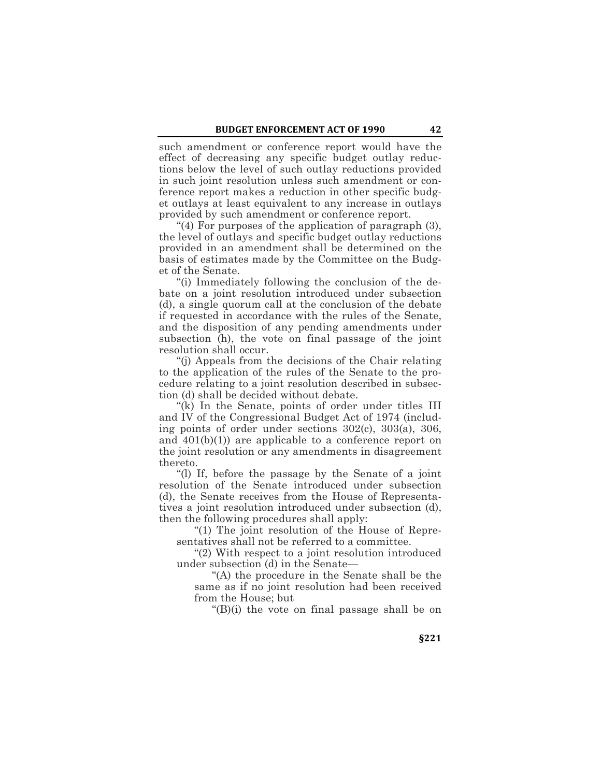such amendment or conference report would have the effect of decreasing any specific budget outlay reductions below the level of such outlay reductions provided in such joint resolution unless such amendment or conference report makes a reduction in other specific budget outlays at least equivalent to any increase in outlays provided by such amendment or conference report.

"(4) For purposes of the application of paragraph (3), the level of outlays and specific budget outlay reductions provided in an amendment shall be determined on the basis of estimates made by the Committee on the Budget of the Senate.

"(i) Immediately following the conclusion of the debate on a joint resolution introduced under subsection (d), a single quorum call at the conclusion of the debate if requested in accordance with the rules of the Senate, and the disposition of any pending amendments under subsection (h), the vote on final passage of the joint resolution shall occur.

"(j) Appeals from the decisions of the Chair relating to the application of the rules of the Senate to the procedure relating to a joint resolution described in subsection (d) shall be decided without debate.

"(k) In the Senate, points of order under titles III and IV of the Congressional Budget Act of 1974 (including points of order under sections 302(c), 303(a), 306, and 401(b)(1)) are applicable to a conference report on the joint resolution or any amendments in disagreement thereto.

"(l) If, before the passage by the Senate of a joint resolution of the Senate introduced under subsection (d), the Senate receives from the House of Representatives a joint resolution introduced under subsection (d), then the following procedures shall apply:

"(1) The joint resolution of the House of Representatives shall not be referred to a committee.

"(2) With respect to a joint resolution introduced under subsection (d) in the Senate—

"(A) the procedure in the Senate shall be the same as if no joint resolution had been received from the House; but

"(B)(i) the vote on final passage shall be on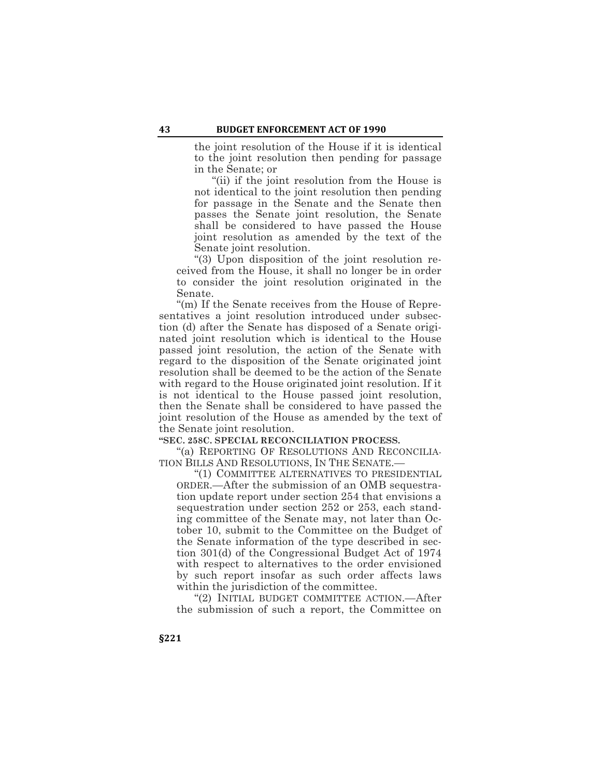the joint resolution of the House if it is identical to the joint resolution then pending for passage in the Senate; or

"(ii) if the joint resolution from the House is not identical to the joint resolution then pending for passage in the Senate and the Senate then passes the Senate joint resolution, the Senate shall be considered to have passed the House joint resolution as amended by the text of the Senate joint resolution.

"(3) Upon disposition of the joint resolution received from the House, it shall no longer be in order to consider the joint resolution originated in the Senate.

"(m) If the Senate receives from the House of Representatives a joint resolution introduced under subsection (d) after the Senate has disposed of a Senate originated joint resolution which is identical to the House passed joint resolution, the action of the Senate with regard to the disposition of the Senate originated joint resolution shall be deemed to be the action of the Senate with regard to the House originated joint resolution. If it is not identical to the House passed joint resolution, then the Senate shall be considered to have passed the joint resolution of the House as amended by the text of the Senate joint resolution.

**"SEC. 258C. SPECIAL RECONCILIATION PROCESS.**

"(a) REPORTING OF RESOLUTIONS AND RECONCILIA-TION BILLS AND RESOLUTIONS, IN THE SENATE.—

"(1) COMMITTEE ALTERNATIVES TO PRESIDENTIAL ORDER.—After the submission of an OMB sequestration update report under section 254 that envisions a sequestration under section 252 or 253, each standing committee of the Senate may, not later than October 10, submit to the Committee on the Budget of the Senate information of the type described in section 301(d) of the Congressional Budget Act of 1974 with respect to alternatives to the order envisioned by such report insofar as such order affects laws within the jurisdiction of the committee.

"(2) INITIAL BUDGET COMMITTEE ACTION.—After the submission of such a report, the Committee on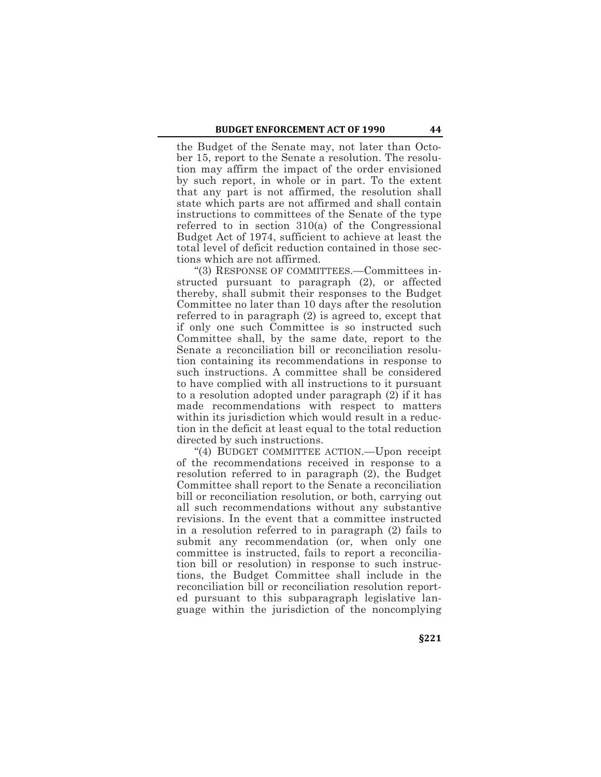the Budget of the Senate may, not later than October 15, report to the Senate a resolution. The resolution may affirm the impact of the order envisioned by such report, in whole or in part. To the extent that any part is not affirmed, the resolution shall state which parts are not affirmed and shall contain instructions to committees of the Senate of the type referred to in section 310(a) of the Congressional Budget Act of 1974, sufficient to achieve at least the total level of deficit reduction contained in those sections which are not affirmed.

"(3) RESPONSE OF COMMITTEES.—Committees instructed pursuant to paragraph (2), or affected thereby, shall submit their responses to the Budget Committee no later than 10 days after the resolution referred to in paragraph (2) is agreed to, except that if only one such Committee is so instructed such Committee shall, by the same date, report to the Senate a reconciliation bill or reconciliation resolution containing its recommendations in response to such instructions. A committee shall be considered to have complied with all instructions to it pursuant to a resolution adopted under paragraph (2) if it has made recommendations with respect to matters within its jurisdiction which would result in a reduction in the deficit at least equal to the total reduction directed by such instructions.

"(4) BUDGET COMMITTEE ACTION.—Upon receipt of the recommendations received in response to a resolution referred to in paragraph (2), the Budget Committee shall report to the Senate a reconciliation bill or reconciliation resolution, or both, carrying out all such recommendations without any substantive revisions. In the event that a committee instructed in a resolution referred to in paragraph (2) fails to submit any recommendation (or, when only one committee is instructed, fails to report a reconciliation bill or resolution) in response to such instructions, the Budget Committee shall include in the reconciliation bill or reconciliation resolution reported pursuant to this subparagraph legislative language within the jurisdiction of the noncomplying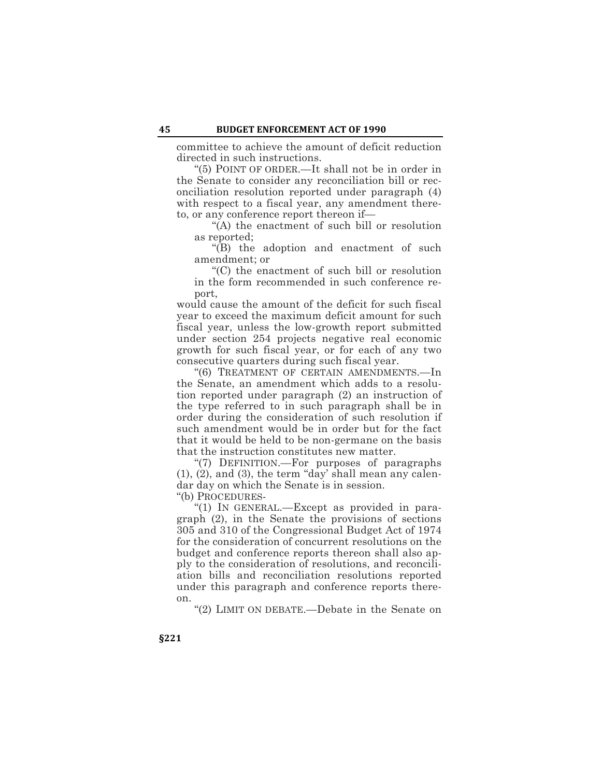committee to achieve the amount of deficit reduction directed in such instructions.

"(5) POINT OF ORDER.—It shall not be in order in the Senate to consider any reconciliation bill or reconciliation resolution reported under paragraph (4) with respect to a fiscal year, any amendment thereto, or any conference report thereon if—

"(A) the enactment of such bill or resolution as reported;

"(B) the adoption and enactment of such amendment; or

"(C) the enactment of such bill or resolution in the form recommended in such conference report,

would cause the amount of the deficit for such fiscal year to exceed the maximum deficit amount for such fiscal year, unless the low-growth report submitted under section 254 projects negative real economic growth for such fiscal year, or for each of any two consecutive quarters during such fiscal year.

"(6) TREATMENT OF CERTAIN AMENDMENTS.—In the Senate, an amendment which adds to a resolution reported under paragraph (2) an instruction of the type referred to in such paragraph shall be in order during the consideration of such resolution if such amendment would be in order but for the fact that it would be held to be non-germane on the basis that the instruction constitutes new matter.

"(7) DEFINITION.—For purposes of paragraphs (1), (2), and (3), the term "day' shall mean any calendar day on which the Senate is in session.

"(b) PROCEDURES-

"(1) IN GENERAL.—Except as provided in paragraph (2), in the Senate the provisions of sections 305 and 310 of the Congressional Budget Act of 1974 for the consideration of concurrent resolutions on the budget and conference reports thereon shall also apply to the consideration of resolutions, and reconciliation bills and reconciliation resolutions reported under this paragraph and conference reports thereon.

"(2) LIMIT ON DEBATE.—Debate in the Senate on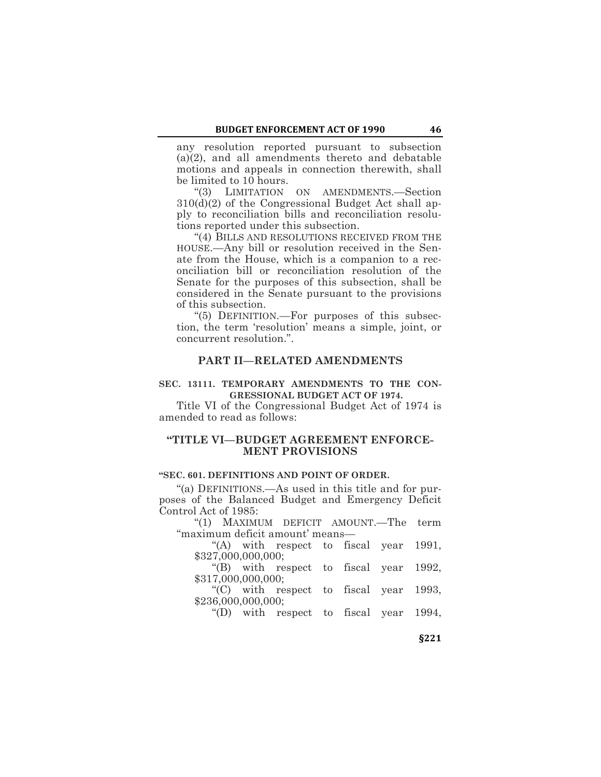any resolution reported pursuant to subsection (a)(2), and all amendments thereto and debatable motions and appeals in connection therewith, shall be limited to 10 hours.

"(3) LIMITATION ON AMENDMENTS.—Section 310(d)(2) of the Congressional Budget Act shall apply to reconciliation bills and reconciliation resolutions reported under this subsection.

"(4) BILLS AND RESOLUTIONS RECEIVED FROM THE HOUSE.—Any bill or resolution received in the Senate from the House, which is a companion to a reconciliation bill or reconciliation resolution of the Senate for the purposes of this subsection, shall be considered in the Senate pursuant to the provisions of this subsection.

"(5) DEFINITION.—For purposes of this subsection, the term 'resolution' means a simple, joint, or concurrent resolution.".

#### **PART II—RELATED AMENDMENTS**

### **SEC. 13111. TEMPORARY AMENDMENTS TO THE CON-GRESSIONAL BUDGET ACT OF 1974.**

Title VI of the Congressional Budget Act of 1974 is amended to read as follows:

# **"TITLE VI—BUDGET AGREEMENT ENFORCE-MENT PROVISIONS**

# **"SEC. 601. DEFINITIONS AND POINT OF ORDER.**

"(a) DEFINITIONS.—As used in this title and for purposes of the Balanced Budget and Emergency Deficit Control Act of 1985:

"(1) MAXIMUM DEFICIT AMOUNT.—The term "maximum deficit amount' means—

"(A) with respect to fiscal year 1991, \$327,000,000,000;

"(B) with respect to fiscal year 1992, \$317,000,000,000;

"(C) with respect to fiscal year 1993, \$236,000,000,000;

"(D) with respect to fiscal year 1994,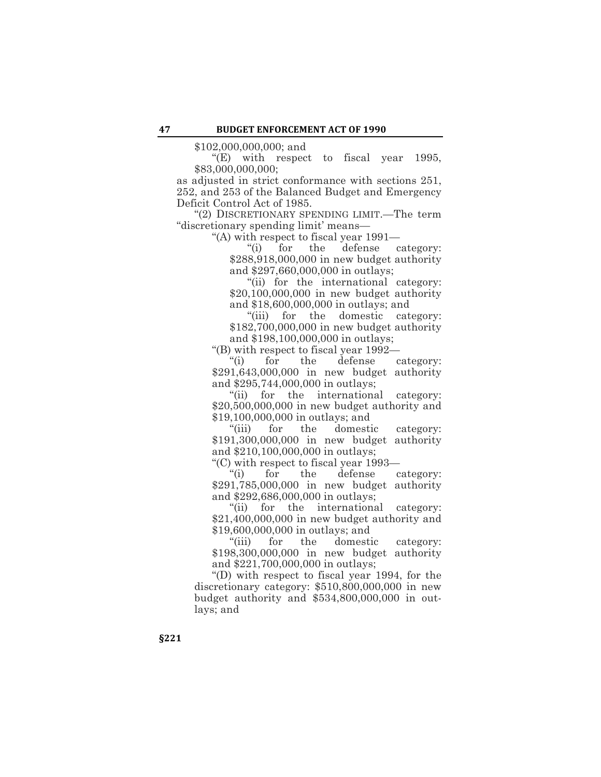\$102,000,000,000; and

"(E) with respect to fiscal year 1995, \$83,000,000,000;

as adjusted in strict conformance with sections 251, 252, and 253 of the Balanced Budget and Emergency Deficit Control Act of 1985.

"(2) DISCRETIONARY SPENDING LIMIT.—The term "discretionary spending limit' means—

"(A) with respect to fiscal year 1991—

"(i) for the defense category: \$288,918,000,000 in new budget authority and \$297,660,000,000 in outlays;

"(ii) for the international category: \$20,100,000,000 in new budget authority and \$18,600,000,000 in outlays; and

"(iii) for the domestic category: \$182,700,000,000 in new budget authority and \$198,100,000,000 in outlays;

"(B) with respect to fiscal year 1992—

"(i) for the defense category: \$291,643,000,000 in new budget authority and \$295,744,000,000 in outlays;

"(ii) for the international category: \$20,500,000,000 in new budget authority and \$19,100,000,000 in outlays; and

"(iii) for the domestic category: \$191,300,000,000 in new budget authority and \$210,100,000,000 in outlays;

"(C) with respect to fiscal year 1993—

"(i) for the defense category: \$291,785,000,000 in new budget authority and \$292,686,000,000 in outlays;

"(ii) for the international category: \$21,400,000,000 in new budget authority and \$19,600,000,000 in outlays; and

"(iii) for the domestic category: \$198,300,000,000 in new budget authority and \$221,700,000,000 in outlays;

"(D) with respect to fiscal year 1994, for the discretionary category: \$510,800,000,000 in new budget authority and \$534,800,000,000 in outlays; and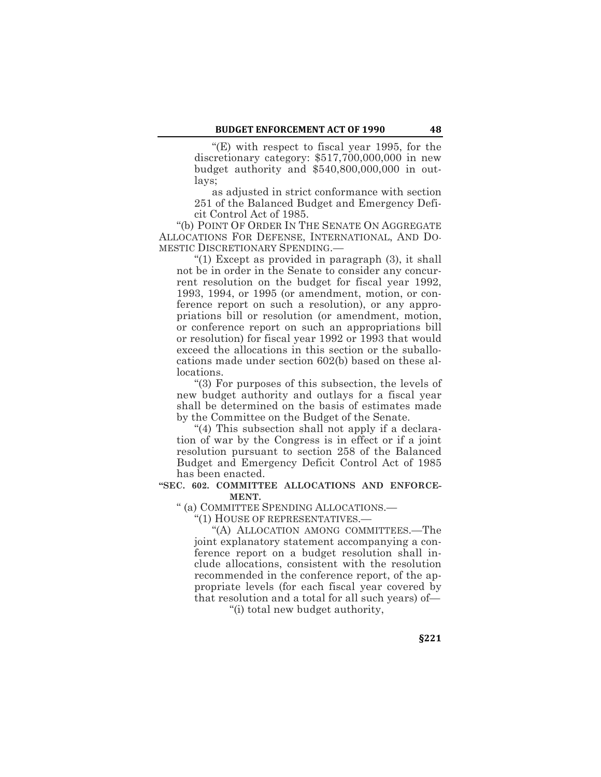"(E) with respect to fiscal year 1995, for the discretionary category: \$517,700,000,000 in new budget authority and \$540,800,000,000 in outlays;

as adjusted in strict conformance with section 251 of the Balanced Budget and Emergency Deficit Control Act of 1985.

"(b) POINT OF ORDER IN THE SENATE ON AGGREGATE ALLOCATIONS FOR DEFENSE, INTERNATIONAL, AND DO-MESTIC DISCRETIONARY SPENDING.—

"(1) Except as provided in paragraph (3), it shall not be in order in the Senate to consider any concurrent resolution on the budget for fiscal year 1992, 1993, 1994, or 1995 (or amendment, motion, or conference report on such a resolution), or any appropriations bill or resolution (or amendment, motion, or conference report on such an appropriations bill or resolution) for fiscal year 1992 or 1993 that would exceed the allocations in this section or the suballocations made under section 602(b) based on these allocations.

"(3) For purposes of this subsection, the levels of new budget authority and outlays for a fiscal year shall be determined on the basis of estimates made by the Committee on the Budget of the Senate.

"(4) This subsection shall not apply if a declaration of war by the Congress is in effect or if a joint resolution pursuant to section 258 of the Balanced Budget and Emergency Deficit Control Act of 1985 has been enacted.

# **"SEC. 602. COMMITTEE ALLOCATIONS AND ENFORCE-MENT.**

" (a) COMMITTEE SPENDING ALLOCATIONS.—

"(1) HOUSE OF REPRESENTATIVES.—

"(A) ALLOCATION AMONG COMMITTEES.—The joint explanatory statement accompanying a conference report on a budget resolution shall include allocations, consistent with the resolution recommended in the conference report, of the appropriate levels (for each fiscal year covered by that resolution and a total for all such years) of—

"(i) total new budget authority,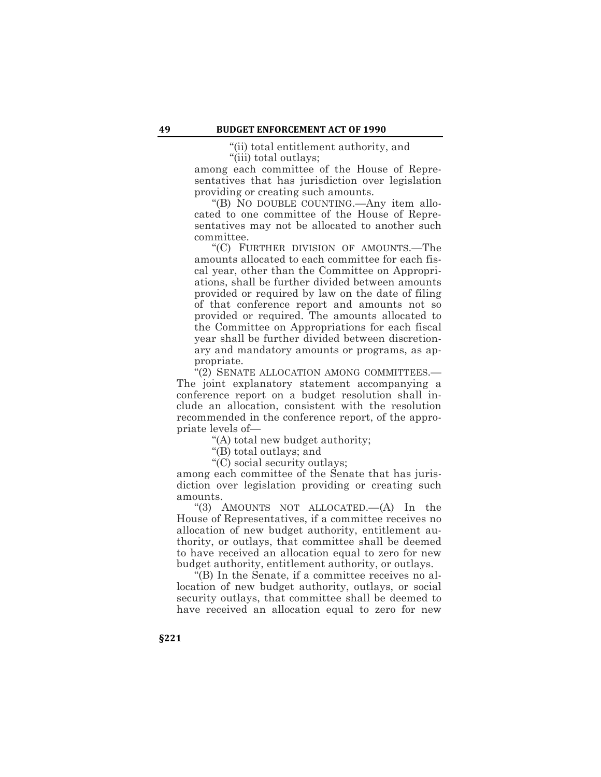"(ii) total entitlement authority, and "(iii) total outlays;

among each committee of the House of Representatives that has jurisdiction over legislation providing or creating such amounts.

"(B) NO DOUBLE COUNTING.—Any item allocated to one committee of the House of Representatives may not be allocated to another such committee.

"(C) FURTHER DIVISION OF AMOUNTS.—The amounts allocated to each committee for each fiscal year, other than the Committee on Appropriations, shall be further divided between amounts provided or required by law on the date of filing of that conference report and amounts not so provided or required. The amounts allocated to the Committee on Appropriations for each fiscal year shall be further divided between discretionary and mandatory amounts or programs, as appropriate.

"(2) SENATE ALLOCATION AMONG COMMITTEES.— The joint explanatory statement accompanying a conference report on a budget resolution shall include an allocation, consistent with the resolution recommended in the conference report, of the appropriate levels of—

"(A) total new budget authority;

"(B) total outlays; and

"(C) social security outlays;

among each committee of the Senate that has jurisdiction over legislation providing or creating such amounts.

"(3) AMOUNTS NOT ALLOCATED.—(A) In the House of Representatives, if a committee receives no allocation of new budget authority, entitlement authority, or outlays, that committee shall be deemed to have received an allocation equal to zero for new budget authority, entitlement authority, or outlays.

 $\tilde{E}(B)$  In the Senate, if a committee receives no allocation of new budget authority, outlays, or social security outlays, that committee shall be deemed to have received an allocation equal to zero for new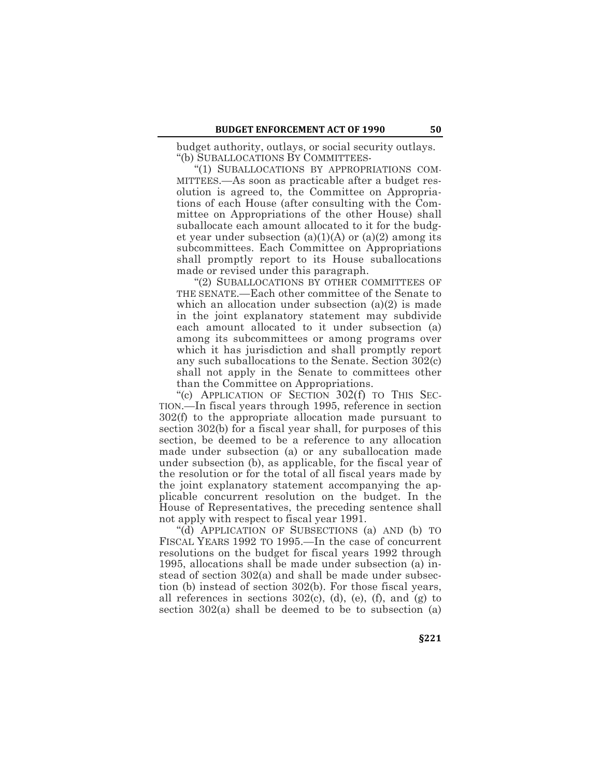budget authority, outlays, or social security outlays. "(b) SUBALLOCATIONS BY COMMITTEES-

"(1) SUBALLOCATIONS BY APPROPRIATIONS COM-MITTEES.—As soon as practicable after a budget resolution is agreed to, the Committee on Appropriations of each House (after consulting with the Committee on Appropriations of the other House) shall suballocate each amount allocated to it for the budget year under subsection  $(a)(1)(A)$  or  $(a)(2)$  among its subcommittees. Each Committee on Appropriations shall promptly report to its House suballocations made or revised under this paragraph.

"(2) SUBALLOCATIONS BY OTHER COMMITTEES OF THE SENATE.—Each other committee of the Senate to which an allocation under subsection (a)(2) is made in the joint explanatory statement may subdivide each amount allocated to it under subsection (a) among its subcommittees or among programs over which it has jurisdiction and shall promptly report any such suballocations to the Senate. Section 302(c) shall not apply in the Senate to committees other than the Committee on Appropriations.

"(c) APPLICATION OF SECTION 302(f) TO THIS SEC-TION.—In fiscal years through 1995, reference in section 302(f) to the appropriate allocation made pursuant to section 302(b) for a fiscal year shall, for purposes of this section, be deemed to be a reference to any allocation made under subsection (a) or any suballocation made under subsection (b), as applicable, for the fiscal year of the resolution or for the total of all fiscal years made by the joint explanatory statement accompanying the applicable concurrent resolution on the budget. In the House of Representatives, the preceding sentence shall not apply with respect to fiscal year 1991.

"(d) APPLICATION OF SUBSECTIONS (a) AND (b) TO FISCAL YEARS 1992 TO 1995.—In the case of concurrent resolutions on the budget for fiscal years 1992 through 1995, allocations shall be made under subsection (a) instead of section 302(a) and shall be made under subsection (b) instead of section 302(b). For those fiscal years, all references in sections  $302(c)$ , (d), (e), (f), and (g) to section 302(a) shall be deemed to be to subsection (a)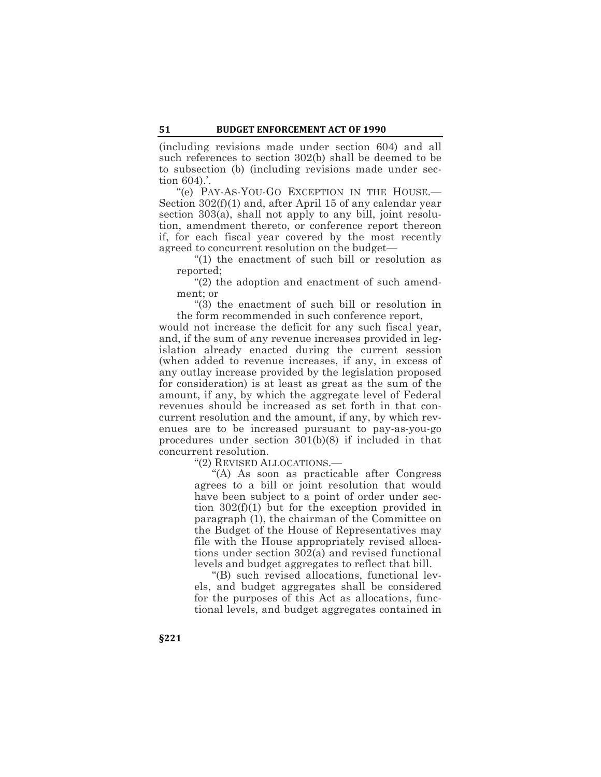(including revisions made under section 604) and all such references to section 302(b) shall be deemed to be to subsection (b) (including revisions made under section 604).'.

"(e) PAY-AS-YOU-GO EXCEPTION IN THE HOUSE.— Section 302(f)(1) and, after April 15 of any calendar year section 303(a), shall not apply to any bill, joint resolution, amendment thereto, or conference report thereon if, for each fiscal year covered by the most recently agreed to concurrent resolution on the budget—

"(1) the enactment of such bill or resolution as reported;

"(2) the adoption and enactment of such amendment; or

"(3) the enactment of such bill or resolution in the form recommended in such conference report,

would not increase the deficit for any such fiscal year, and, if the sum of any revenue increases provided in legislation already enacted during the current session (when added to revenue increases, if any, in excess of any outlay increase provided by the legislation proposed for consideration) is at least as great as the sum of the amount, if any, by which the aggregate level of Federal revenues should be increased as set forth in that concurrent resolution and the amount, if any, by which revenues are to be increased pursuant to pay-as-you-go procedures under section 301(b)(8) if included in that concurrent resolution.

"(2) REVISED ALLOCATIONS.—

"(A) As soon as practicable after Congress agrees to a bill or joint resolution that would have been subject to a point of order under section 302(f)(1) but for the exception provided in paragraph (1), the chairman of the Committee on the Budget of the House of Representatives may file with the House appropriately revised allocations under section 302(a) and revised functional levels and budget aggregates to reflect that bill.

"(B) such revised allocations, functional levels, and budget aggregates shall be considered for the purposes of this Act as allocations, functional levels, and budget aggregates contained in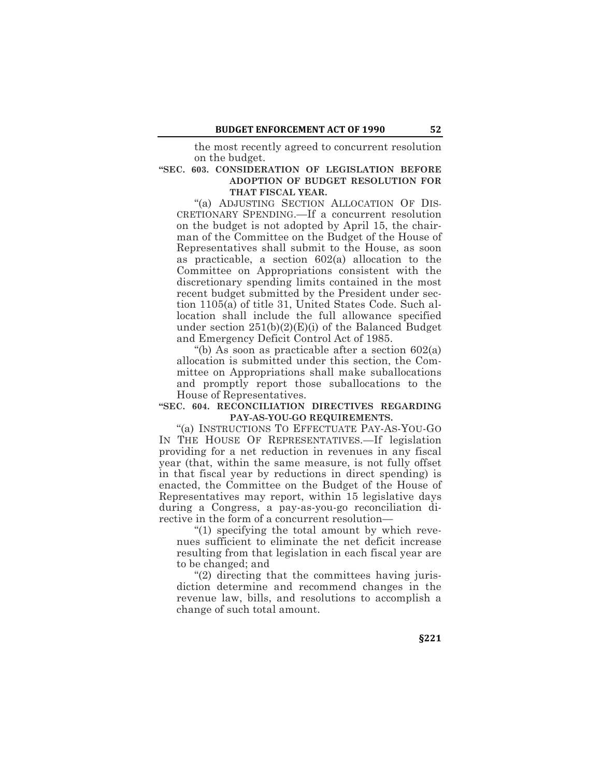the most recently agreed to concurrent resolution on the budget.

#### **"SEC. 603. CONSIDERATION OF LEGISLATION BEFORE ADOPTION OF BUDGET RESOLUTION FOR THAT FISCAL YEAR.**

"(a) ADJUSTING SECTION ALLOCATION OF DIS-CRETIONARY SPENDING.—If a concurrent resolution on the budget is not adopted by April 15, the chairman of the Committee on the Budget of the House of Representatives shall submit to the House, as soon as practicable, a section 602(a) allocation to the Committee on Appropriations consistent with the discretionary spending limits contained in the most recent budget submitted by the President under section 1105(a) of title 31, United States Code. Such allocation shall include the full allowance specified under section  $251(b)(2)(E)(i)$  of the Balanced Budget and Emergency Deficit Control Act of 1985.

"(b) As soon as practicable after a section 602(a) allocation is submitted under this section, the Committee on Appropriations shall make suballocations and promptly report those suballocations to the House of Representatives.

#### **"SEC. 604. RECONCILIATION DIRECTIVES REGARDING PAY-AS-YOU-GO REQUIREMENTS.**

"(a) INSTRUCTIONS TO EFFECTUATE PAY-AS-YOU-GO IN THE HOUSE OF REPRESENTATIVES.—If legislation providing for a net reduction in revenues in any fiscal year (that, within the same measure, is not fully offset in that fiscal year by reductions in direct spending) is enacted, the Committee on the Budget of the House of Representatives may report, within 15 legislative days during a Congress, a pay-as-you-go reconciliation directive in the form of a concurrent resolution—

"(1) specifying the total amount by which revenues sufficient to eliminate the net deficit increase resulting from that legislation in each fiscal year are to be changed; and

"(2) directing that the committees having jurisdiction determine and recommend changes in the revenue law, bills, and resolutions to accomplish a change of such total amount.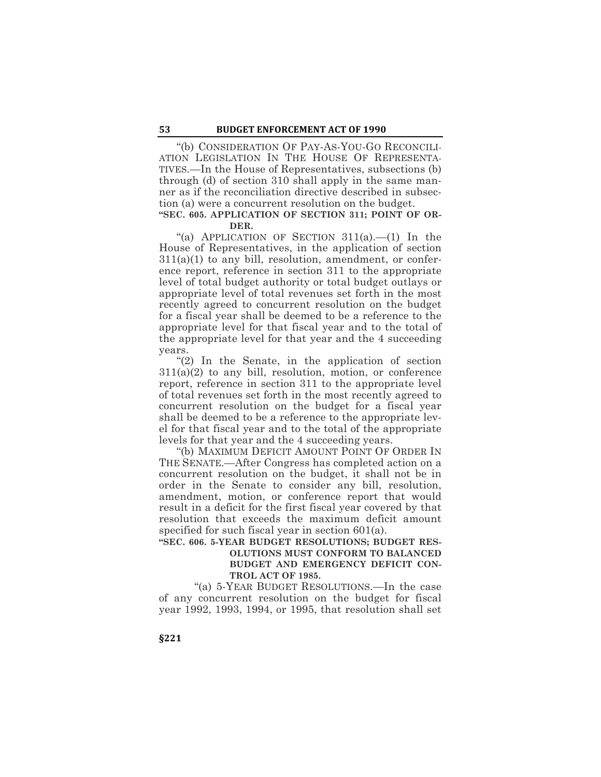"(b) CONSIDERATION OF PAY-AS-YOU-GO RECONCILI-ATION LEGISLATION IN THE HOUSE OF REPRESENTA-TIVES.—In the House of Representatives, subsections (b) through (d) of section 310 shall apply in the same manner as if the reconciliation directive described in subsection (a) were a concurrent resolution on the budget.

#### **"SEC. 605. APPLICATION OF SECTION 311; POINT OF OR-DER.**

"(a) APPLICATION OF SECTION 311(a).—(1) In the House of Representatives, in the application of section  $311(a)(1)$  to any bill, resolution, amendment, or conference report, reference in section 311 to the appropriate level of total budget authority or total budget outlays or appropriate level of total revenues set forth in the most recently agreed to concurrent resolution on the budget for a fiscal year shall be deemed to be a reference to the appropriate level for that fiscal year and to the total of the appropriate level for that year and the 4 succeeding years.

"(2) In the Senate, in the application of section  $311(a)(2)$  to any bill, resolution, motion, or conference report, reference in section 311 to the appropriate level of total revenues set forth in the most recently agreed to concurrent resolution on the budget for a fiscal year shall be deemed to be a reference to the appropriate level for that fiscal year and to the total of the appropriate levels for that year and the 4 succeeding years.

"(b) MAXIMUM DEFICIT AMOUNT POINT OF ORDER IN THE SENATE.—After Congress has completed action on a concurrent resolution on the budget, it shall not be in order in the Senate to consider any bill, resolution, amendment, motion, or conference report that would result in a deficit for the first fiscal year covered by that resolution that exceeds the maximum deficit amount specified for such fiscal year in section 601(a).

# **"SEC. 606. 5-YEAR BUDGET RESOLUTIONS; BUDGET RES-OLUTIONS MUST CONFORM TO BALANCED BUDGET AND EMERGENCY DEFICIT CON-TROL ACT OF 1985.**

"(a) 5-YEAR BUDGET RESOLUTIONS.—In the case of any concurrent resolution on the budget for fiscal year 1992, 1993, 1994, or 1995, that resolution shall set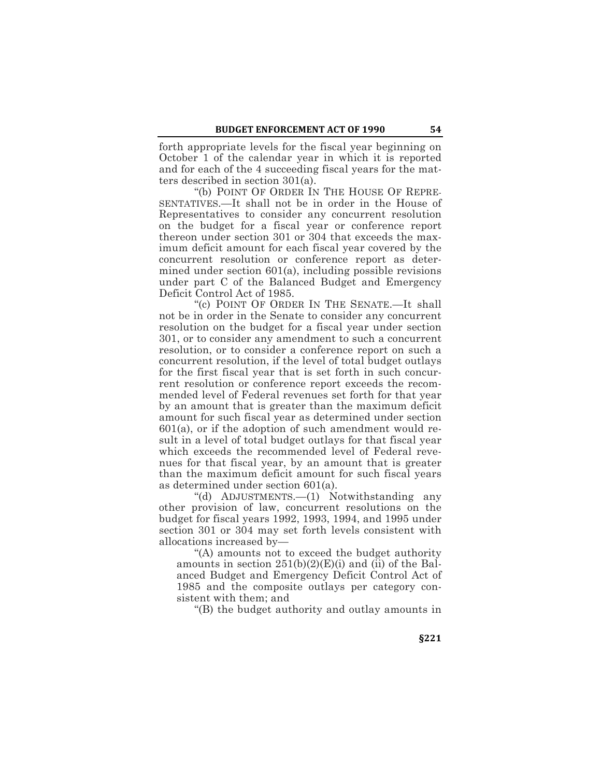forth appropriate levels for the fiscal year beginning on October 1 of the calendar year in which it is reported and for each of the 4 succeeding fiscal years for the matters described in section 301(a).

"(b) POINT OF ORDER IN THE HOUSE OF REPRE-SENTATIVES.—It shall not be in order in the House of Representatives to consider any concurrent resolution on the budget for a fiscal year or conference report thereon under section 301 or 304 that exceeds the maximum deficit amount for each fiscal year covered by the concurrent resolution or conference report as determined under section 601(a), including possible revisions under part C of the Balanced Budget and Emergency Deficit Control Act of 1985.

"(c) POINT OF ORDER IN THE SENATE.—It shall not be in order in the Senate to consider any concurrent resolution on the budget for a fiscal year under section 301, or to consider any amendment to such a concurrent resolution, or to consider a conference report on such a concurrent resolution, if the level of total budget outlays for the first fiscal year that is set forth in such concurrent resolution or conference report exceeds the recommended level of Federal revenues set forth for that year by an amount that is greater than the maximum deficit amount for such fiscal year as determined under section  $601(a)$ , or if the adoption of such amendment would result in a level of total budget outlays for that fiscal year which exceeds the recommended level of Federal revenues for that fiscal year, by an amount that is greater than the maximum deficit amount for such fiscal years as determined under section 601(a).

"(d) ADJUSTMENTS.—(1) Notwithstanding any other provision of law, concurrent resolutions on the budget for fiscal years 1992, 1993, 1994, and 1995 under section 301 or 304 may set forth levels consistent with allocations increased by—

"(A) amounts not to exceed the budget authority amounts in section  $251(b)(2)(E)(i)$  and (ii) of the Balanced Budget and Emergency Deficit Control Act of 1985 and the composite outlays per category consistent with them; and

"(B) the budget authority and outlay amounts in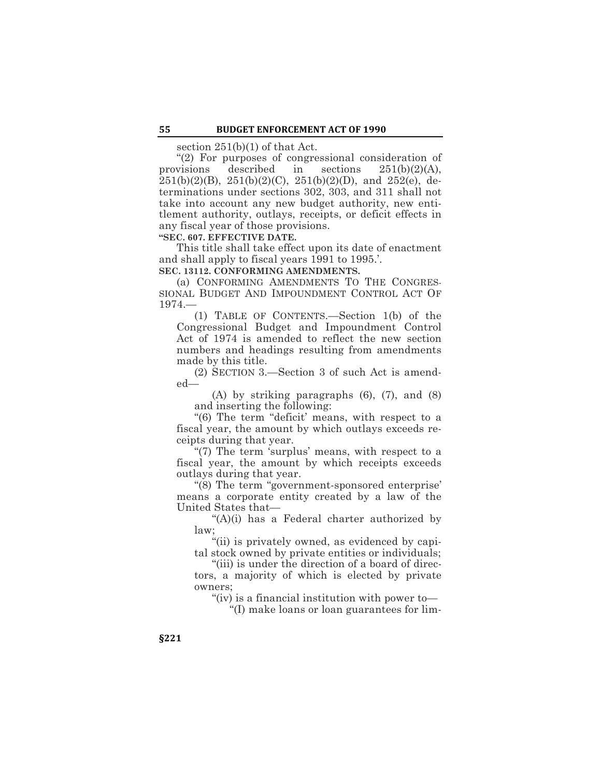section 251(b)(1) of that Act.

"(2) For purposes of congressional consideration of provisions described in sections 251(b)(2)(A),  $251(b)(2)(B)$ ,  $251(b)(2)(C)$ ,  $251(b)(2)(D)$ , and  $252(e)$ , determinations under sections 302, 303, and 311 shall not take into account any new budget authority, new entitlement authority, outlays, receipts, or deficit effects in any fiscal year of those provisions.

## **"SEC. 607. EFFECTIVE DATE.**

This title shall take effect upon its date of enactment and shall apply to fiscal years 1991 to 1995.'.

**SEC. 13112. CONFORMING AMENDMENTS.**

(a) CONFORMING AMENDMENTS TO THE CONGRES-SIONAL BUDGET AND IMPOUNDMENT CONTROL ACT OF 1974.—

(1) TABLE OF CONTENTS.—Section 1(b) of the Congressional Budget and Impoundment Control Act of 1974 is amended to reflect the new section numbers and headings resulting from amendments made by this title.

(2) SECTION 3.—Section 3 of such Act is amended—

(A) by striking paragraphs (6), (7), and (8) and inserting the following:

"(6) The term "deficit' means, with respect to a fiscal year, the amount by which outlays exceeds receipts during that year.

"(7) The term 'surplus' means, with respect to a fiscal year, the amount by which receipts exceeds outlays during that year.

"(8) The term "government-sponsored enterprise' means a corporate entity created by a law of the United States that—

"(A)(i) has a Federal charter authorized by law;

"(ii) is privately owned, as evidenced by capital stock owned by private entities or individuals;

"(iii) is under the direction of a board of directors, a majority of which is elected by private owners;

"(iv) is a financial institution with power to—

"(I) make loans or loan guarantees for lim-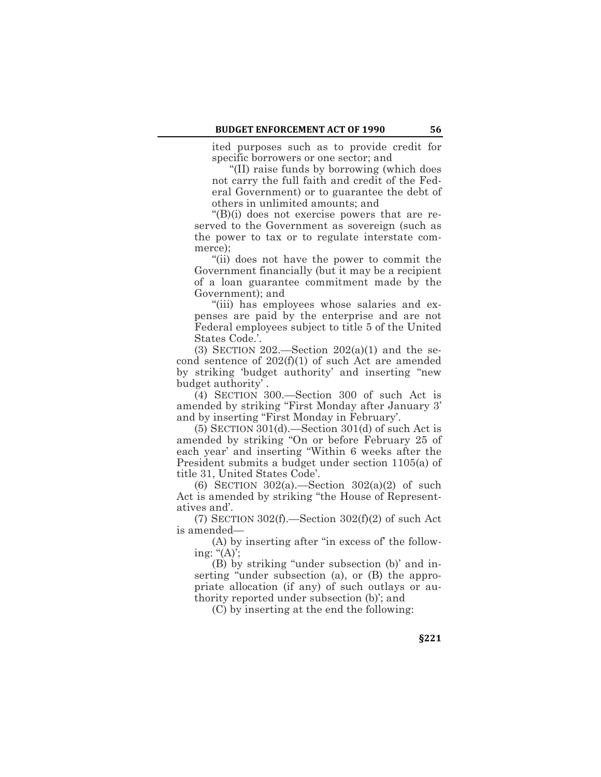ited purposes such as to provide credit for specific borrowers or one sector; and

"(II) raise funds by borrowing (which does not carry the full faith and credit of the Federal Government) or to guarantee the debt of others in unlimited amounts; and

"(B)(i) does not exercise powers that are reserved to the Government as sovereign (such as the power to tax or to regulate interstate commerce);

"(ii) does not have the power to commit the Government financially (but it may be a recipient of a loan guarantee commitment made by the Government); and

"(iii) has employees whose salaries and expenses are paid by the enterprise and are not Federal employees subject to title 5 of the United States Code.'.

(3) SECTION 202.—Section  $202(a)(1)$  and the second sentence of 202(f)(1) of such Act are amended by striking 'budget authority' and inserting "new budget authority' .

(4) SECTION 300.—Section 300 of such Act is amended by striking "First Monday after January 3' and by inserting "First Monday in February'.

 $(5)$  SECTION 301 $(d)$ .—Section 301 $(d)$  of such Act is amended by striking "On or before February 25 of each year' and inserting "Within 6 weeks after the President submits a budget under section 1105(a) of title 31, United States Code'.

(6) SECTION  $302(a)$ . Section  $302(a)(2)$  of such Act is amended by striking "the House of Representatives and'.

(7) SECTION  $302(f)$ . Section  $302(f)(2)$  of such Act is amended—

(A) by inserting after "in excess of' the following: " $(A)$ ;

(B) by striking "under subsection (b)' and inserting "under subsection (a), or (B) the appropriate allocation (if any) of such outlays or authority reported under subsection (b)'; and

(C) by inserting at the end the following: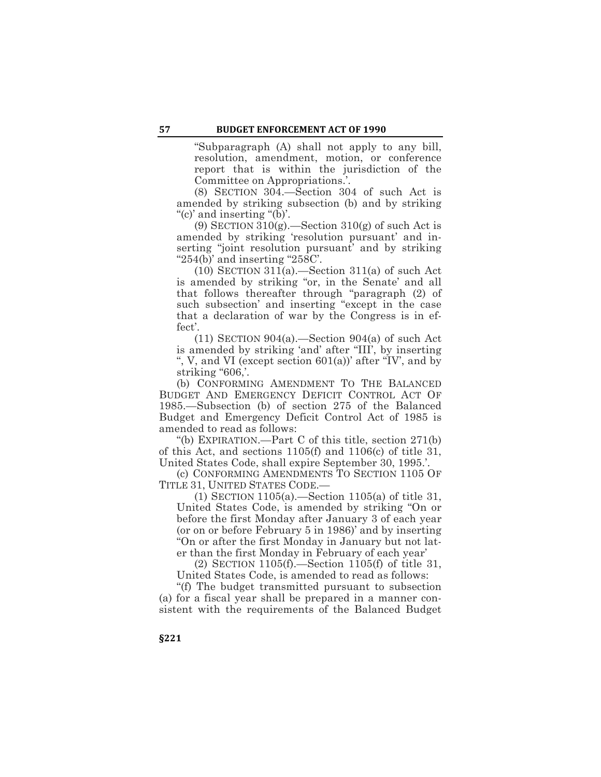"Subparagraph (A) shall not apply to any bill, resolution, amendment, motion, or conference report that is within the jurisdiction of the Committee on Appropriations.'.

(8) SECTION 304.—Section 304 of such Act is amended by striking subsection (b) and by striking "(c)' and inserting "(b)'.

(9) SECTION  $310(g)$ . Section  $310(g)$  of such Act is amended by striking 'resolution pursuant' and inserting "joint resolution pursuant' and by striking " $254(b)$ " and inserting " $258C$ ".

 $(10)$  SECTION 311(a).—Section 311(a) of such Act is amended by striking "or, in the Senate' and all that follows thereafter through "paragraph (2) of such subsection' and inserting "except in the case that a declaration of war by the Congress is in effect'.

 $(11)$  SECTION 904(a).—Section 904(a) of such Act is amended by striking 'and' after "III', by inserting ", V, and VI (except section 601(a))' after "IV', and by striking "606,'.

(b) CONFORMING AMENDMENT TO THE BALANCED BUDGET AND EMERGENCY DEFICIT CONTROL ACT OF 1985.—Subsection (b) of section 275 of the Balanced Budget and Emergency Deficit Control Act of 1985 is amended to read as follows:

"(b) EXPIRATION.—Part C of this title, section 271(b) of this Act, and sections 1105(f) and 1106(c) of title 31, United States Code, shall expire September 30, 1995.'.

(c) CONFORMING AMENDMENTS TO SECTION 1105 OF TITLE 31, UNITED STATES CODE.—

(1) SECTION 1105(a).—Section 1105(a) of title 31, United States Code, is amended by striking "On or before the first Monday after January 3 of each year (or on or before February 5 in 1986)' and by inserting "On or after the first Monday in January but not later than the first Monday in February of each year'

(2) SECTION 1105(f).—Section 1105(f) of title 31, United States Code, is amended to read as follows:

"(f) The budget transmitted pursuant to subsection (a) for a fiscal year shall be prepared in a manner consistent with the requirements of the Balanced Budget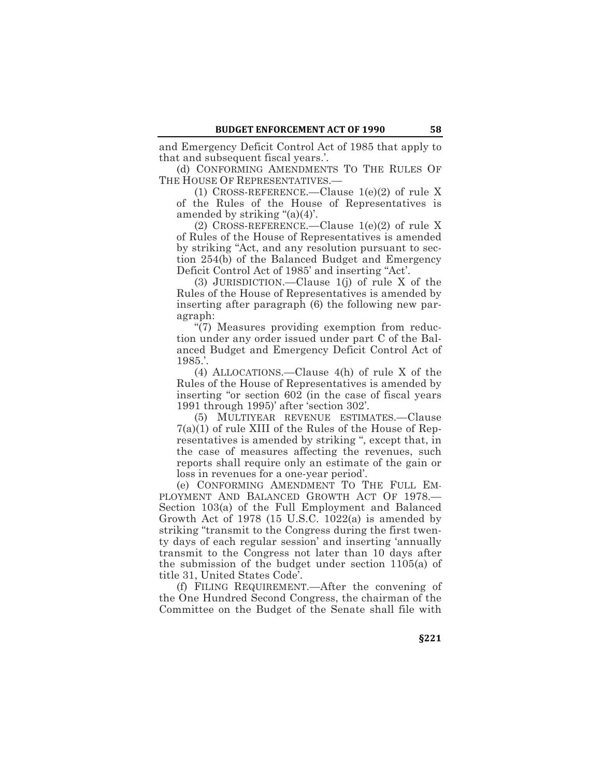and Emergency Deficit Control Act of 1985 that apply to that and subsequent fiscal years.'.

(d) CONFORMING AMENDMENTS TO THE RULES OF THE HOUSE OF REPRESENTATIVES.—

(1) CROSS-REFERENCE.—Clause 1(e)(2) of rule X of the Rules of the House of Representatives is amended by striking "(a)(4)'.

(2) CROSS-REFERENCE.—Clause 1(e)(2) of rule X of Rules of the House of Representatives is amended by striking "Act, and any resolution pursuant to section 254(b) of the Balanced Budget and Emergency Deficit Control Act of 1985' and inserting "Act'.

(3) JURISDICTION.—Clause 1(j) of rule X of the Rules of the House of Representatives is amended by inserting after paragraph (6) the following new paragraph:

"(7) Measures providing exemption from reduction under any order issued under part C of the Balanced Budget and Emergency Deficit Control Act of 1985.'.

(4) ALLOCATIONS.—Clause 4(h) of rule X of the Rules of the House of Representatives is amended by inserting "or section 602 (in the case of fiscal years 1991 through 1995)' after 'section 302'.

(5) MULTIYEAR REVENUE ESTIMATES.—Clause 7(a)(1) of rule XIII of the Rules of the House of Representatives is amended by striking ", except that, in the case of measures affecting the revenues, such reports shall require only an estimate of the gain or loss in revenues for a one-year period'.

(e) CONFORMING AMENDMENT TO THE FULL EM-PLOYMENT AND BALANCED GROWTH ACT OF 1978.— Section 103(a) of the Full Employment and Balanced Growth Act of 1978 (15 U.S.C. 1022(a) is amended by striking "transmit to the Congress during the first twenty days of each regular session' and inserting 'annually transmit to the Congress not later than 10 days after the submission of the budget under section 1105(a) of title 31, United States Code'.

(f) FILING REQUIREMENT.—After the convening of the One Hundred Second Congress, the chairman of the Committee on the Budget of the Senate shall file with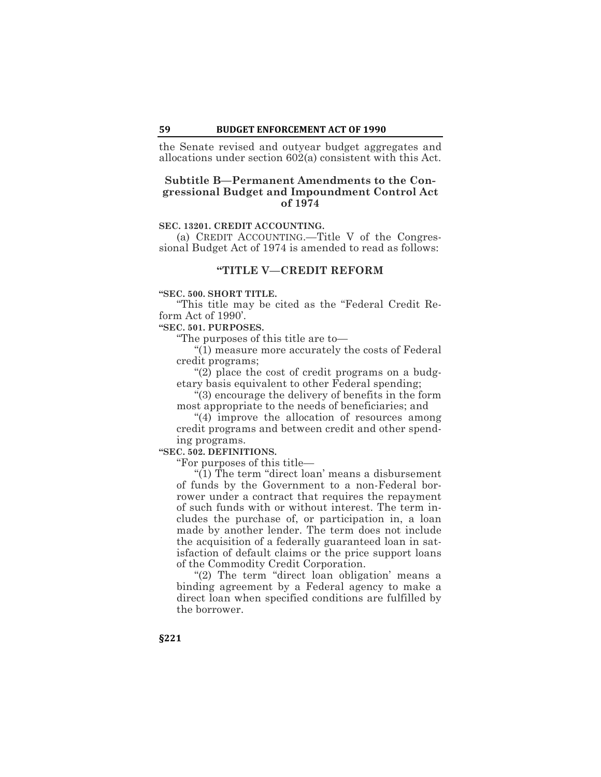the Senate revised and outyear budget aggregates and allocations under section 602(a) consistent with this Act.

# **Subtitle B—Permanent Amendments to the Congressional Budget and Impoundment Control Act of 1974**

# **SEC. 13201. CREDIT ACCOUNTING.**

(a) CREDIT ACCOUNTING.—Title V of the Congressional Budget Act of 1974 is amended to read as follows:

# **"TITLE V—CREDIT REFORM**

## **"SEC. 500. SHORT TITLE.**

"This title may be cited as the "Federal Credit Reform Act of 1990'.

#### **"SEC. 501. PURPOSES.**

"The purposes of this title are to—

"(1) measure more accurately the costs of Federal credit programs;

"(2) place the cost of credit programs on a budgetary basis equivalent to other Federal spending;

"(3) encourage the delivery of benefits in the form most appropriate to the needs of beneficiaries; and

"(4) improve the allocation of resources among credit programs and between credit and other spending programs.

**"SEC. 502. DEFINITIONS.**

"For purposes of this title—

"(1) The term "direct loan' means a disbursement of funds by the Government to a non-Federal borrower under a contract that requires the repayment of such funds with or without interest. The term includes the purchase of, or participation in, a loan made by another lender. The term does not include the acquisition of a federally guaranteed loan in satisfaction of default claims or the price support loans of the Commodity Credit Corporation.

"(2) The term "direct loan obligation' means a binding agreement by a Federal agency to make a direct loan when specified conditions are fulfilled by the borrower.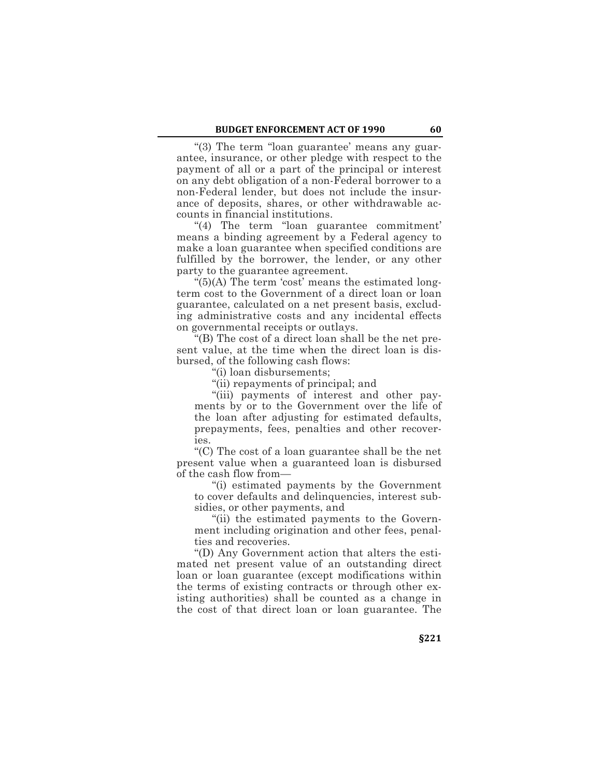"(3) The term "loan guarantee' means any guarantee, insurance, or other pledge with respect to the payment of all or a part of the principal or interest on any debt obligation of a non-Federal borrower to a non-Federal lender, but does not include the insurance of deposits, shares, or other withdrawable accounts in financial institutions.

"(4) The term "loan guarantee commitment' means a binding agreement by a Federal agency to make a loan guarantee when specified conditions are fulfilled by the borrower, the lender, or any other party to the guarantee agreement.

"(5)(A) The term 'cost' means the estimated longterm cost to the Government of a direct loan or loan guarantee, calculated on a net present basis, excluding administrative costs and any incidental effects on governmental receipts or outlays.

"(B) The cost of a direct loan shall be the net present value, at the time when the direct loan is disbursed, of the following cash flows:

"(i) loan disbursements;

"(ii) repayments of principal; and

"(iii) payments of interest and other payments by or to the Government over the life of the loan after adjusting for estimated defaults, prepayments, fees, penalties and other recoveries.

"(C) The cost of a loan guarantee shall be the net present value when a guaranteed loan is disbursed of the cash flow from—

"(i) estimated payments by the Government to cover defaults and delinquencies, interest subsidies, or other payments, and

"(ii) the estimated payments to the Government including origination and other fees, penalties and recoveries.

"(D) Any Government action that alters the estimated net present value of an outstanding direct loan or loan guarantee (except modifications within the terms of existing contracts or through other existing authorities) shall be counted as a change in the cost of that direct loan or loan guarantee. The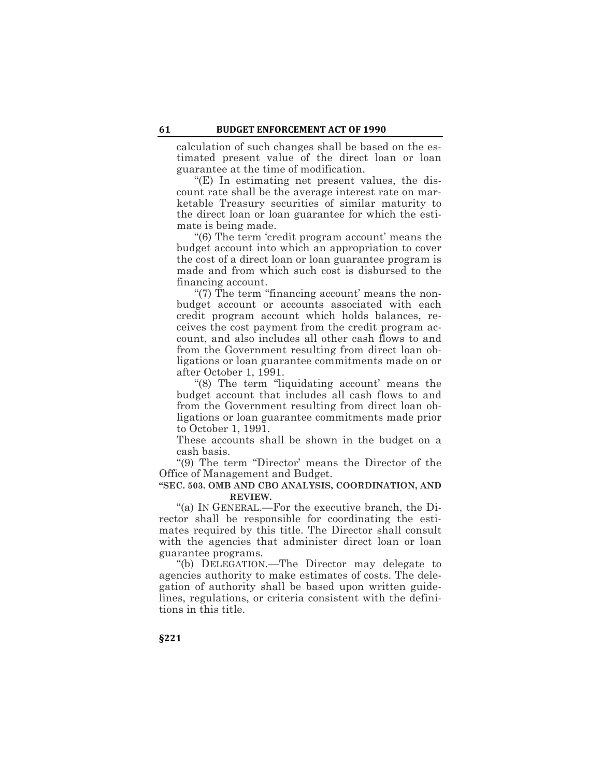calculation of such changes shall be based on the estimated present value of the direct loan or loan guarantee at the time of modification.

"(E) In estimating net present values, the discount rate shall be the average interest rate on marketable Treasury securities of similar maturity to the direct loan or loan guarantee for which the estimate is being made.

"(6) The term 'credit program account' means the budget account into which an appropriation to cover the cost of a direct loan or loan guarantee program is made and from which such cost is disbursed to the financing account.

"(7) The term "financing account' means the nonbudget account or accounts associated with each credit program account which holds balances, receives the cost payment from the credit program account, and also includes all other cash flows to and from the Government resulting from direct loan obligations or loan guarantee commitments made on or after October 1, 1991.

"(8) The term "liquidating account' means the budget account that includes all cash flows to and from the Government resulting from direct loan obligations or loan guarantee commitments made prior to October 1, 1991.

These accounts shall be shown in the budget on a cash basis.

"(9) The term "Director' means the Director of the Office of Management and Budget.

### **"SEC. 503. OMB AND CBO ANALYSIS, COORDINATION, AND REVIEW.**

"(a) IN GENERAL.—For the executive branch, the Director shall be responsible for coordinating the estimates required by this title. The Director shall consult with the agencies that administer direct loan or loan guarantee programs.

"(b) DELEGATION.—The Director may delegate to agencies authority to make estimates of costs. The delegation of authority shall be based upon written guidelines, regulations, or criteria consistent with the definitions in this title.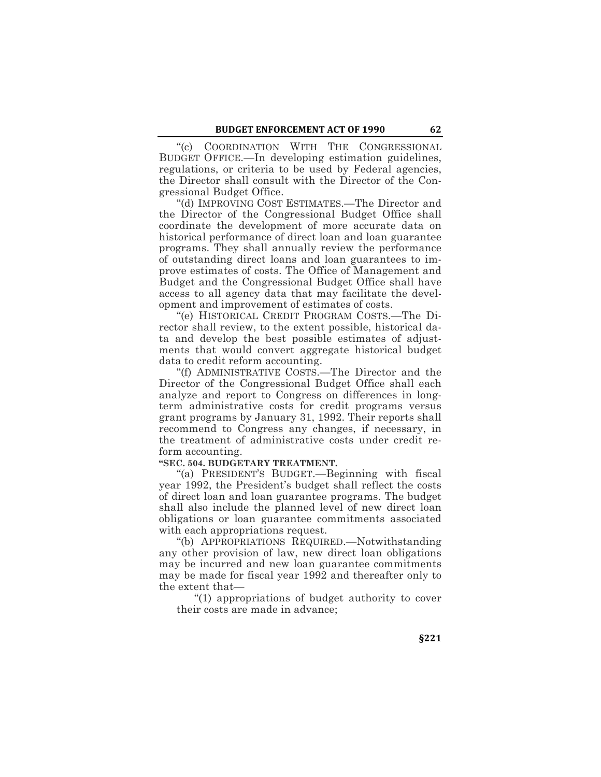"(c) COORDINATION WITH THE CONGRESSIONAL BUDGET OFFICE.—In developing estimation guidelines, regulations, or criteria to be used by Federal agencies, the Director shall consult with the Director of the Congressional Budget Office.

"(d) IMPROVING COST ESTIMATES.—The Director and the Director of the Congressional Budget Office shall coordinate the development of more accurate data on historical performance of direct loan and loan guarantee programs. They shall annually review the performance of outstanding direct loans and loan guarantees to improve estimates of costs. The Office of Management and Budget and the Congressional Budget Office shall have access to all agency data that may facilitate the development and improvement of estimates of costs.

"(e) HISTORICAL CREDIT PROGRAM COSTS.—The Director shall review, to the extent possible, historical data and develop the best possible estimates of adjustments that would convert aggregate historical budget data to credit reform accounting.

"(f) ADMINISTRATIVE COSTS.—The Director and the Director of the Congressional Budget Office shall each analyze and report to Congress on differences in longterm administrative costs for credit programs versus grant programs by January 31, 1992. Their reports shall recommend to Congress any changes, if necessary, in the treatment of administrative costs under credit reform accounting.

#### **"SEC. 504. BUDGETARY TREATMENT.**

"(a) PRESIDENT'S BUDGET.—Beginning with fiscal year 1992, the President's budget shall reflect the costs of direct loan and loan guarantee programs. The budget shall also include the planned level of new direct loan obligations or loan guarantee commitments associated with each appropriations request.

"(b) APPROPRIATIONS REQUIRED.—Notwithstanding any other provision of law, new direct loan obligations may be incurred and new loan guarantee commitments may be made for fiscal year 1992 and thereafter only to the extent that—

"(1) appropriations of budget authority to cover their costs are made in advance;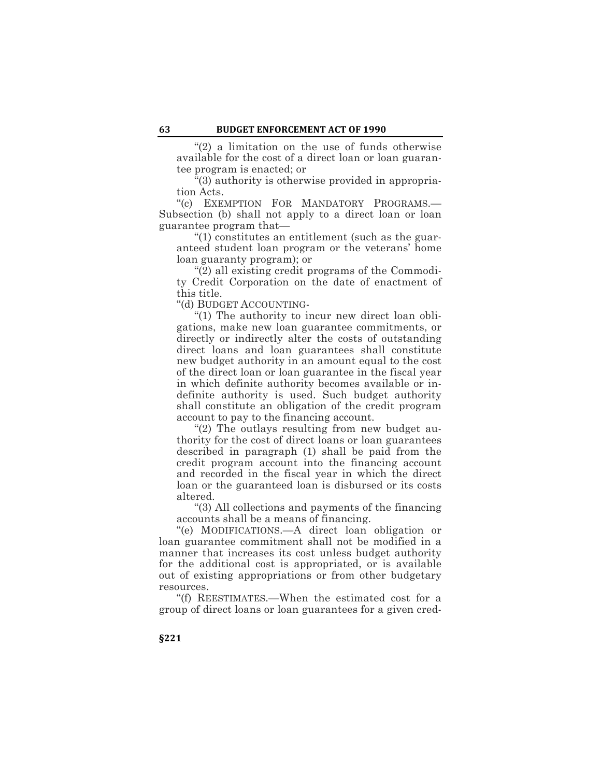"(2) a limitation on the use of funds otherwise available for the cost of a direct loan or loan guarantee program is enacted; or

"(3) authority is otherwise provided in appropriation Acts.

"(c) EXEMPTION FOR MANDATORY PROGRAMS.— Subsection (b) shall not apply to a direct loan or loan guarantee program that—

"(1) constitutes an entitlement (such as the guaranteed student loan program or the veterans' home loan guaranty program); or

"(2) all existing credit programs of the Commodity Credit Corporation on the date of enactment of this title.

"(d) BUDGET ACCOUNTING-

"(1) The authority to incur new direct loan obligations, make new loan guarantee commitments, or directly or indirectly alter the costs of outstanding direct loans and loan guarantees shall constitute new budget authority in an amount equal to the cost of the direct loan or loan guarantee in the fiscal year in which definite authority becomes available or indefinite authority is used. Such budget authority shall constitute an obligation of the credit program account to pay to the financing account.

"(2) The outlays resulting from new budget authority for the cost of direct loans or loan guarantees described in paragraph (1) shall be paid from the credit program account into the financing account and recorded in the fiscal year in which the direct loan or the guaranteed loan is disbursed or its costs altered.

"(3) All collections and payments of the financing accounts shall be a means of financing.

"(e) MODIFICATIONS.—A direct loan obligation or loan guarantee commitment shall not be modified in a manner that increases its cost unless budget authority for the additional cost is appropriated, or is available out of existing appropriations or from other budgetary resources.

"(f) REESTIMATES.—When the estimated cost for a group of direct loans or loan guarantees for a given cred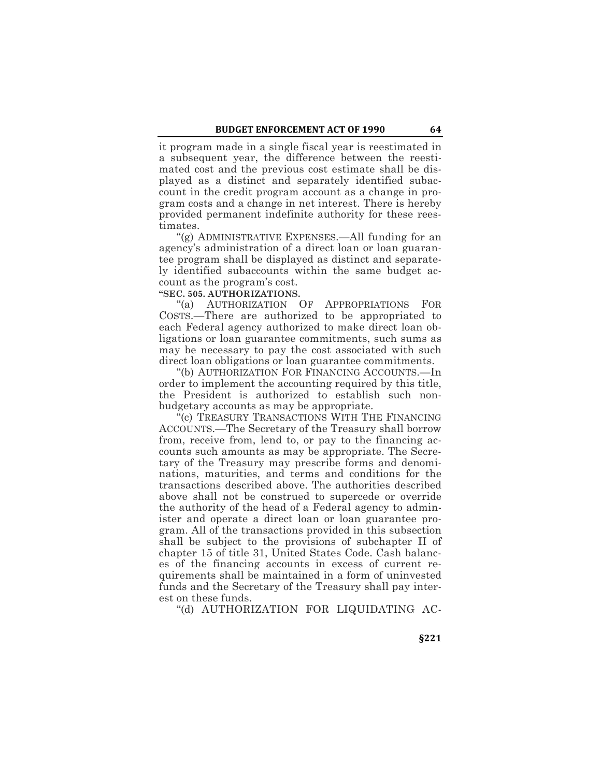it program made in a single fiscal year is reestimated in a subsequent year, the difference between the reestimated cost and the previous cost estimate shall be displayed as a distinct and separately identified subaccount in the credit program account as a change in program costs and a change in net interest. There is hereby provided permanent indefinite authority for these reestimates.

"(g) ADMINISTRATIVE EXPENSES.—All funding for an agency's administration of a direct loan or loan guarantee program shall be displayed as distinct and separately identified subaccounts within the same budget account as the program's cost.

# **"SEC. 505. AUTHORIZATIONS.**

"(a) AUTHORIZATION OF APPROPRIATIONS FOR COSTS.—There are authorized to be appropriated to each Federal agency authorized to make direct loan obligations or loan guarantee commitments, such sums as may be necessary to pay the cost associated with such direct loan obligations or loan guarantee commitments.

"(b) AUTHORIZATION FOR FINANCING ACCOUNTS.—In order to implement the accounting required by this title, the President is authorized to establish such nonbudgetary accounts as may be appropriate.

"(c) TREASURY TRANSACTIONS WITH THE FINANCING ACCOUNTS.—The Secretary of the Treasury shall borrow from, receive from, lend to, or pay to the financing accounts such amounts as may be appropriate. The Secretary of the Treasury may prescribe forms and denominations, maturities, and terms and conditions for the transactions described above. The authorities described above shall not be construed to supercede or override the authority of the head of a Federal agency to administer and operate a direct loan or loan guarantee program. All of the transactions provided in this subsection shall be subject to the provisions of subchapter II of chapter 15 of title 31, United States Code. Cash balances of the financing accounts in excess of current requirements shall be maintained in a form of uninvested funds and the Secretary of the Treasury shall pay interest on these funds.

"(d) AUTHORIZATION FOR LIQUIDATING AC-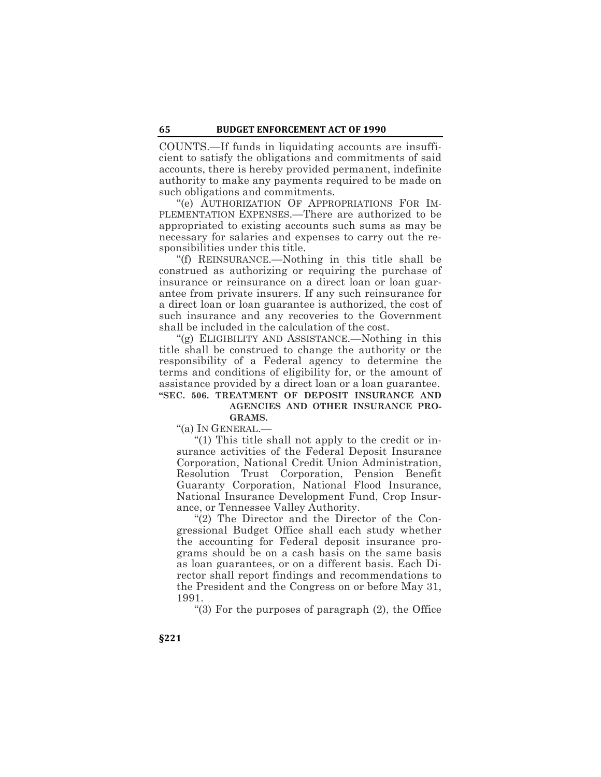COUNTS.—If funds in liquidating accounts are insufficient to satisfy the obligations and commitments of said accounts, there is hereby provided permanent, indefinite authority to make any payments required to be made on such obligations and commitments.

"(e) AUTHORIZATION OF APPROPRIATIONS FOR IM-PLEMENTATION EXPENSES.—There are authorized to be appropriated to existing accounts such sums as may be necessary for salaries and expenses to carry out the responsibilities under this title.

"(f) REINSURANCE.—Nothing in this title shall be construed as authorizing or requiring the purchase of insurance or reinsurance on a direct loan or loan guarantee from private insurers. If any such reinsurance for a direct loan or loan guarantee is authorized, the cost of such insurance and any recoveries to the Government shall be included in the calculation of the cost.

"(g) ELIGIBILITY AND ASSISTANCE.—Nothing in this title shall be construed to change the authority or the responsibility of a Federal agency to determine the terms and conditions of eligibility for, or the amount of assistance provided by a direct loan or a loan guarantee. **"SEC. 506. TREATMENT OF DEPOSIT INSURANCE AND** 

# **AGENCIES AND OTHER INSURANCE PRO-GRAMS.**

"(a) IN GENERAL.—

"(1) This title shall not apply to the credit or insurance activities of the Federal Deposit Insurance Corporation, National Credit Union Administration, Resolution Trust Corporation, Pension Benefit Guaranty Corporation, National Flood Insurance, National Insurance Development Fund, Crop Insurance, or Tennessee Valley Authority.

"(2) The Director and the Director of the Congressional Budget Office shall each study whether the accounting for Federal deposit insurance programs should be on a cash basis on the same basis as loan guarantees, or on a different basis. Each Director shall report findings and recommendations to the President and the Congress on or before May 31, 1991.

"(3) For the purposes of paragraph (2), the Office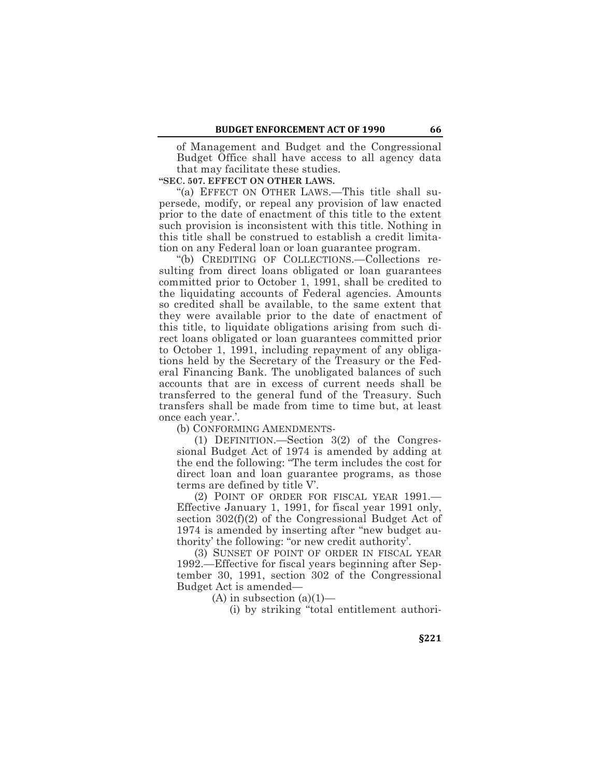of Management and Budget and the Congressional Budget Office shall have access to all agency data that may facilitate these studies.

**"SEC. 507. EFFECT ON OTHER LAWS.**

"(a) EFFECT ON OTHER LAWS.—This title shall supersede, modify, or repeal any provision of law enacted prior to the date of enactment of this title to the extent such provision is inconsistent with this title. Nothing in this title shall be construed to establish a credit limitation on any Federal loan or loan guarantee program.

"(b) CREDITING OF COLLECTIONS.—Collections resulting from direct loans obligated or loan guarantees committed prior to October 1, 1991, shall be credited to the liquidating accounts of Federal agencies. Amounts so credited shall be available, to the same extent that they were available prior to the date of enactment of this title, to liquidate obligations arising from such direct loans obligated or loan guarantees committed prior to October 1, 1991, including repayment of any obligations held by the Secretary of the Treasury or the Federal Financing Bank. The unobligated balances of such accounts that are in excess of current needs shall be transferred to the general fund of the Treasury. Such transfers shall be made from time to time but, at least once each year.'.

(b) CONFORMING AMENDMENTS-

(1) DEFINITION.—Section 3(2) of the Congressional Budget Act of 1974 is amended by adding at the end the following: "The term includes the cost for direct loan and loan guarantee programs, as those terms are defined by title V'.

(2) POINT OF ORDER FOR FISCAL YEAR 1991.— Effective January 1, 1991, for fiscal year 1991 only, section 302(f)(2) of the Congressional Budget Act of 1974 is amended by inserting after "new budget authority' the following: "or new credit authority'.

(3) SUNSET OF POINT OF ORDER IN FISCAL YEAR 1992.—Effective for fiscal years beginning after September 30, 1991, section 302 of the Congressional Budget Act is amended—

(A) in subsection  $(a)(1)$ —

(i) by striking "total entitlement authori-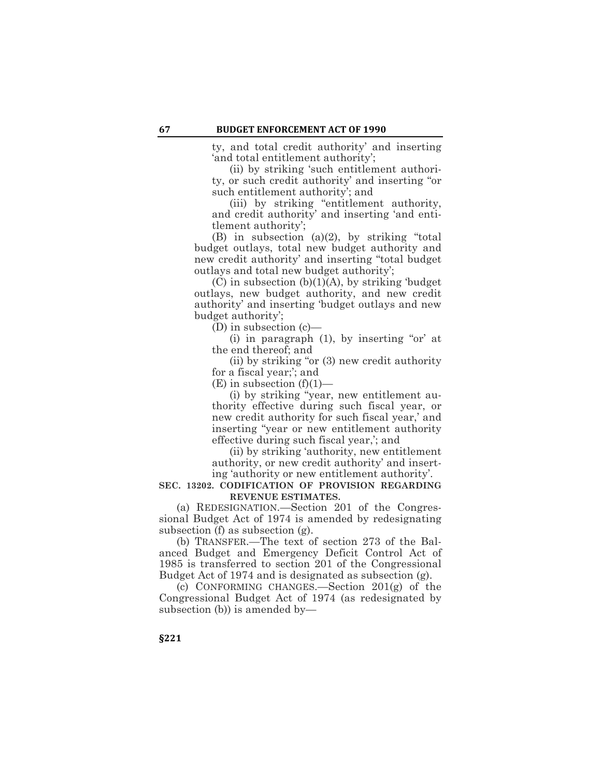ty, and total credit authority' and inserting 'and total entitlement authority';

(ii) by striking 'such entitlement authority, or such credit authority' and inserting "or such entitlement authority'; and

(iii) by striking "entitlement authority, and credit authority' and inserting 'and entitlement authority';

(B) in subsection (a)(2), by striking "total budget outlays, total new budget authority and new credit authority' and inserting "total budget outlays and total new budget authority';

 $(C)$  in subsection  $(b)(1)(A)$ , by striking 'budget outlays, new budget authority, and new credit authority' and inserting 'budget outlays and new budget authority';

(D) in subsection (c)—

(i) in paragraph (1), by inserting "or' at the end thereof; and

(ii) by striking "or (3) new credit authority for a fiscal year;'; and

 $(E)$  in subsection  $(f)(1)$ —

(i) by striking "year, new entitlement authority effective during such fiscal year, or new credit authority for such fiscal year,' and inserting "year or new entitlement authority effective during such fiscal year,'; and

(ii) by striking 'authority, new entitlement authority, or new credit authority' and inserting 'authority or new entitlement authority'.

### **SEC. 13202. CODIFICATION OF PROVISION REGARDING REVENUE ESTIMATES.**

(a) REDESIGNATION.—Section 201 of the Congressional Budget Act of 1974 is amended by redesignating subsection (f) as subsection (g).

(b) TRANSFER.—The text of section 273 of the Balanced Budget and Emergency Deficit Control Act of 1985 is transferred to section 201 of the Congressional Budget Act of 1974 and is designated as subsection (g).

(c) CONFORMING CHANGES.—Section 201(g) of the Congressional Budget Act of 1974 (as redesignated by subsection (b)) is amended by—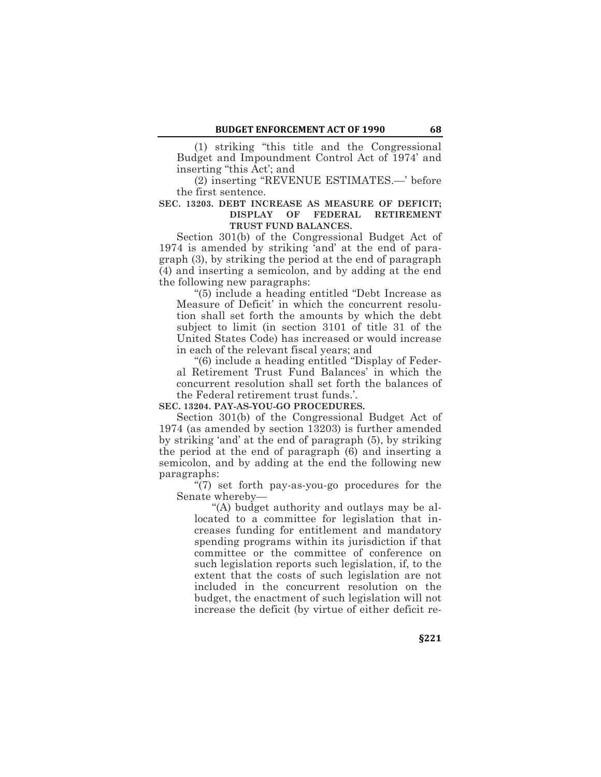(1) striking "this title and the Congressional Budget and Impoundment Control Act of 1974' and inserting "this Act'; and

(2) inserting "REVENUE ESTIMATES.—' before the first sentence.

#### **SEC. 13203. DEBT INCREASE AS MEASURE OF DEFICIT; DISPLAY OF FEDERAL RETIREMENT TRUST FUND BALANCES.**

Section 301(b) of the Congressional Budget Act of 1974 is amended by striking 'and' at the end of paragraph (3), by striking the period at the end of paragraph (4) and inserting a semicolon, and by adding at the end the following new paragraphs:

"(5) include a heading entitled "Debt Increase as Measure of Deficit' in which the concurrent resolution shall set forth the amounts by which the debt subject to limit (in section 3101 of title 31 of the United States Code) has increased or would increase in each of the relevant fiscal years; and

"(6) include a heading entitled "Display of Federal Retirement Trust Fund Balances' in which the concurrent resolution shall set forth the balances of the Federal retirement trust funds.'.

**SEC. 13204. PAY-AS-YOU-GO PROCEDURES.**

Section 301(b) of the Congressional Budget Act of 1974 (as amended by section 13203) is further amended by striking 'and' at the end of paragraph (5), by striking the period at the end of paragraph (6) and inserting a semicolon, and by adding at the end the following new paragraphs:

"(7) set forth pay-as-you-go procedures for the Senate whereby—

"(A) budget authority and outlays may be allocated to a committee for legislation that increases funding for entitlement and mandatory spending programs within its jurisdiction if that committee or the committee of conference on such legislation reports such legislation, if, to the extent that the costs of such legislation are not included in the concurrent resolution on the budget, the enactment of such legislation will not increase the deficit (by virtue of either deficit re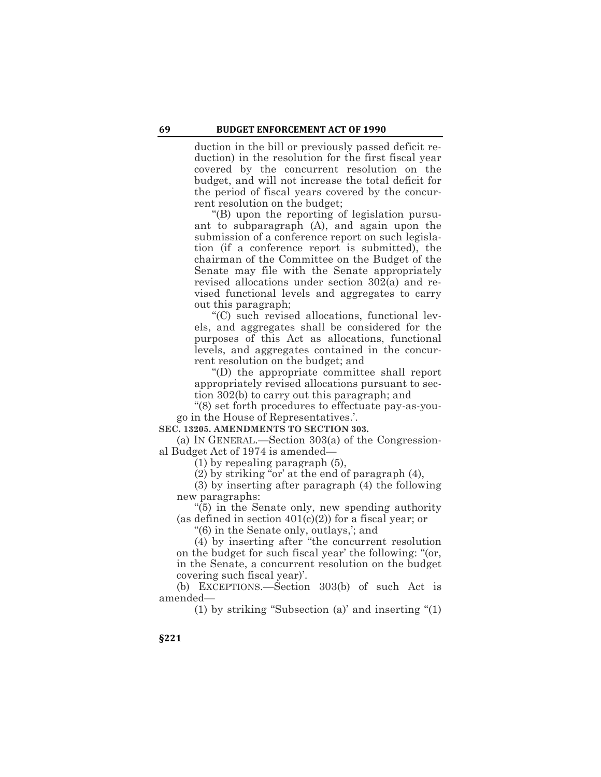duction in the bill or previously passed deficit reduction) in the resolution for the first fiscal year covered by the concurrent resolution on the budget, and will not increase the total deficit for the period of fiscal years covered by the concurrent resolution on the budget;

"(B) upon the reporting of legislation pursuant to subparagraph (A), and again upon the submission of a conference report on such legislation (if a conference report is submitted), the chairman of the Committee on the Budget of the Senate may file with the Senate appropriately revised allocations under section 302(a) and revised functional levels and aggregates to carry out this paragraph;

"(C) such revised allocations, functional levels, and aggregates shall be considered for the purposes of this Act as allocations, functional levels, and aggregates contained in the concurrent resolution on the budget; and

"(D) the appropriate committee shall report appropriately revised allocations pursuant to section 302(b) to carry out this paragraph; and

"(8) set forth procedures to effectuate pay-as-yougo in the House of Representatives.'.

#### **SEC. 13205. AMENDMENTS TO SECTION 303.**

(a) IN GENERAL.—Section 303(a) of the Congressional Budget Act of 1974 is amended—

(1) by repealing paragraph (5),

(2) by striking "or' at the end of paragraph (4),

(3) by inserting after paragraph (4) the following new paragraphs:

"(5) in the Senate only, new spending authority (as defined in section  $401(c)(2)$ ) for a fiscal year; or

"(6) in the Senate only, outlays,'; and

(4) by inserting after "the concurrent resolution on the budget for such fiscal year' the following: "(or, in the Senate, a concurrent resolution on the budget covering such fiscal year)'.

(b) EXCEPTIONS.—Section 303(b) of such Act is amended—

(1) by striking "Subsection (a)' and inserting "(1)

**§221**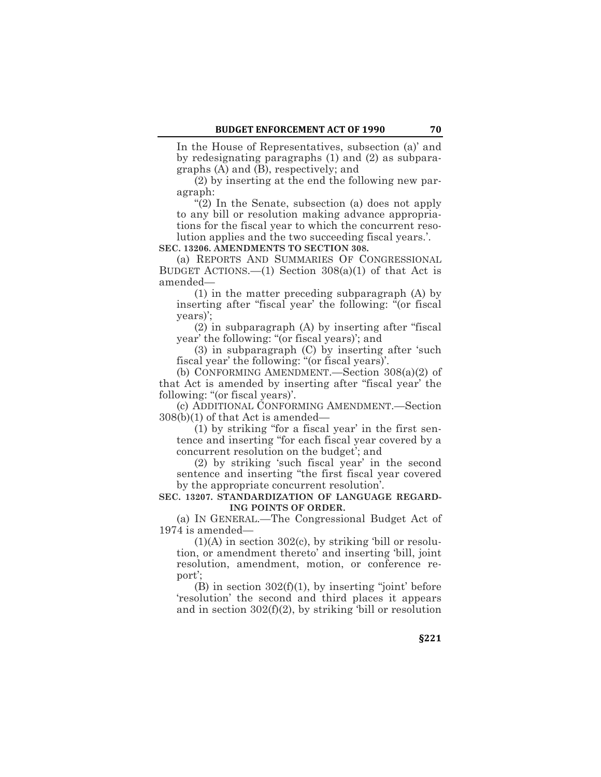In the House of Representatives, subsection (a)' and by redesignating paragraphs (1) and (2) as subparagraphs (A) and (B), respectively; and

(2) by inserting at the end the following new paragraph:

"(2) In the Senate, subsection (a) does not apply to any bill or resolution making advance appropriations for the fiscal year to which the concurrent resolution applies and the two succeeding fiscal years.'.

**SEC. 13206. AMENDMENTS TO SECTION 308.**

(a) REPORTS AND SUMMARIES OF CONGRESSIONAL BUDGET ACTIONS.—(1) Section  $308(a)(1)$  of that Act is amended—

(1) in the matter preceding subparagraph (A) by inserting after "fiscal year' the following: "(or fiscal years)';

(2) in subparagraph (A) by inserting after "fiscal year' the following: "(or fiscal years)'; and

(3) in subparagraph (C) by inserting after 'such fiscal year' the following: "(or fiscal years)'.

(b) CONFORMING AMENDMENT.—Section 308(a)(2) of that Act is amended by inserting after "fiscal year' the following: "(or fiscal years)'.

(c) ADDITIONAL CONFORMING AMENDMENT.—Section 308(b)(1) of that Act is amended—

(1) by striking "for a fiscal year' in the first sentence and inserting "for each fiscal year covered by a concurrent resolution on the budget'; and

(2) by striking 'such fiscal year' in the second sentence and inserting "the first fiscal year covered by the appropriate concurrent resolution'.

**SEC. 13207. STANDARDIZATION OF LANGUAGE REGARD-ING POINTS OF ORDER.**

(a) IN GENERAL.—The Congressional Budget Act of 1974 is amended—

 $(1)(A)$  in section 302 $(c)$ , by striking 'bill or resolution, or amendment thereto' and inserting 'bill, joint resolution, amendment, motion, or conference report';

 $(B)$  in section  $302(f)(1)$ , by inserting "joint' before 'resolution' the second and third places it appears and in section 302(f)(2), by striking 'bill or resolution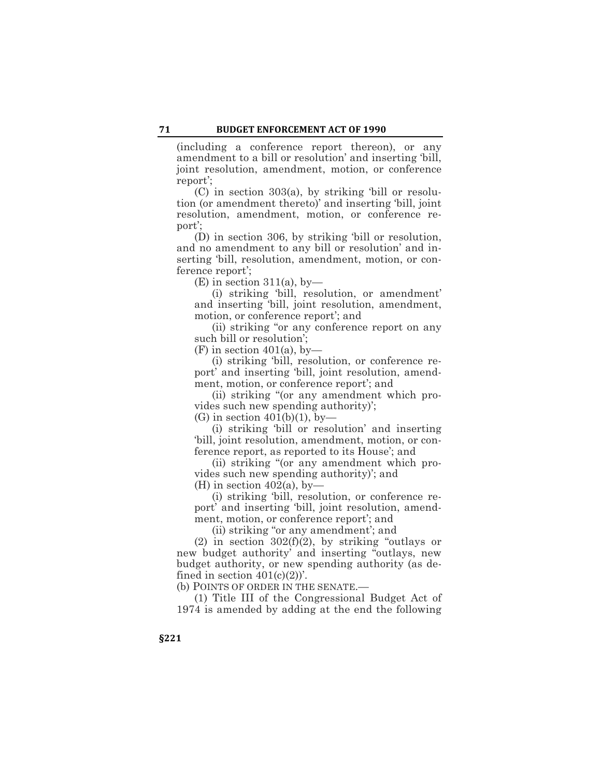(including a conference report thereon), or any amendment to a bill or resolution' and inserting 'bill, joint resolution, amendment, motion, or conference report';

(C) in section 303(a), by striking 'bill or resolution (or amendment thereto)' and inserting 'bill, joint resolution, amendment, motion, or conference report';

(D) in section 306, by striking 'bill or resolution, and no amendment to any bill or resolution' and inserting 'bill, resolution, amendment, motion, or conference report';

 $(E)$  in section 311(a), by-

(i) striking 'bill, resolution, or amendment' and inserting 'bill, joint resolution, amendment, motion, or conference report'; and

(ii) striking "or any conference report on any such bill or resolution';

 $(F)$  in section 401(a), by-

(i) striking 'bill, resolution, or conference report' and inserting 'bill, joint resolution, amendment, motion, or conference report'; and

(ii) striking "(or any amendment which provides such new spending authority)';

 $(G)$  in section 401(b)(1), by-

(i) striking 'bill or resolution' and inserting 'bill, joint resolution, amendment, motion, or conference report, as reported to its House'; and

(ii) striking "(or any amendment which provides such new spending authority)'; and

(H) in section  $402(a)$ , by-

(i) striking 'bill, resolution, or conference report' and inserting 'bill, joint resolution, amendment, motion, or conference report'; and

(ii) striking "or any amendment'; and

(2) in section  $302(f)(2)$ , by striking "outlays or new budget authority' and inserting "outlays, new budget authority, or new spending authority (as defined in section  $401(c)(2)$ .

(b) POINTS OF ORDER IN THE SENATE.—

(1) Title III of the Congressional Budget Act of 1974 is amended by adding at the end the following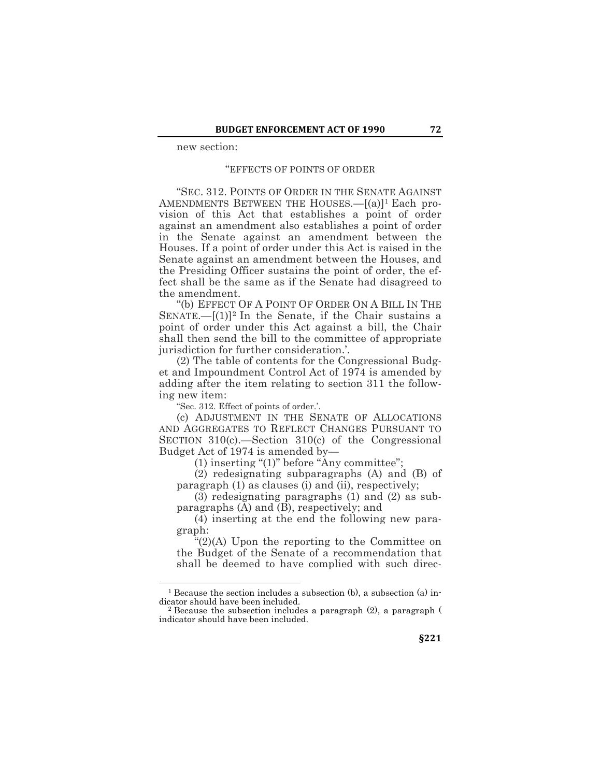new section:

#### "EFFECTS OF POINTS OF ORDER

"SEC. 312. POINTS OF ORDER IN THE SENATE AGAINST AMENDMENTS BETWEEN THE HOUSES.—[(a)]<sup>1</sup> Each provision of this Act that establishes a point of order against an amendment also establishes a point of order in the Senate against an amendment between the Houses. If a point of order under this Act is raised in the Senate against an amendment between the Houses, and the Presiding Officer sustains the point of order, the effect shall be the same as if the Senate had disagreed to the amendment.

"(b) EFFECT OF A POINT OF ORDER ON A BILL IN THE SENATE.— $[(1)]^2$  In the Senate, if the Chair sustains a point of order under this Act against a bill, the Chair shall then send the bill to the committee of appropriate jurisdiction for further consideration.'.

(2) The table of contents for the Congressional Budget and Impoundment Control Act of 1974 is amended by adding after the item relating to section 311 the following new item:

"Sec. 312. Effect of points of order.'.

 $\overline{a}$ 

(c) ADJUSTMENT IN THE SENATE OF ALLOCATIONS AND AGGREGATES TO REFLECT CHANGES PURSUANT TO SECTION 310(c).—Section 310(c) of the Congressional Budget Act of 1974 is amended by—

(1) inserting "(1)" before "Any committee";

(2) redesignating subparagraphs (A) and (B) of paragraph (1) as clauses (i) and (ii), respectively;

(3) redesignating paragraphs (1) and (2) as subparagraphs (A) and (B), respectively; and

(4) inserting at the end the following new paragraph:

"(2)(A) Upon the reporting to the Committee on the Budget of the Senate of a recommendation that shall be deemed to have complied with such direc-

<sup>&</sup>lt;sup>1</sup> Because the section includes a subsection  $(b)$ , a subsection  $(a)$  indicator should have been included.<br><sup>2</sup> Because the subsection includes a paragraph (2), a paragraph (

indicator should have been included.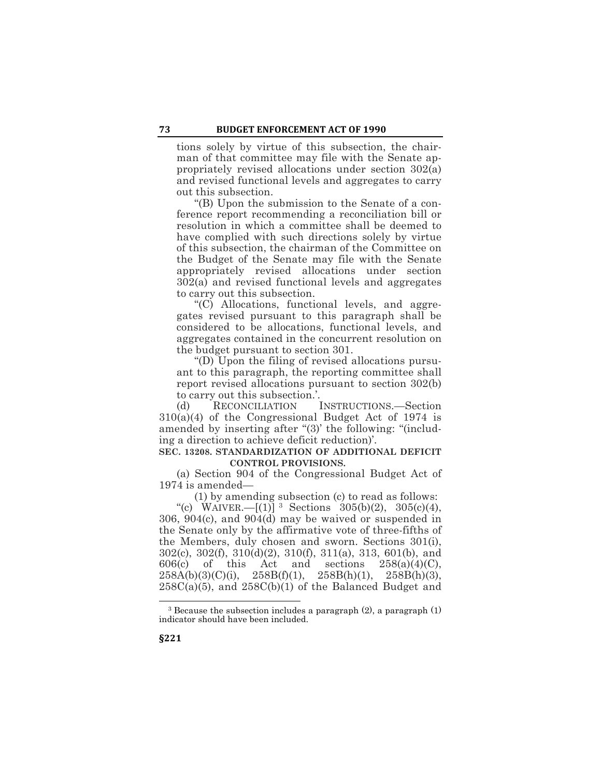tions solely by virtue of this subsection, the chairman of that committee may file with the Senate appropriately revised allocations under section 302(a) and revised functional levels and aggregates to carry out this subsection.

"(B) Upon the submission to the Senate of a conference report recommending a reconciliation bill or resolution in which a committee shall be deemed to have complied with such directions solely by virtue of this subsection, the chairman of the Committee on the Budget of the Senate may file with the Senate appropriately revised allocations under section 302(a) and revised functional levels and aggregates to carry out this subsection.

"(C) Allocations, functional levels, and aggregates revised pursuant to this paragraph shall be considered to be allocations, functional levels, and aggregates contained in the concurrent resolution on the budget pursuant to section 301.

"(D) Upon the filing of revised allocations pursuant to this paragraph, the reporting committee shall report revised allocations pursuant to section 302(b) to carry out this subsection.'.

(d) RECONCILIATION INSTRUCTIONS.—Section 310(a)(4) of the Congressional Budget Act of 1974 is amended by inserting after "(3)' the following: "(including a direction to achieve deficit reduction)'.

# **SEC. 13208. STANDARDIZATION OF ADDITIONAL DEFICIT CONTROL PROVISIONS.**

(a) Section 904 of the Congressional Budget Act of 1974 is amended—

(1) by amending subsection (c) to read as follows:

"(c) WAIVER.— $[(1)]$ <sup>3</sup> Sections 305(b)(2), 305(c)(4), 306, 904(c), and 904(d) may be waived or suspended in the Senate only by the affirmative vote of three-fifths of the Members, duly chosen and sworn. Sections 301(i), 302(c), 302(f), 310(d)(2), 310(f), 311(a), 313, 601(b), and  $606(c)$  of this Act and sections  $258(a)(4)(C)$ ,  $258A(b)(3)(C)(i)$ ,  $258B(f)(1)$ ,  $258B(h)(1)$ ,  $258B(h)(3)$ ,  $258C(a)(5)$ , and  $258C(b)(1)$  of the Balanced Budget and

 $\overline{a}$ <sup>3</sup> Because the subsection includes a paragraph (2), a paragraph (1) indicator should have been included.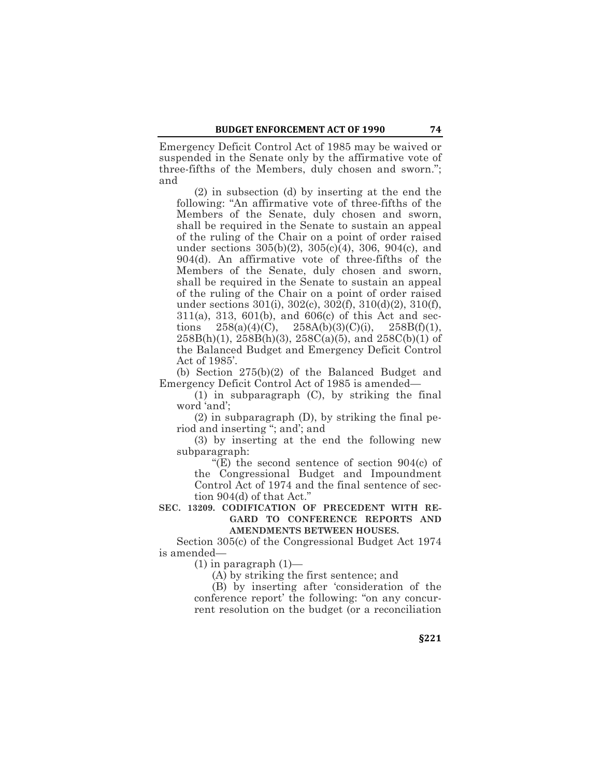Emergency Deficit Control Act of 1985 may be waived or suspended in the Senate only by the affirmative vote of three-fifths of the Members, duly chosen and sworn."; and

(2) in subsection (d) by inserting at the end the following: "An affirmative vote of three-fifths of the Members of the Senate, duly chosen and sworn, shall be required in the Senate to sustain an appeal of the ruling of the Chair on a point of order raised under sections 305(b)(2), 305(c)(4), 306, 904(c), and 904(d). An affirmative vote of three-fifths of the Members of the Senate, duly chosen and sworn, shall be required in the Senate to sustain an appeal of the ruling of the Chair on a point of order raised under sections 301(i), 302(c), 302(f), 310(d)(2), 310(f), 311(a), 313, 601(b), and 606(c) of this Act and sections  $258(a)(4)(C)$ ,  $258A(b)(3)(C)(i)$ ,  $258B(f)(1)$ ,  $258B(h)(1)$ ,  $258B(h)(3)$ ,  $258C(a)(5)$ , and  $258C(b)(1)$  of the Balanced Budget and Emergency Deficit Control Act of 1985'.

(b) Section 275(b)(2) of the Balanced Budget and Emergency Deficit Control Act of 1985 is amended—

(1) in subparagraph (C), by striking the final word 'and';

(2) in subparagraph (D), by striking the final period and inserting "; and'; and

(3) by inserting at the end the following new subparagraph:

"(E) the second sentence of section 904(c) of the Congressional Budget and Impoundment Control Act of 1974 and the final sentence of section 904(d) of that Act."

# **SEC. 13209. CODIFICATION OF PRECEDENT WITH RE-GARD TO CONFERENCE REPORTS AND AMENDMENTS BETWEEN HOUSES.**

Section 305(c) of the Congressional Budget Act 1974 is amended—

 $(1)$  in paragraph  $(1)$ —

(A) by striking the first sentence; and

(B) by inserting after 'consideration of the conference report' the following: "on any concurrent resolution on the budget (or a reconciliation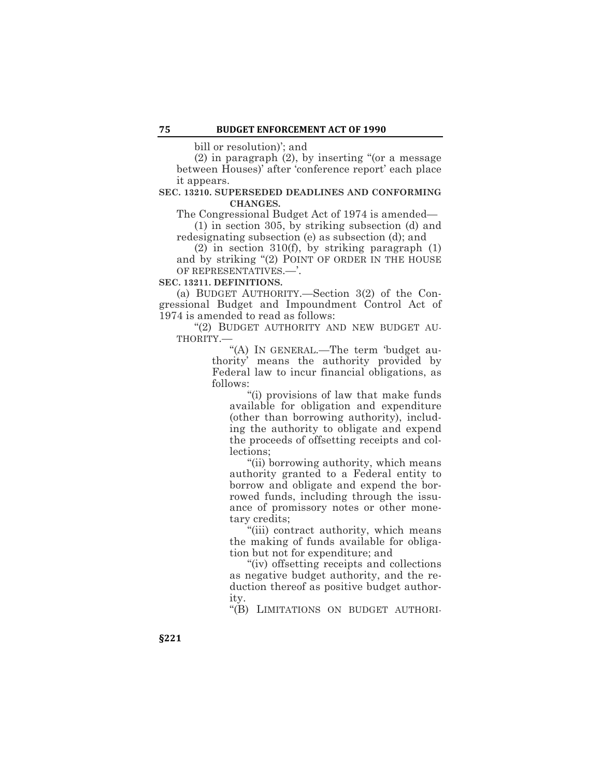bill or resolution)'; and

(2) in paragraph (2), by inserting "(or a message between Houses)' after 'conference report' each place it appears.

## **SEC. 13210. SUPERSEDED DEADLINES AND CONFORMING CHANGES.**

The Congressional Budget Act of 1974 is amended—

(1) in section 305, by striking subsection (d) and redesignating subsection (e) as subsection (d); and

(2) in section 310(f), by striking paragraph (1) and by striking "(2) POINT OF ORDER IN THE HOUSE OF REPRESENTATIVES.—'.

#### **SEC. 13211. DEFINITIONS.**

(a) BUDGET AUTHORITY.—Section 3(2) of the Congressional Budget and Impoundment Control Act of 1974 is amended to read as follows:

"(2) BUDGET AUTHORITY AND NEW BUDGET AU-THORITY.—

"(A) IN GENERAL.—The term 'budget authority' means the authority provided by Federal law to incur financial obligations, as follows:

"(i) provisions of law that make funds available for obligation and expenditure (other than borrowing authority), including the authority to obligate and expend the proceeds of offsetting receipts and collections;

"(ii) borrowing authority, which means authority granted to a Federal entity to borrow and obligate and expend the borrowed funds, including through the issuance of promissory notes or other monetary credits;

"(iii) contract authority, which means the making of funds available for obligation but not for expenditure; and

"(iv) offsetting receipts and collections as negative budget authority, and the reduction thereof as positive budget authority.

"(B) LIMITATIONS ON BUDGET AUTHORI-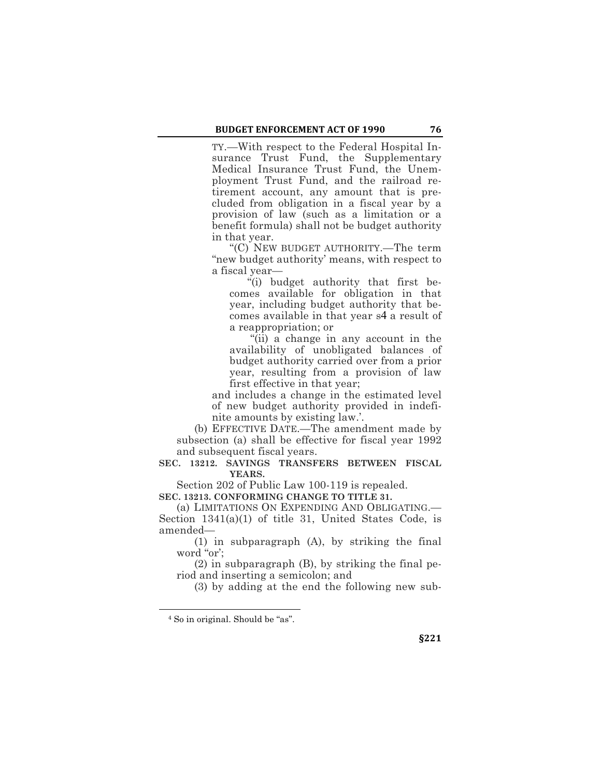TY.—With respect to the Federal Hospital Insurance Trust Fund, the Supplementary Medical Insurance Trust Fund, the Unemployment Trust Fund, and the railroad retirement account, any amount that is precluded from obligation in a fiscal year by a provision of law (such as a limitation or a benefit formula) shall not be budget authority in that year.

"(C) NEW BUDGET AUTHORITY.—The term "new budget authority' means, with respect to a fiscal year—

"(i) budget authority that first becomes available for obligation in that year, including budget authority that becomes available in that year s4 a result of a reappropriation; or

"(ii) a change in any account in the availability of unobligated balances of budget authority carried over from a prior year, resulting from a provision of law first effective in that year;

and includes a change in the estimated level of new budget authority provided in indefinite amounts by existing law.'.

(b) EFFECTIVE DATE.—The amendment made by subsection (a) shall be effective for fiscal year 1992 and subsequent fiscal years.

**SEC. 13212. SAVINGS TRANSFERS BETWEEN FISCAL YEARS.**

Section 202 of Public Law 100-119 is repealed.

**SEC. 13213. CONFORMING CHANGE TO TITLE 31.**

(a) LIMITATIONS ON EXPENDING AND OBLIGATING.— Section 1341(a)(1) of title 31, United States Code, is amended—

(1) in subparagraph (A), by striking the final word "or';

(2) in subparagraph (B), by striking the final period and inserting a semicolon; and

(3) by adding at the end the following new sub-

 $\overline{a}$ 

<sup>4</sup> So in original. Should be "as".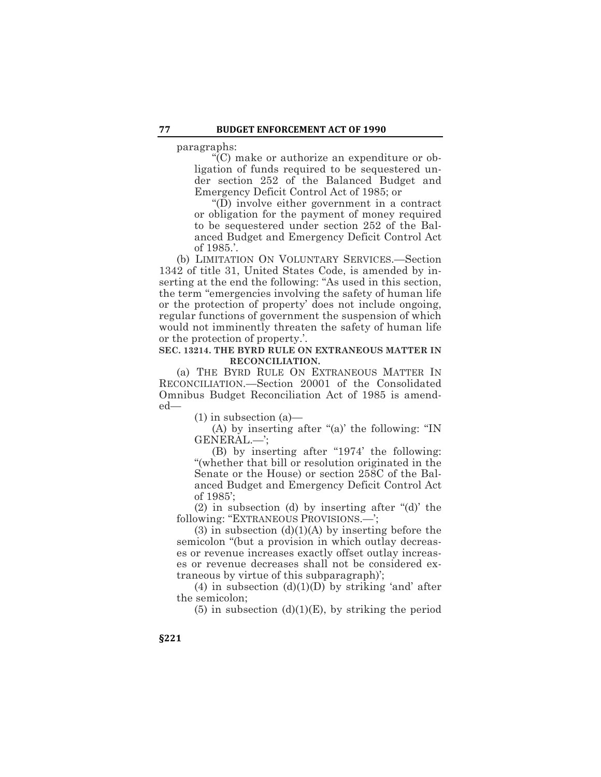paragraphs:

"(C) make or authorize an expenditure or obligation of funds required to be sequestered under section 252 of the Balanced Budget and Emergency Deficit Control Act of 1985; or

"(D) involve either government in a contract or obligation for the payment of money required to be sequestered under section 252 of the Balanced Budget and Emergency Deficit Control Act of 1985.'.

(b) LIMITATION ON VOLUNTARY SERVICES.—Section 1342 of title 31, United States Code, is amended by inserting at the end the following: "As used in this section, the term "emergencies involving the safety of human life or the protection of property' does not include ongoing, regular functions of government the suspension of which would not imminently threaten the safety of human life or the protection of property.'.

# **SEC. 13214. THE BYRD RULE ON EXTRANEOUS MATTER IN RECONCILIATION.**

(a) THE BYRD RULE ON EXTRANEOUS MATTER IN RECONCILIATION.—Section 20001 of the Consolidated Omnibus Budget Reconciliation Act of 1985 is amended—

(1) in subsection (a)—

(A) by inserting after "(a)' the following: "IN GENERAL.—';

(B) by inserting after "1974' the following: "(whether that bill or resolution originated in the Senate or the House) or section 258C of the Balanced Budget and Emergency Deficit Control Act of 1985';

(2) in subsection (d) by inserting after "(d)' the following: "EXTRANEOUS PROVISIONS.—';

 $(3)$  in subsection  $(d)(1)(A)$  by inserting before the semicolon "(but a provision in which outlay decreases or revenue increases exactly offset outlay increases or revenue decreases shall not be considered extraneous by virtue of this subparagraph)';

(4) in subsection  $(d)(1)(D)$  by striking 'and' after the semicolon;

(5) in subsection  $(d)(1)(E)$ , by striking the period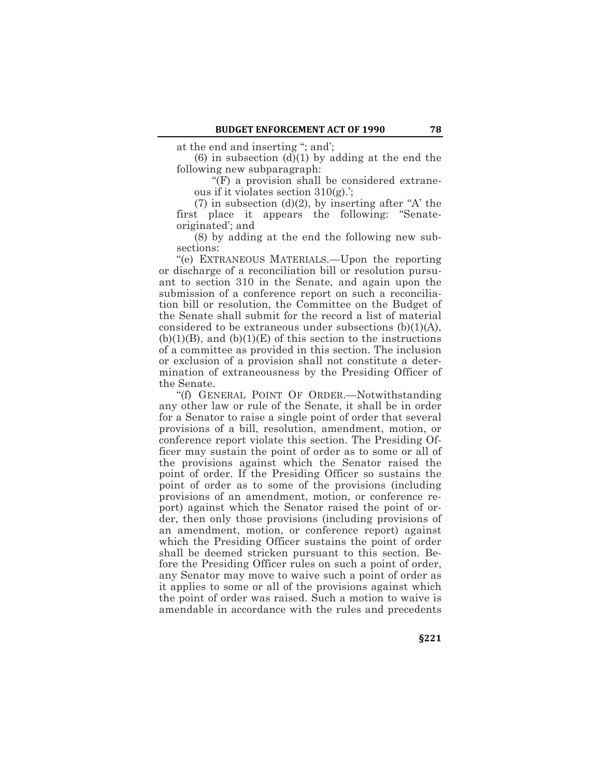at the end and inserting "; and';

 $(6)$  in subsection  $(d)(1)$  by adding at the end the following new subparagraph:

"(F) a provision shall be considered extraneous if it violates section 310(g).';

 $(7)$  in subsection  $(d)(2)$ , by inserting after "A' the first place it appears the following: "Senateoriginated'; and

(8) by adding at the end the following new subsections:

"(e) EXTRANEOUS MATERIALS.—Upon the reporting or discharge of a reconciliation bill or resolution pursuant to section 310 in the Senate, and again upon the submission of a conference report on such a reconciliation bill or resolution, the Committee on the Budget of the Senate shall submit for the record a list of material considered to be extraneous under subsections  $(b)(1)(A)$ ,  $(b)(1)(B)$ , and  $(b)(1)(E)$  of this section to the instructions of a committee as provided in this section. The inclusion or exclusion of a provision shall not constitute a determination of extraneousness by the Presiding Officer of the Senate.

"(f) GENERAL POINT OF ORDER.—Notwithstanding any other law or rule of the Senate, it shall be in order for a Senator to raise a single point of order that several provisions of a bill, resolution, amendment, motion, or conference report violate this section. The Presiding Officer may sustain the point of order as to some or all of the provisions against which the Senator raised the point of order. If the Presiding Officer so sustains the point of order as to some of the provisions (including provisions of an amendment, motion, or conference report) against which the Senator raised the point of order, then only those provisions (including provisions of an amendment, motion, or conference report) against which the Presiding Officer sustains the point of order shall be deemed stricken pursuant to this section. Before the Presiding Officer rules on such a point of order, any Senator may move to waive such a point of order as it applies to some or all of the provisions against which the point of order was raised. Such a motion to waive is amendable in accordance with the rules and precedents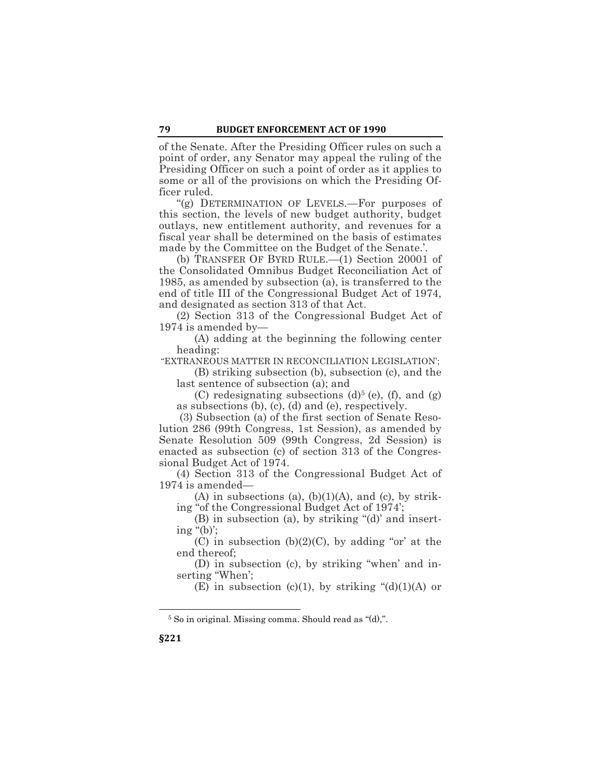of the Senate. After the Presiding Officer rules on such a point of order, any Senator may appeal the ruling of the Presiding Officer on such a point of order as it applies to some or all of the provisions on which the Presiding Officer ruled.

"(g) DETERMINATION OF LEVELS.—For purposes of this section, the levels of new budget authority, budget outlays, new entitlement authority, and revenues for a fiscal year shall be determined on the basis of estimates made by the Committee on the Budget of the Senate.'.

(b) TRANSFER OF BYRD RULE.—(1) Section 20001 of the Consolidated Omnibus Budget Reconciliation Act of 1985, as amended by subsection (a), is transferred to the end of title III of the Congressional Budget Act of 1974, and designated as section 313 of that Act.

(2) Section 313 of the Congressional Budget Act of 1974 is amended by—

(A) adding at the beginning the following center heading:

"EXTRANEOUS MATTER IN RECONCILIATION LEGISLATION';

(B) striking subsection (b), subsection (c), and the last sentence of subsection (a); and

(C) redesignating subsections  $(d)^5$  (e), (f), and (g) as subsections (b), (c), (d) and (e), respectively.

(3) Subsection (a) of the first section of Senate Resolution 286 (99th Congress, 1st Session), as amended by Senate Resolution 509 (99th Congress, 2d Session) is enacted as subsection (c) of section 313 of the Congressional Budget Act of 1974.

(4) Section 313 of the Congressional Budget Act of 1974 is amended—

 $(A)$  in subsections  $(a)$ ,  $(b)(1)(A)$ , and  $(c)$ , by striking "of the Congressional Budget Act of 1974';

(B) in subsection (a), by striking "(d)' and inserting " $(b)$ ";

(C) in subsection  $(b)(2)(C)$ , by adding "or' at the end thereof;

(D) in subsection (c), by striking "when' and inserting "When';

(E) in subsection (c)(1), by striking " $(d)(1)(A)$  or

 $\overline{a}$ 

<sup>5</sup> So in original. Missing comma. Should read as "(d),".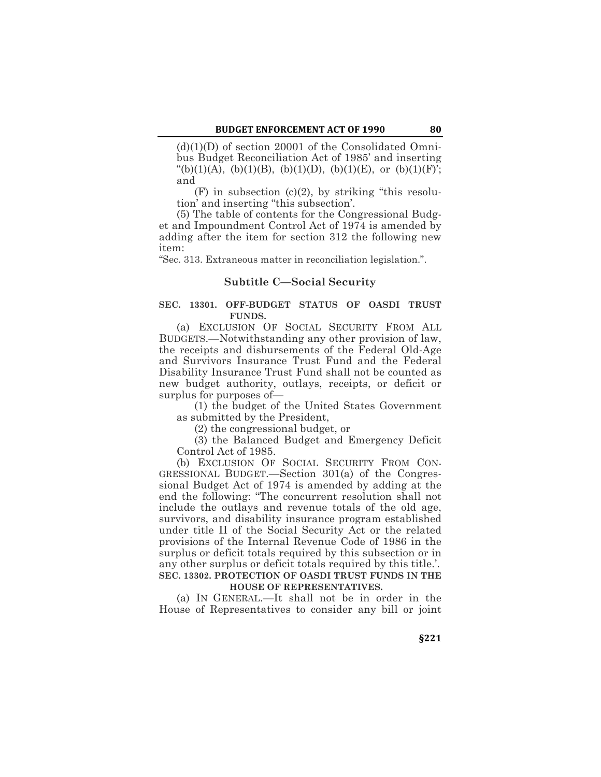$(d)(1)(D)$  of section 20001 of the Consolidated Omnibus Budget Reconciliation Act of 1985' and inserting "(b)(1)(A), (b)(1)(B), (b)(1)(D), (b)(1)(E), or (b)(1)(F)'; and

 $(F)$  in subsection  $(c)(2)$ , by striking "this resolution' and inserting "this subsection'.

(5) The table of contents for the Congressional Budget and Impoundment Control Act of 1974 is amended by adding after the item for section 312 the following new item:

"Sec. 313. Extraneous matter in reconciliation legislation.".

## **Subtitle C—Social Security**

## **SEC. 13301. OFF-BUDGET STATUS OF OASDI TRUST FUNDS.**

(a) EXCLUSION OF SOCIAL SECURITY FROM ALL BUDGETS.—Notwithstanding any other provision of law, the receipts and disbursements of the Federal Old-Age and Survivors Insurance Trust Fund and the Federal Disability Insurance Trust Fund shall not be counted as new budget authority, outlays, receipts, or deficit or surplus for purposes of—

(1) the budget of the United States Government as submitted by the President,

(2) the congressional budget, or

(3) the Balanced Budget and Emergency Deficit Control Act of 1985.

(b) EXCLUSION OF SOCIAL SECURITY FROM CON-GRESSIONAL BUDGET.—Section 301(a) of the Congressional Budget Act of 1974 is amended by adding at the end the following: "The concurrent resolution shall not include the outlays and revenue totals of the old age, survivors, and disability insurance program established under title II of the Social Security Act or the related provisions of the Internal Revenue Code of 1986 in the surplus or deficit totals required by this subsection or in any other surplus or deficit totals required by this title.'. **SEC. 13302. PROTECTION OF OASDI TRUST FUNDS IN THE HOUSE OF REPRESENTATIVES.**

(a) IN GENERAL.—It shall not be in order in the House of Representatives to consider any bill or joint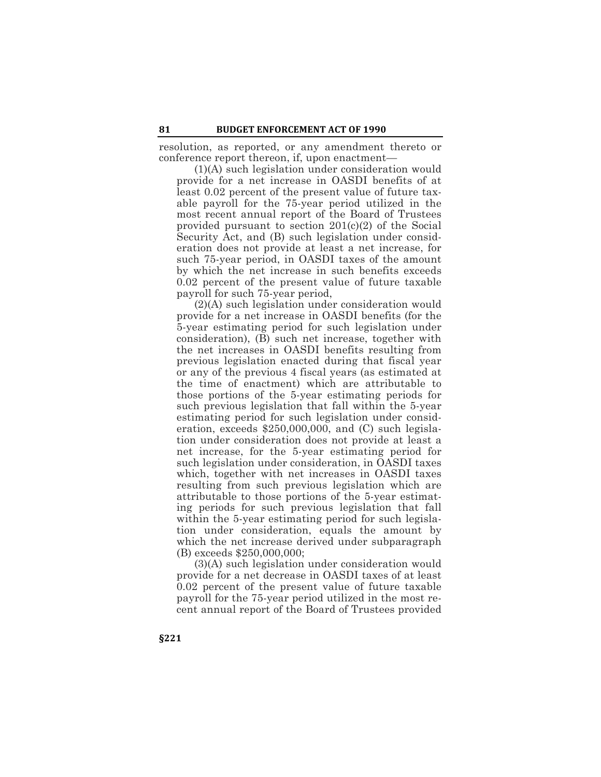resolution, as reported, or any amendment thereto or conference report thereon, if, upon enactment—

(1)(A) such legislation under consideration would provide for a net increase in OASDI benefits of at least 0.02 percent of the present value of future taxable payroll for the 75-year period utilized in the most recent annual report of the Board of Trustees provided pursuant to section 201(c)(2) of the Social Security Act, and (B) such legislation under consideration does not provide at least a net increase, for such 75-year period, in OASDI taxes of the amount by which the net increase in such benefits exceeds 0.02 percent of the present value of future taxable payroll for such 75-year period,

(2)(A) such legislation under consideration would provide for a net increase in OASDI benefits (for the 5-year estimating period for such legislation under consideration), (B) such net increase, together with the net increases in OASDI benefits resulting from previous legislation enacted during that fiscal year or any of the previous 4 fiscal years (as estimated at the time of enactment) which are attributable to those portions of the 5-year estimating periods for such previous legislation that fall within the 5-year estimating period for such legislation under consideration, exceeds \$250,000,000, and (C) such legislation under consideration does not provide at least a net increase, for the 5-year estimating period for such legislation under consideration, in OASDI taxes which, together with net increases in OASDI taxes resulting from such previous legislation which are attributable to those portions of the 5-year estimating periods for such previous legislation that fall within the 5-year estimating period for such legislation under consideration, equals the amount by which the net increase derived under subparagraph (B) exceeds \$250,000,000;

(3)(A) such legislation under consideration would provide for a net decrease in OASDI taxes of at least 0.02 percent of the present value of future taxable payroll for the 75-year period utilized in the most recent annual report of the Board of Trustees provided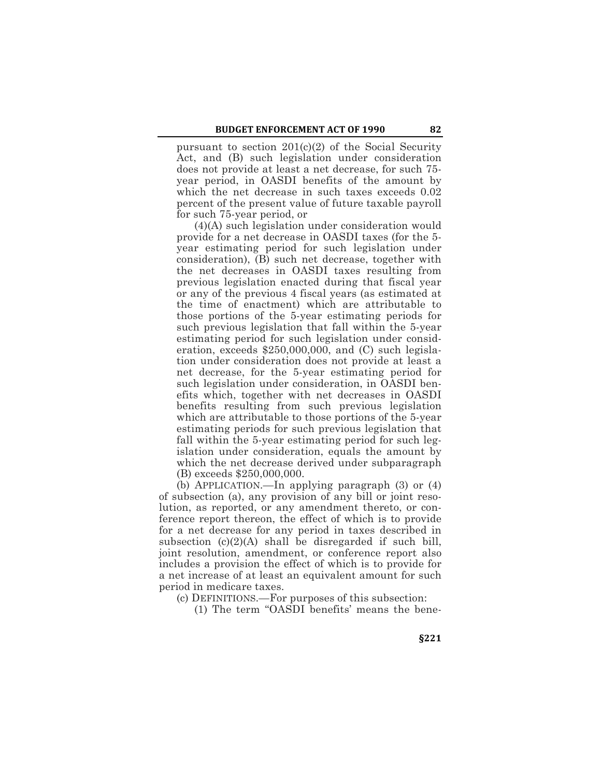pursuant to section 201(c)(2) of the Social Security Act, and (B) such legislation under consideration does not provide at least a net decrease, for such 75 year period, in OASDI benefits of the amount by which the net decrease in such taxes exceeds 0.02 percent of the present value of future taxable payroll for such 75-year period, or

(4)(A) such legislation under consideration would provide for a net decrease in OASDI taxes (for the 5 year estimating period for such legislation under consideration), (B) such net decrease, together with the net decreases in OASDI taxes resulting from previous legislation enacted during that fiscal year or any of the previous 4 fiscal years (as estimated at the time of enactment) which are attributable to those portions of the 5-year estimating periods for such previous legislation that fall within the 5-year estimating period for such legislation under consideration, exceeds \$250,000,000, and (C) such legislation under consideration does not provide at least a net decrease, for the 5-year estimating period for such legislation under consideration, in OASDI benefits which, together with net decreases in OASDI benefits resulting from such previous legislation which are attributable to those portions of the 5-year estimating periods for such previous legislation that fall within the 5-year estimating period for such legislation under consideration, equals the amount by which the net decrease derived under subparagraph (B) exceeds \$250,000,000.

(b) APPLICATION.—In applying paragraph (3) or (4) of subsection (a), any provision of any bill or joint resolution, as reported, or any amendment thereto, or conference report thereon, the effect of which is to provide for a net decrease for any period in taxes described in subsection (c)(2)(A) shall be disregarded if such bill, joint resolution, amendment, or conference report also includes a provision the effect of which is to provide for a net increase of at least an equivalent amount for such period in medicare taxes.

(c) DEFINITIONS.—For purposes of this subsection:

(1) The term "OASDI benefits' means the bene-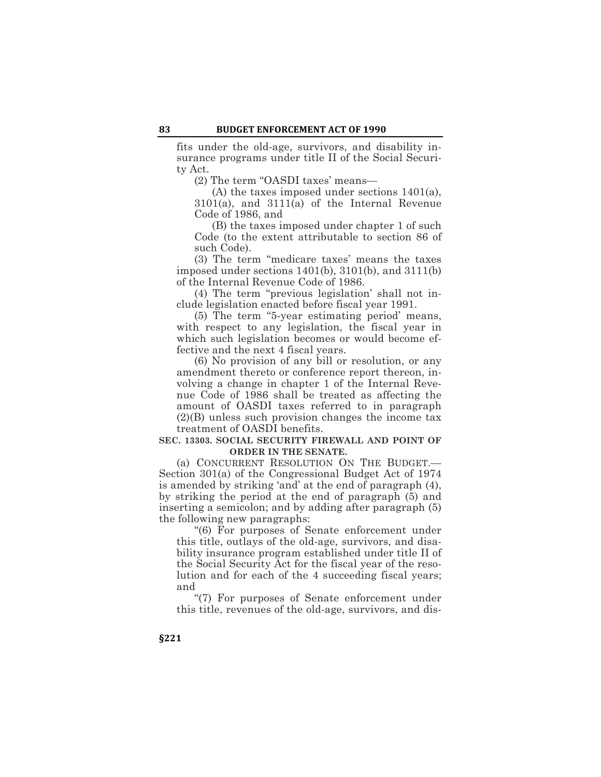fits under the old-age, survivors, and disability insurance programs under title II of the Social Security Act.

(2) The term "OASDI taxes' means—

(A) the taxes imposed under sections 1401(a), 3101(a), and 3111(a) of the Internal Revenue Code of 1986, and

(B) the taxes imposed under chapter 1 of such Code (to the extent attributable to section 86 of such Code).

(3) The term "medicare taxes' means the taxes imposed under sections 1401(b), 3101(b), and 3111(b) of the Internal Revenue Code of 1986.

(4) The term "previous legislation' shall not include legislation enacted before fiscal year 1991.

(5) The term "5-year estimating period' means, with respect to any legislation, the fiscal year in which such legislation becomes or would become effective and the next 4 fiscal years.

(6) No provision of any bill or resolution, or any amendment thereto or conference report thereon, involving a change in chapter 1 of the Internal Revenue Code of 1986 shall be treated as affecting the amount of OASDI taxes referred to in paragraph (2)(B) unless such provision changes the income tax treatment of OASDI benefits.

#### **SEC. 13303. SOCIAL SECURITY FIREWALL AND POINT OF ORDER IN THE SENATE.**

(a) CONCURRENT RESOLUTION ON THE BUDGET.— Section 301(a) of the Congressional Budget Act of 1974 is amended by striking 'and' at the end of paragraph (4), by striking the period at the end of paragraph (5) and inserting a semicolon; and by adding after paragraph (5) the following new paragraphs:

"(6) For purposes of Senate enforcement under this title, outlays of the old-age, survivors, and disability insurance program established under title II of the Social Security Act for the fiscal year of the resolution and for each of the 4 succeeding fiscal years; and

"(7) For purposes of Senate enforcement under this title, revenues of the old-age, survivors, and dis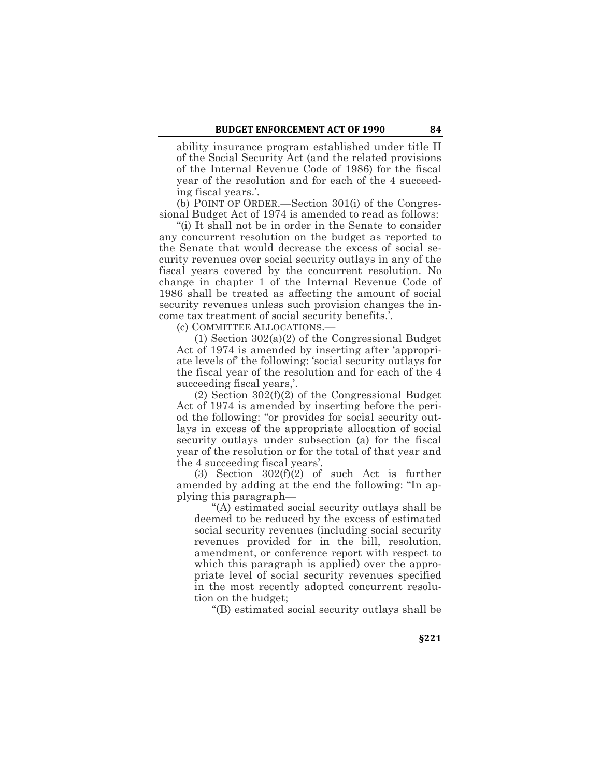ability insurance program established under title II of the Social Security Act (and the related provisions of the Internal Revenue Code of 1986) for the fiscal year of the resolution and for each of the 4 succeeding fiscal years.'.

(b) POINT OF ORDER.—Section 301(i) of the Congressional Budget Act of 1974 is amended to read as follows:

"(i) It shall not be in order in the Senate to consider any concurrent resolution on the budget as reported to the Senate that would decrease the excess of social security revenues over social security outlays in any of the fiscal years covered by the concurrent resolution. No change in chapter 1 of the Internal Revenue Code of 1986 shall be treated as affecting the amount of social security revenues unless such provision changes the income tax treatment of social security benefits.'.

(c) COMMITTEE ALLOCATIONS.—

(1) Section 302(a)(2) of the Congressional Budget Act of 1974 is amended by inserting after 'appropriate levels of' the following: 'social security outlays for the fiscal year of the resolution and for each of the 4 succeeding fiscal years,'.

(2) Section 302(f)(2) of the Congressional Budget Act of 1974 is amended by inserting before the period the following: "or provides for social security outlays in excess of the appropriate allocation of social security outlays under subsection (a) for the fiscal year of the resolution or for the total of that year and the 4 succeeding fiscal years'.

(3) Section 302(f)(2) of such Act is further amended by adding at the end the following: "In applying this paragraph—

"(A) estimated social security outlays shall be deemed to be reduced by the excess of estimated social security revenues (including social security revenues provided for in the bill, resolution, amendment, or conference report with respect to which this paragraph is applied) over the appropriate level of social security revenues specified in the most recently adopted concurrent resolution on the budget;

"(B) estimated social security outlays shall be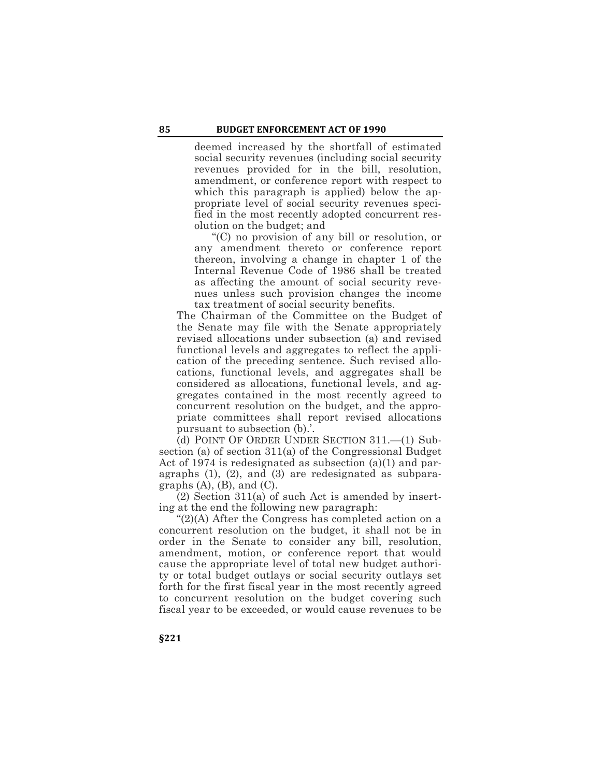deemed increased by the shortfall of estimated social security revenues (including social security revenues provided for in the bill, resolution, amendment, or conference report with respect to which this paragraph is applied) below the appropriate level of social security revenues specified in the most recently adopted concurrent resolution on the budget; and

"(C) no provision of any bill or resolution, or any amendment thereto or conference report thereon, involving a change in chapter 1 of the Internal Revenue Code of 1986 shall be treated as affecting the amount of social security revenues unless such provision changes the income tax treatment of social security benefits.

The Chairman of the Committee on the Budget of the Senate may file with the Senate appropriately revised allocations under subsection (a) and revised functional levels and aggregates to reflect the application of the preceding sentence. Such revised allocations, functional levels, and aggregates shall be considered as allocations, functional levels, and aggregates contained in the most recently agreed to concurrent resolution on the budget, and the appropriate committees shall report revised allocations pursuant to subsection (b).'.

(d) POINT OF ORDER UNDER SECTION 311.—(1) Subsection (a) of section 311(a) of the Congressional Budget Act of 1974 is redesignated as subsection (a)(1) and paragraphs (1), (2), and (3) are redesignated as subparagraphs  $(A)$ ,  $(B)$ , and  $(C)$ .

(2) Section 311(a) of such Act is amended by inserting at the end the following new paragraph:

"(2)(A) After the Congress has completed action on a concurrent resolution on the budget, it shall not be in order in the Senate to consider any bill, resolution, amendment, motion, or conference report that would cause the appropriate level of total new budget authority or total budget outlays or social security outlays set forth for the first fiscal year in the most recently agreed to concurrent resolution on the budget covering such fiscal year to be exceeded, or would cause revenues to be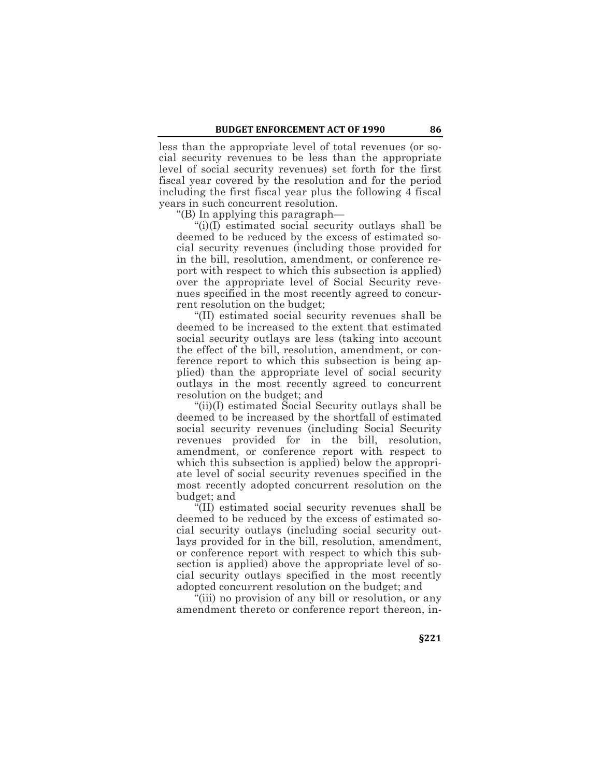less than the appropriate level of total revenues (or social security revenues to be less than the appropriate level of social security revenues) set forth for the first fiscal year covered by the resolution and for the period including the first fiscal year plus the following 4 fiscal years in such concurrent resolution.

"(B) In applying this paragraph—

"(i)(I) estimated social security outlays shall be deemed to be reduced by the excess of estimated social security revenues (including those provided for in the bill, resolution, amendment, or conference report with respect to which this subsection is applied) over the appropriate level of Social Security revenues specified in the most recently agreed to concurrent resolution on the budget;

"(II) estimated social security revenues shall be deemed to be increased to the extent that estimated social security outlays are less (taking into account the effect of the bill, resolution, amendment, or conference report to which this subsection is being applied) than the appropriate level of social security outlays in the most recently agreed to concurrent resolution on the budget; and

"(ii)(I) estimated Social Security outlays shall be deemed to be increased by the shortfall of estimated social security revenues (including Social Security revenues provided for in the bill, resolution, amendment, or conference report with respect to which this subsection is applied) below the appropriate level of social security revenues specified in the most recently adopted concurrent resolution on the budget; and

"(II) estimated social security revenues shall be deemed to be reduced by the excess of estimated social security outlays (including social security outlays provided for in the bill, resolution, amendment, or conference report with respect to which this subsection is applied) above the appropriate level of social security outlays specified in the most recently adopted concurrent resolution on the budget; and

"(iii) no provision of any bill or resolution, or any amendment thereto or conference report thereon, in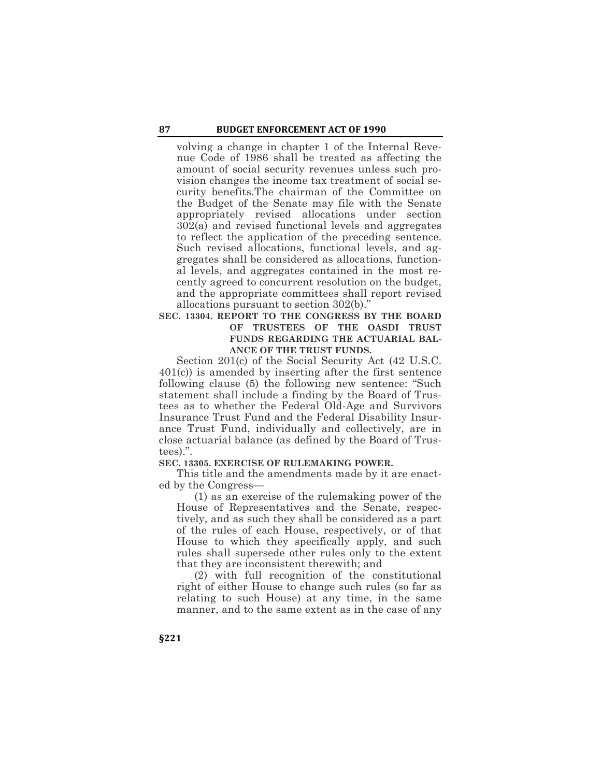volving a change in chapter 1 of the Internal Revenue Code of 1986 shall be treated as affecting the amount of social security revenues unless such provision changes the income tax treatment of social security benefits.The chairman of the Committee on the Budget of the Senate may file with the Senate appropriately revised allocations under section  $302(a)$  and revised functional levels and aggregates to reflect the application of the preceding sentence. Such revised allocations, functional levels, and aggregates shall be considered as allocations, functional levels, and aggregates contained in the most recently agreed to concurrent resolution on the budget, and the appropriate committees shall report revised allocations pursuant to section 302(b)."

# **SEC. 13304. REPORT TO THE CONGRESS BY THE BOARD OF TRUSTEES OF THE OASDI TRUST FUNDS REGARDING THE ACTUARIAL BAL-ANCE OF THE TRUST FUNDS.**

Section 201(c) of the Social Security Act (42 U.S.C. 401(c)) is amended by inserting after the first sentence following clause (5) the following new sentence: "Such statement shall include a finding by the Board of Trustees as to whether the Federal Old-Age and Survivors Insurance Trust Fund and the Federal Disability Insurance Trust Fund, individually and collectively, are in close actuarial balance (as defined by the Board of Trustees).".

## **SEC. 13305. EXERCISE OF RULEMAKING POWER.**

This title and the amendments made by it are enacted by the Congress—

(1) as an exercise of the rulemaking power of the House of Representatives and the Senate, respectively, and as such they shall be considered as a part of the rules of each House, respectively, or of that House to which they specifically apply, and such rules shall supersede other rules only to the extent that they are inconsistent therewith; and

(2) with full recognition of the constitutional right of either House to change such rules (so far as relating to such House) at any time, in the same manner, and to the same extent as in the case of any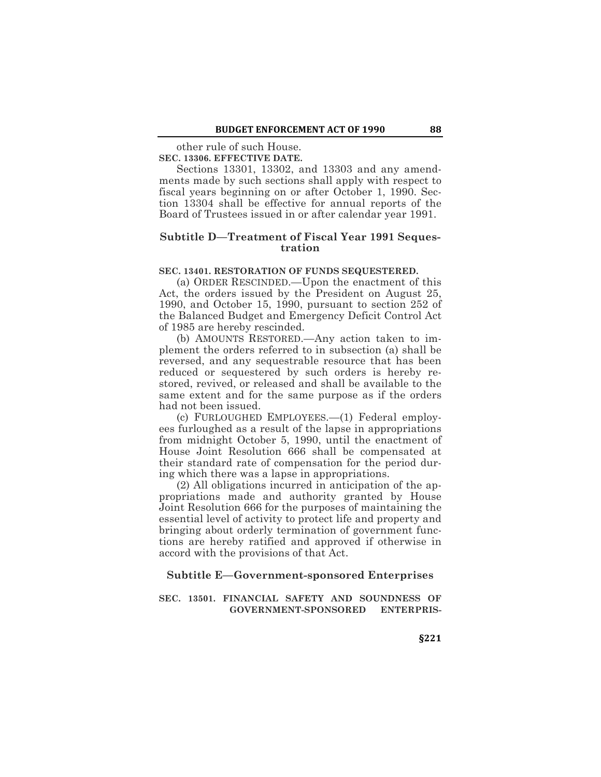other rule of such House.

**SEC. 13306. EFFECTIVE DATE.**

Sections 13301, 13302, and 13303 and any amendments made by such sections shall apply with respect to fiscal years beginning on or after October 1, 1990. Section 13304 shall be effective for annual reports of the Board of Trustees issued in or after calendar year 1991.

# **Subtitle D—Treatment of Fiscal Year 1991 Sequestration**

#### **SEC. 13401. RESTORATION OF FUNDS SEQUESTERED.**

(a) ORDER RESCINDED.—Upon the enactment of this Act, the orders issued by the President on August 25, 1990, and October 15, 1990, pursuant to section 252 of the Balanced Budget and Emergency Deficit Control Act of 1985 are hereby rescinded.

(b) AMOUNTS RESTORED.—Any action taken to implement the orders referred to in subsection (a) shall be reversed, and any sequestrable resource that has been reduced or sequestered by such orders is hereby restored, revived, or released and shall be available to the same extent and for the same purpose as if the orders had not been issued.

(c) FURLOUGHED EMPLOYEES.—(1) Federal employees furloughed as a result of the lapse in appropriations from midnight October 5, 1990, until the enactment of House Joint Resolution 666 shall be compensated at their standard rate of compensation for the period during which there was a lapse in appropriations.

(2) All obligations incurred in anticipation of the appropriations made and authority granted by House Joint Resolution 666 for the purposes of maintaining the essential level of activity to protect life and property and bringing about orderly termination of government functions are hereby ratified and approved if otherwise in accord with the provisions of that Act.

#### **Subtitle E—Government-sponsored Enterprises**

**SEC. 13501. FINANCIAL SAFETY AND SOUNDNESS OF GOVERNMENT-SPONSORED ENTERPRIS-**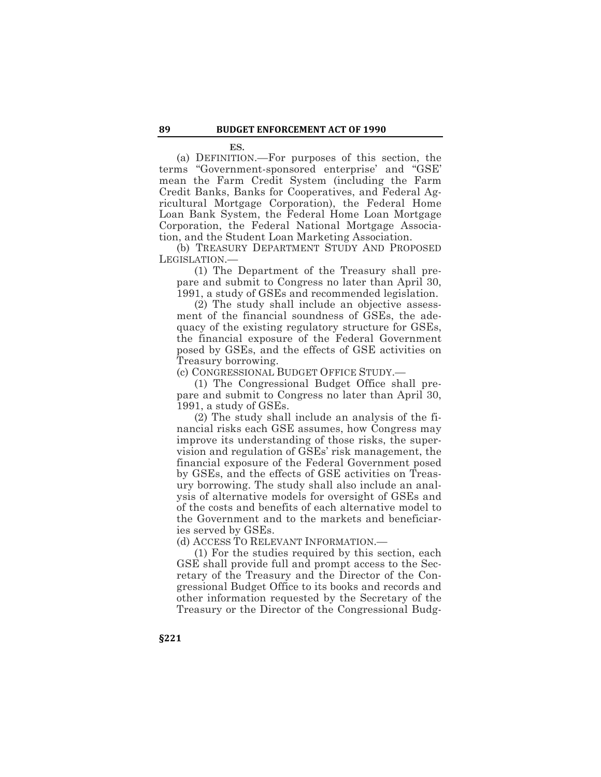**ES.**

(a) DEFINITION.—For purposes of this section, the terms "Government-sponsored enterprise' and "GSE' mean the Farm Credit System (including the Farm Credit Banks, Banks for Cooperatives, and Federal Agricultural Mortgage Corporation), the Federal Home Loan Bank System, the Federal Home Loan Mortgage Corporation, the Federal National Mortgage Association, and the Student Loan Marketing Association.

(b) TREASURY DEPARTMENT STUDY AND PROPOSED LEGISLATION.—

(1) The Department of the Treasury shall prepare and submit to Congress no later than April 30, 1991, a study of GSEs and recommended legislation.

(2) The study shall include an objective assessment of the financial soundness of GSEs, the adequacy of the existing regulatory structure for GSEs, the financial exposure of the Federal Government posed by GSEs, and the effects of GSE activities on Treasury borrowing.

(c) CONGRESSIONAL BUDGET OFFICE STUDY.—

(1) The Congressional Budget Office shall prepare and submit to Congress no later than April 30, 1991, a study of GSEs.

(2) The study shall include an analysis of the financial risks each GSE assumes, how Congress may improve its understanding of those risks, the supervision and regulation of GSEs' risk management, the financial exposure of the Federal Government posed by GSEs, and the effects of GSE activities on Treasury borrowing. The study shall also include an analysis of alternative models for oversight of GSEs and of the costs and benefits of each alternative model to the Government and to the markets and beneficiaries served by GSEs.

(d) ACCESS TO RELEVANT INFORMATION.—

(1) For the studies required by this section, each GSE shall provide full and prompt access to the Secretary of the Treasury and the Director of the Congressional Budget Office to its books and records and other information requested by the Secretary of the Treasury or the Director of the Congressional Budg-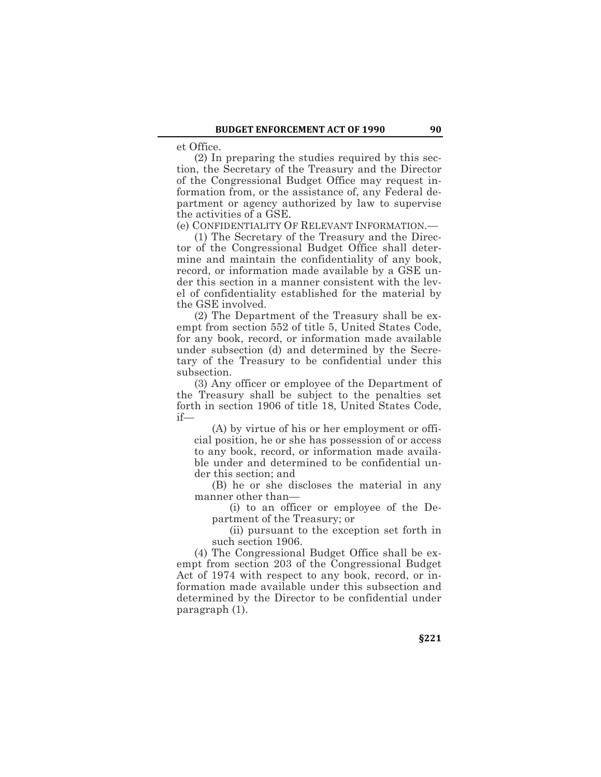et Office.

(2) In preparing the studies required by this section, the Secretary of the Treasury and the Director of the Congressional Budget Office may request information from, or the assistance of, any Federal department or agency authorized by law to supervise the activities of a GSE.

(e) CONFIDENTIALITY OF RELEVANT INFORMATION.—

(1) The Secretary of the Treasury and the Director of the Congressional Budget Office shall determine and maintain the confidentiality of any book, record, or information made available by a GSE under this section in a manner consistent with the level of confidentiality established for the material by the GSE involved.

(2) The Department of the Treasury shall be exempt from section 552 of title 5, United States Code, for any book, record, or information made available under subsection (d) and determined by the Secretary of the Treasury to be confidential under this subsection.

(3) Any officer or employee of the Department of the Treasury shall be subject to the penalties set forth in section 1906 of title 18, United States Code, if—

(A) by virtue of his or her employment or official position, he or she has possession of or access to any book, record, or information made available under and determined to be confidential under this section; and

(B) he or she discloses the material in any manner other than—

(i) to an officer or employee of the Department of the Treasury; or

(ii) pursuant to the exception set forth in such section 1906.

(4) The Congressional Budget Office shall be exempt from section 203 of the Congressional Budget Act of 1974 with respect to any book, record, or information made available under this subsection and determined by the Director to be confidential under paragraph (1).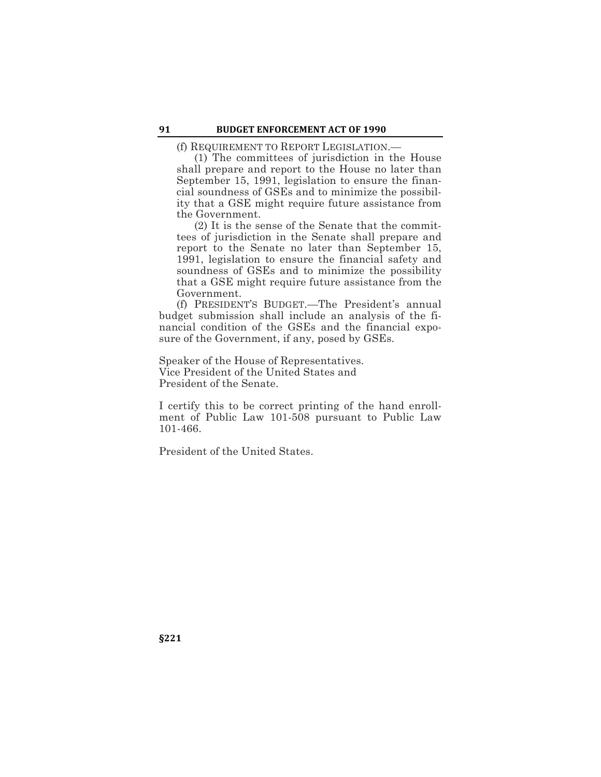(f) REQUIREMENT TO REPORT LEGISLATION.—

(1) The committees of jurisdiction in the House shall prepare and report to the House no later than September 15, 1991, legislation to ensure the financial soundness of GSEs and to minimize the possibility that a GSE might require future assistance from the Government.

(2) It is the sense of the Senate that the committees of jurisdiction in the Senate shall prepare and report to the Senate no later than September 15, 1991, legislation to ensure the financial safety and soundness of GSEs and to minimize the possibility that a GSE might require future assistance from the Government.

(f) PRESIDENT'S BUDGET.—The President's annual budget submission shall include an analysis of the financial condition of the GSEs and the financial exposure of the Government, if any, posed by GSEs.

Speaker of the House of Representatives. Vice President of the United States and President of the Senate.

I certify this to be correct printing of the hand enrollment of Public Law 101-508 pursuant to Public Law 101-466.

President of the United States.